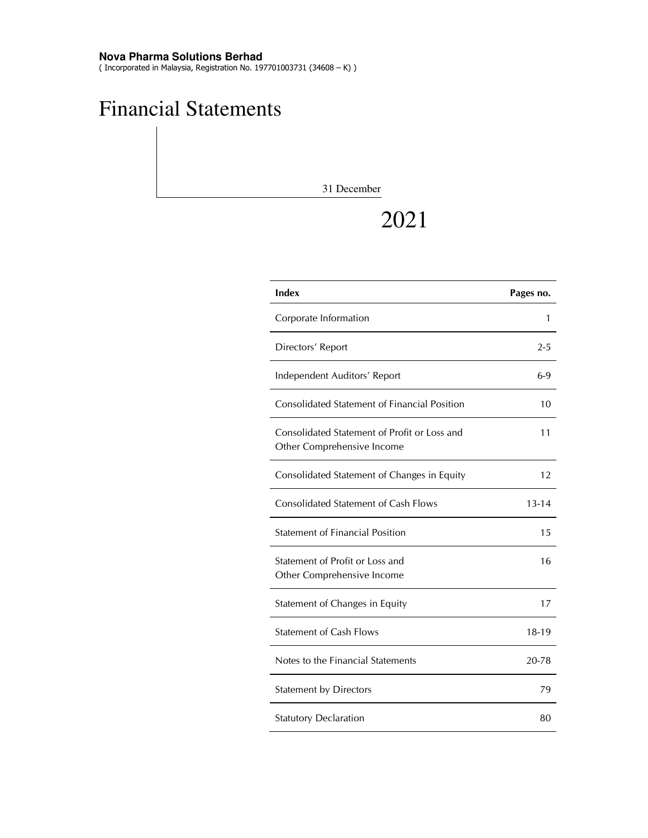# Financial Statements

31 December

# 2021

| Index                                                                      | Pages no. |
|----------------------------------------------------------------------------|-----------|
| Corporate Information                                                      | 1         |
| Directors' Report                                                          | $2 - 5$   |
| Independent Auditors' Report                                               | $6-9$     |
| Consolidated Statement of Financial Position                               | 10        |
| Consolidated Statement of Profit or Loss and<br>Other Comprehensive Income | 11        |
| Consolidated Statement of Changes in Equity                                | 12        |
| Consolidated Statement of Cash Flows                                       | $13 - 14$ |
| Statement of Financial Position                                            | 15        |
| Statement of Profit or Loss and<br>Other Comprehensive Income              | 16        |
| Statement of Changes in Equity                                             | 17        |
| <b>Statement of Cash Flows</b>                                             | 18-19     |
| Notes to the Financial Statements                                          | 20-78     |
| <b>Statement by Directors</b>                                              | 79        |
| <b>Statutory Declaration</b>                                               | 80        |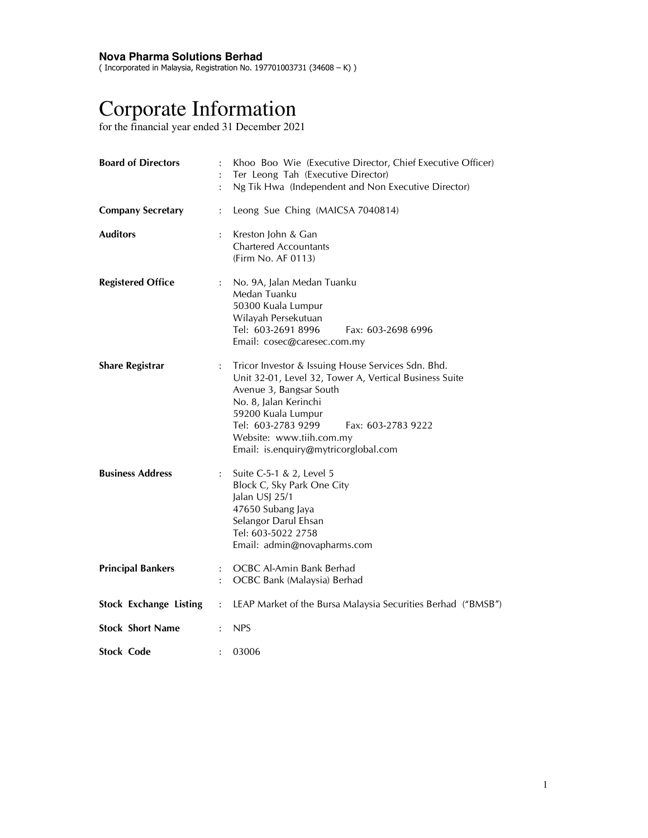( Incorporated in Malaysia, Registration No. 197701003731 (34608 – K) )

# Corporate Information

for the financial year ended 31 December 2021

| <b>Board of Directors</b>     | $\colon$<br>$\ddot{\cdot}$<br>$\vdots$ | Khoo Boo Wie (Executive Director, Chief Executive Officer)<br>Ter Leong Tah (Executive Director)<br>Ng Tik Hwa (Independent and Non Executive Director)                                                                                                                                                |  |  |
|-------------------------------|----------------------------------------|--------------------------------------------------------------------------------------------------------------------------------------------------------------------------------------------------------------------------------------------------------------------------------------------------------|--|--|
| <b>Company Secretary</b>      | $\ddot{\cdot}$                         | Leong Sue Ching (MAICSA 7040814)                                                                                                                                                                                                                                                                       |  |  |
| <b>Auditors</b>               | $\ddot{\cdot}$                         | Kreston John & Gan<br><b>Chartered Accountants</b><br>(Firm No. AF 0113)                                                                                                                                                                                                                               |  |  |
| <b>Registered Office</b>      | $\ddot{\phantom{a}}$                   | No. 9A, Jalan Medan Tuanku<br>Medan Tuanku<br>50300 Kuala Lumpur<br>Wilayah Persekutuan<br>Tel: 603-2691 8996<br>Fax: 603-2698 6996<br>Email: cosec@caresec.com.my                                                                                                                                     |  |  |
| <b>Share Registrar</b>        | $\ddot{\cdot}$                         | Tricor Investor & Issuing House Services Sdn. Bhd.<br>Unit 32-01, Level 32, Tower A, Vertical Business Suite<br>Avenue 3, Bangsar South<br>No. 8, Jalan Kerinchi<br>59200 Kuala Lumpur<br>Tel: 603-2783 9299<br>Fax: 603-2783 9222<br>Website: www.tiih.com.my<br>Email: is.enquiry@mytricorglobal.com |  |  |
| <b>Business Address</b>       | $\ddot{\cdot}$                         | Suite C-5-1 & 2, Level 5<br>Block C, Sky Park One City<br>Jalan USJ 25/1<br>47650 Subang Jaya<br>Selangor Darul Ehsan<br>Tel: 603-5022 2758<br>Email: admin@novapharms.com                                                                                                                             |  |  |
| <b>Principal Bankers</b>      | :<br>$\ddot{\cdot}$                    | OCBC Al-Amin Bank Berhad<br>OCBC Bank (Malaysia) Berhad                                                                                                                                                                                                                                                |  |  |
| <b>Stock Exchange Listing</b> | $\ddot{\cdot}$                         | LEAP Market of the Bursa Malaysia Securities Berhad ("BMSB")                                                                                                                                                                                                                                           |  |  |
| <b>Stock Short Name</b>       | $\ddot{\phantom{a}}$                   | <b>NPS</b>                                                                                                                                                                                                                                                                                             |  |  |
| <b>Stock Code</b>             | $\ddot{\cdot}$                         | 03006                                                                                                                                                                                                                                                                                                  |  |  |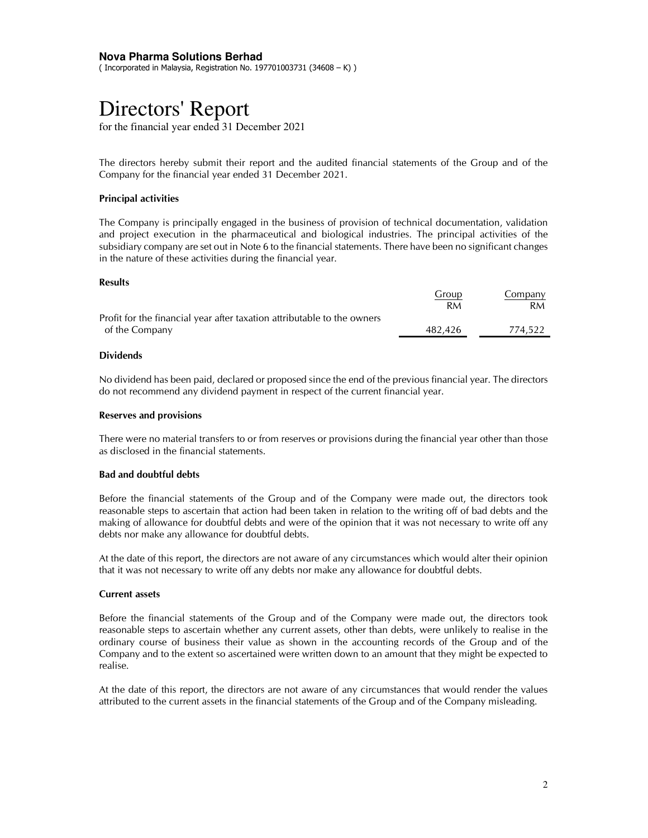( Incorporated in Malaysia, Registration No. 197701003731 (34608 – K) )

# Directors' Report

for the financial year ended 31 December 2021

The directors hereby submit their report and the audited financial statements of the Group and of the Company for the financial year ended 31 December 2021.

### **Principal activities**

The Company is principally engaged in the business of provision of technical documentation, validation and project execution in the pharmaceutical and biological industries. The principal activities of the subsidiary company are set out in Note 6 to the financial statements. There have been no significant changes in the nature of these activities during the financial year.

### **Results**

|                                                                         |           | Company |
|-------------------------------------------------------------------------|-----------|---------|
|                                                                         | <b>RM</b> | RM.     |
| Profit for the financial year after taxation attributable to the owners |           |         |
| of the Company                                                          | 482.426   | 774.522 |

### **Dividends**

No dividend has been paid, declared or proposed since the end of the previous financial year. The directors do not recommend any dividend payment in respect of the current financial year.

#### **Reserves and provisions**

There were no material transfers to or from reserves or provisions during the financial year other than those as disclosed in the financial statements.

### **Bad and doubtful debts**

Before the financial statements of the Group and of the Company were made out, the directors took reasonable steps to ascertain that action had been taken in relation to the writing off of bad debts and the making of allowance for doubtful debts and were of the opinion that it was not necessary to write off any debts nor make any allowance for doubtful debts.

At the date of this report, the directors are not aware of any circumstances which would alter their opinion that it was not necessary to write off any debts nor make any allowance for doubtful debts.

#### **Current assets**

Before the financial statements of the Group and of the Company were made out, the directors took reasonable steps to ascertain whether any current assets, other than debts, were unlikely to realise in the ordinary course of business their value as shown in the accounting records of the Group and of the Company and to the extent so ascertained were written down to an amount that they might be expected to realise.

At the date of this report, the directors are not aware of any circumstances that would render the values attributed to the current assets in the financial statements of the Group and of the Company misleading.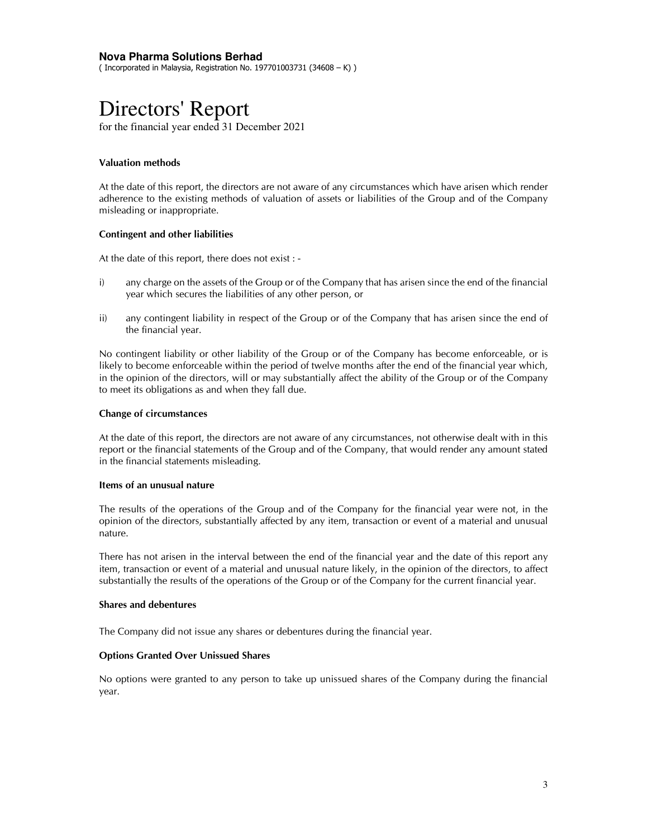( Incorporated in Malaysia, Registration No. 197701003731 (34608 – K) )

# Directors' Report

for the financial year ended 31 December 2021

### **Valuation methods**

At the date of this report, the directors are not aware of any circumstances which have arisen which render adherence to the existing methods of valuation of assets or liabilities of the Group and of the Company misleading or inappropriate.

### **Contingent and other liabilities**

At the date of this report, there does not exist : -

- i) any charge on the assets of the Group or of the Company that has arisen since the end of the financial year which secures the liabilities of any other person, or
- ii) any contingent liability in respect of the Group or of the Company that has arisen since the end of the financial year.

No contingent liability or other liability of the Group or of the Company has become enforceable, or is likely to become enforceable within the period of twelve months after the end of the financial year which, in the opinion of the directors, will or may substantially affect the ability of the Group or of the Company to meet its obligations as and when they fall due.

### **Change of circumstances**

At the date of this report, the directors are not aware of any circumstances, not otherwise dealt with in this report or the financial statements of the Group and of the Company, that would render any amount stated in the financial statements misleading.

### **Items of an unusual nature**

The results of the operations of the Group and of the Company for the financial year were not, in the opinion of the directors, substantially affected by any item, transaction or event of a material and unusual nature.

There has not arisen in the interval between the end of the financial year and the date of this report any item, transaction or event of a material and unusual nature likely, in the opinion of the directors, to affect substantially the results of the operations of the Group or of the Company for the current financial year.

### **Shares and debentures**

The Company did not issue any shares or debentures during the financial year.

### **Options Granted Over Unissued Shares**

No options were granted to any person to take up unissued shares of the Company during the financial year.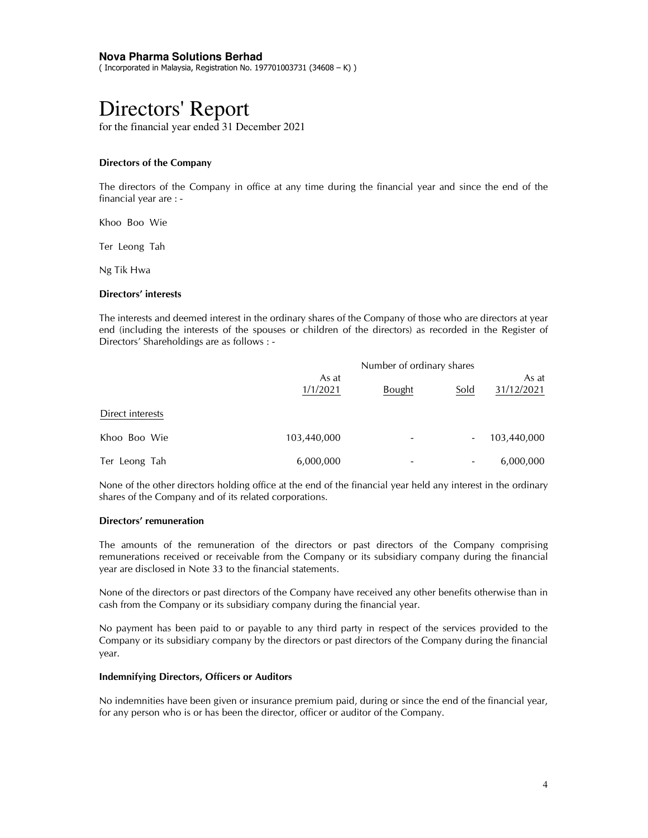( Incorporated in Malaysia, Registration No. 197701003731 (34608 – K) )

# Directors' Report

for the financial year ended 31 December 2021

## **Directors of the Company**

The directors of the Company in office at any time during the financial year and since the end of the financial year are : -

Khoo Boo Wie

Ter Leong Tah

Ng Tik Hwa

### **Directors' interests**

The interests and deemed interest in the ordinary shares of the Company of those who are directors at year end (including the interests of the spouses or children of the directors) as recorded in the Register of Directors' Shareholdings are as follows : -

|                  | Number of ordinary shares |        |                          |                     |
|------------------|---------------------------|--------|--------------------------|---------------------|
|                  | As at<br>1/1/2021         | Bought | Sold                     | As at<br>31/12/2021 |
| Direct interests |                           |        |                          |                     |
| Khoo Boo Wie     | 103,440,000               | -      | $\overline{\phantom{a}}$ | 103,440,000         |
| Ter Leong Tah    | 6,000,000                 |        | -                        | 6,000,000           |

None of the other directors holding office at the end of the financial year held any interest in the ordinary shares of the Company and of its related corporations.

#### **Directors' remuneration**

The amounts of the remuneration of the directors or past directors of the Company comprising remunerations received or receivable from the Company or its subsidiary company during the financial year are disclosed in Note 33 to the financial statements.

None of the directors or past directors of the Company have received any other benefits otherwise than in cash from the Company or its subsidiary company during the financial year.

No payment has been paid to or payable to any third party in respect of the services provided to the Company or its subsidiary company by the directors or past directors of the Company during the financial year.

### **Indemnifying Directors, Officers or Auditors**

No indemnities have been given or insurance premium paid, during or since the end of the financial year, for any person who is or has been the director, officer or auditor of the Company.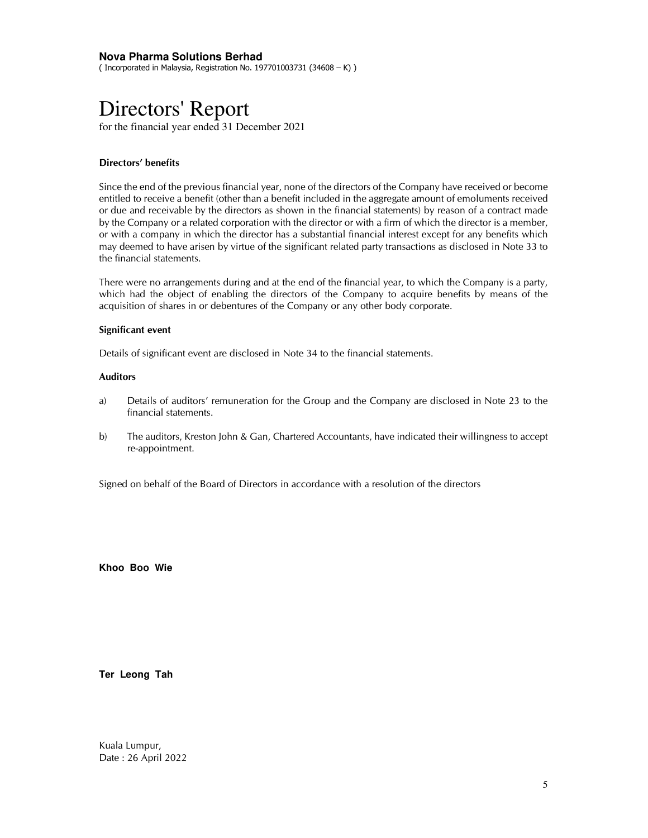( Incorporated in Malaysia, Registration No. 197701003731 (34608 – K) )

# Directors' Report

for the financial year ended 31 December 2021

## **Directors' benefits**

Since the end of the previous financial year, none of the directors of the Company have received or become entitled to receive a benefit (other than a benefit included in the aggregate amount of emoluments received or due and receivable by the directors as shown in the financial statements) by reason of a contract made by the Company or a related corporation with the director or with a firm of which the director is a member, or with a company in which the director has a substantial financial interest except for any benefits which may deemed to have arisen by virtue of the significant related party transactions as disclosed in Note 33 to the financial statements.

There were no arrangements during and at the end of the financial year, to which the Company is a party, which had the object of enabling the directors of the Company to acquire benefits by means of the acquisition of shares in or debentures of the Company or any other body corporate.

### **Significant event**

Details of significant event are disclosed in Note 34 to the financial statements.

### **Auditors**

- a) Details of auditors' remuneration for the Group and the Company are disclosed in Note 23 to the financial statements.
- b) The auditors, Kreston John & Gan, Chartered Accountants, have indicated their willingness to accept re-appointment.

Signed on behalf of the Board of Directors in accordance with a resolution of the directors

**Khoo Boo Wie**

## **Ter Leong Tah**

Kuala Lumpur, Date : 26 April 2022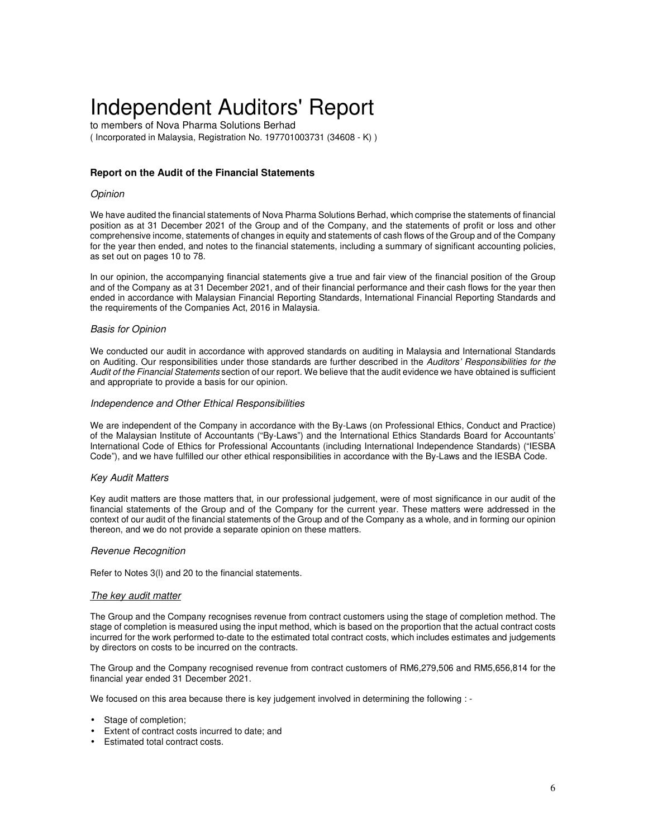to members of Nova Pharma Solutions Berhad ( Incorporated in Malaysia, Registration No. 197701003731 (34608 - K) )

## **Report on the Audit of the Financial Statements**

#### **Opinion**

We have audited the financial statements of Nova Pharma Solutions Berhad, which comprise the statements of financial position as at 31 December 2021 of the Group and of the Company, and the statements of profit or loss and other comprehensive income, statements of changes in equity and statements of cash flows of the Group and of the Company for the year then ended, and notes to the financial statements, including a summary of significant accounting policies, as set out on pages 10 to 78.

In our opinion, the accompanying financial statements give a true and fair view of the financial position of the Group and of the Company as at 31 December 2021, and of their financial performance and their cash flows for the year then ended in accordance with Malaysian Financial Reporting Standards, International Financial Reporting Standards and the requirements of the Companies Act, 2016 in Malaysia.

#### Basis for Opinion

We conducted our audit in accordance with approved standards on auditing in Malaysia and International Standards on Auditing. Our responsibilities under those standards are further described in the Auditors' Responsibilities for the Audit of the Financial Statements section of our report. We believe that the audit evidence we have obtained is sufficient and appropriate to provide a basis for our opinion.

#### Independence and Other Ethical Responsibilities

We are independent of the Company in accordance with the By-Laws (on Professional Ethics, Conduct and Practice) of the Malaysian Institute of Accountants ("By-Laws") and the International Ethics Standards Board for Accountants' International Code of Ethics for Professional Accountants (including International Independence Standards) ("IESBA Code"), and we have fulfilled our other ethical responsibilities in accordance with the By-Laws and the IESBA Code.

#### Key Audit Matters

Key audit matters are those matters that, in our professional judgement, were of most significance in our audit of the financial statements of the Group and of the Company for the current year. These matters were addressed in the context of our audit of the financial statements of the Group and of the Company as a whole, and in forming our opinion thereon, and we do not provide a separate opinion on these matters.

#### Revenue Recognition

Refer to Notes 3(l) and 20 to the financial statements.

## The key audit matter

The Group and the Company recognises revenue from contract customers using the stage of completion method. The stage of completion is measured using the input method, which is based on the proportion that the actual contract costs incurred for the work performed to-date to the estimated total contract costs, which includes estimates and judgements by directors on costs to be incurred on the contracts.

The Group and the Company recognised revenue from contract customers of RM6,279,506 and RM5,656,814 for the financial year ended 31 December 2021.

We focused on this area because there is key judgement involved in determining the following : -

- Stage of completion;
- Extent of contract costs incurred to date; and
- Estimated total contract costs.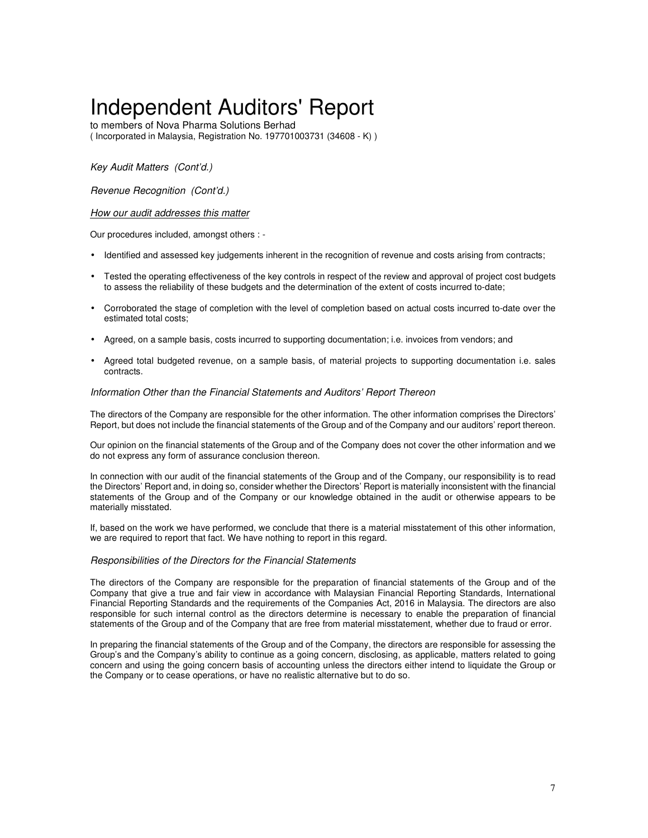to members of Nova Pharma Solutions Berhad

( Incorporated in Malaysia, Registration No. 197701003731 (34608 - K) )

## Key Audit Matters (Cont'd.)

Revenue Recognition (Cont'd.)

# How our audit addresses this matter

Our procedures included, amongst others : -

- Identified and assessed key judgements inherent in the recognition of revenue and costs arising from contracts;
- Tested the operating effectiveness of the key controls in respect of the review and approval of project cost budgets to assess the reliability of these budgets and the determination of the extent of costs incurred to-date;
- Corroborated the stage of completion with the level of completion based on actual costs incurred to-date over the estimated total costs;
- Agreed, on a sample basis, costs incurred to supporting documentation; i.e. invoices from vendors; and
- Agreed total budgeted revenue, on a sample basis, of material projects to supporting documentation i.e. sales contracts.

#### Information Other than the Financial Statements and Auditors' Report Thereon

The directors of the Company are responsible for the other information. The other information comprises the Directors' Report, but does not include the financial statements of the Group and of the Company and our auditors' report thereon.

Our opinion on the financial statements of the Group and of the Company does not cover the other information and we do not express any form of assurance conclusion thereon.

In connection with our audit of the financial statements of the Group and of the Company, our responsibility is to read the Directors' Report and, in doing so, consider whether the Directors' Report is materially inconsistent with the financial statements of the Group and of the Company or our knowledge obtained in the audit or otherwise appears to be materially misstated.

If, based on the work we have performed, we conclude that there is a material misstatement of this other information, we are required to report that fact. We have nothing to report in this regard.

### Responsibilities of the Directors for the Financial Statements

The directors of the Company are responsible for the preparation of financial statements of the Group and of the Company that give a true and fair view in accordance with Malaysian Financial Reporting Standards, International Financial Reporting Standards and the requirements of the Companies Act, 2016 in Malaysia. The directors are also responsible for such internal control as the directors determine is necessary to enable the preparation of financial statements of the Group and of the Company that are free from material misstatement, whether due to fraud or error.

In preparing the financial statements of the Group and of the Company, the directors are responsible for assessing the Group's and the Company's ability to continue as a going concern, disclosing, as applicable, matters related to going concern and using the going concern basis of accounting unless the directors either intend to liquidate the Group or the Company or to cease operations, or have no realistic alternative but to do so.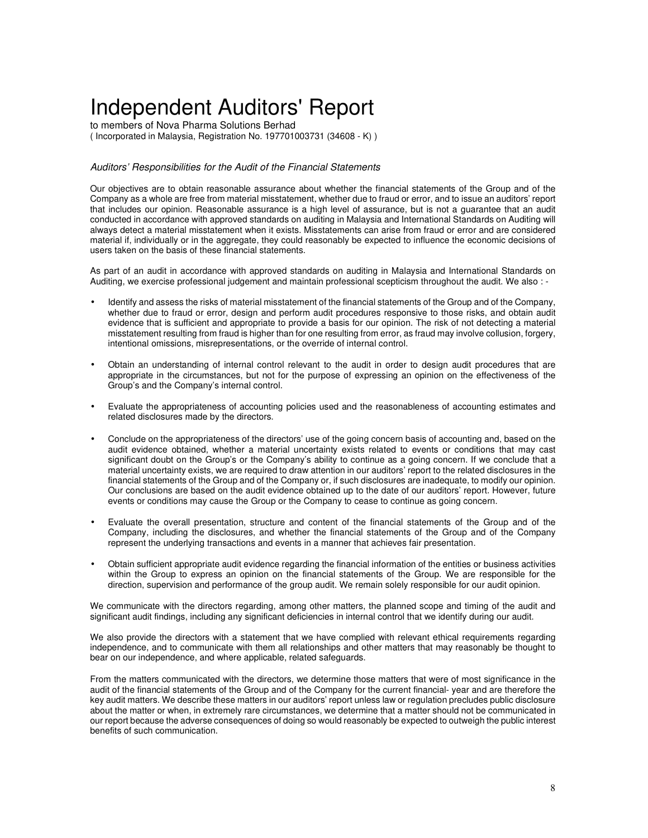to members of Nova Pharma Solutions Berhad ( Incorporated in Malaysia, Registration No. 197701003731 (34608 - K) )

### Auditors' Responsibilities for the Audit of the Financial Statements

Our objectives are to obtain reasonable assurance about whether the financial statements of the Group and of the Company as a whole are free from material misstatement, whether due to fraud or error, and to issue an auditors' report that includes our opinion. Reasonable assurance is a high level of assurance, but is not a guarantee that an audit conducted in accordance with approved standards on auditing in Malaysia and International Standards on Auditing will always detect a material misstatement when it exists. Misstatements can arise from fraud or error and are considered material if, individually or in the aggregate, they could reasonably be expected to influence the economic decisions of users taken on the basis of these financial statements.

As part of an audit in accordance with approved standards on auditing in Malaysia and International Standards on Auditing, we exercise professional judgement and maintain professional scepticism throughout the audit. We also : -

- Identify and assess the risks of material misstatement of the financial statements of the Group and of the Company, whether due to fraud or error, design and perform audit procedures responsive to those risks, and obtain audit evidence that is sufficient and appropriate to provide a basis for our opinion. The risk of not detecting a material misstatement resulting from fraud is higher than for one resulting from error, as fraud may involve collusion, forgery, intentional omissions, misrepresentations, or the override of internal control.
- Obtain an understanding of internal control relevant to the audit in order to design audit procedures that are appropriate in the circumstances, but not for the purpose of expressing an opinion on the effectiveness of the Group's and the Company's internal control.
- Evaluate the appropriateness of accounting policies used and the reasonableness of accounting estimates and related disclosures made by the directors.
- Conclude on the appropriateness of the directors' use of the going concern basis of accounting and, based on the audit evidence obtained, whether a material uncertainty exists related to events or conditions that may cast significant doubt on the Group's or the Company's ability to continue as a going concern. If we conclude that a material uncertainty exists, we are required to draw attention in our auditors' report to the related disclosures in the financial statements of the Group and of the Company or, if such disclosures are inadequate, to modify our opinion. Our conclusions are based on the audit evidence obtained up to the date of our auditors' report. However, future events or conditions may cause the Group or the Company to cease to continue as going concern.
- Evaluate the overall presentation, structure and content of the financial statements of the Group and of the Company, including the disclosures, and whether the financial statements of the Group and of the Company represent the underlying transactions and events in a manner that achieves fair presentation.
- Obtain sufficient appropriate audit evidence regarding the financial information of the entities or business activities within the Group to express an opinion on the financial statements of the Group. We are responsible for the direction, supervision and performance of the group audit. We remain solely responsible for our audit opinion.

We communicate with the directors regarding, among other matters, the planned scope and timing of the audit and significant audit findings, including any significant deficiencies in internal control that we identify during our audit.

We also provide the directors with a statement that we have complied with relevant ethical requirements regarding independence, and to communicate with them all relationships and other matters that may reasonably be thought to bear on our independence, and where applicable, related safeguards.

From the matters communicated with the directors, we determine those matters that were of most significance in the audit of the financial statements of the Group and of the Company for the current financial- year and are therefore the key audit matters. We describe these matters in our auditors' report unless law or regulation precludes public disclosure about the matter or when, in extremely rare circumstances, we determine that a matter should not be communicated in our report because the adverse consequences of doing so would reasonably be expected to outweigh the public interest benefits of such communication.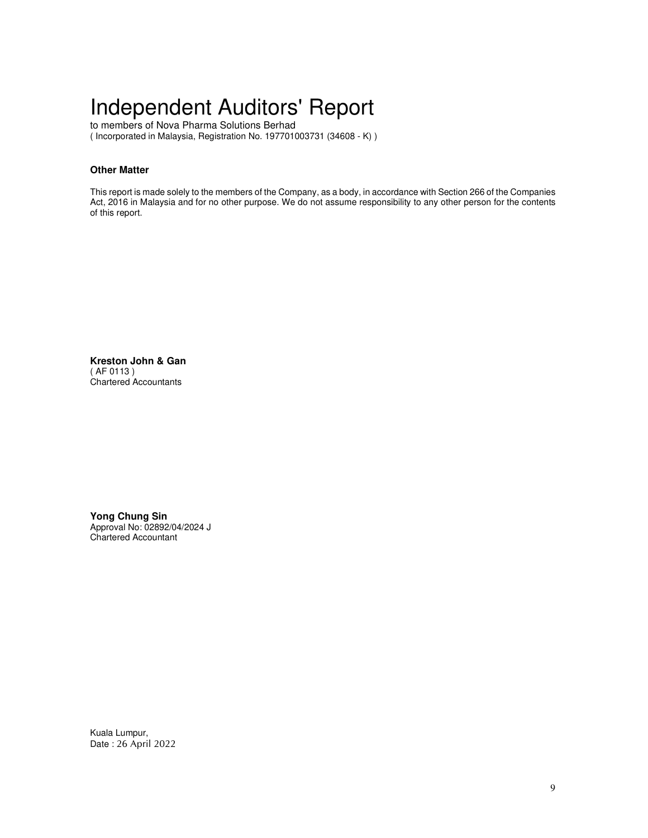to members of Nova Pharma Solutions Berhad ( Incorporated in Malaysia, Registration No. 197701003731 (34608 - K) )

# **Other Matter**

This report is made solely to the members of the Company, as a body, in accordance with Section 266 of the Companies Act, 2016 in Malaysia and for no other purpose. We do not assume responsibility to any other person for the contents of this report.

**Kreston John & Gan**  ( AF 0113 ) Chartered Accountants

**Yong Chung Sin**  Approval No: 02892/04/2024 J Chartered Accountant

Kuala Lumpur, Date : 26 April 2022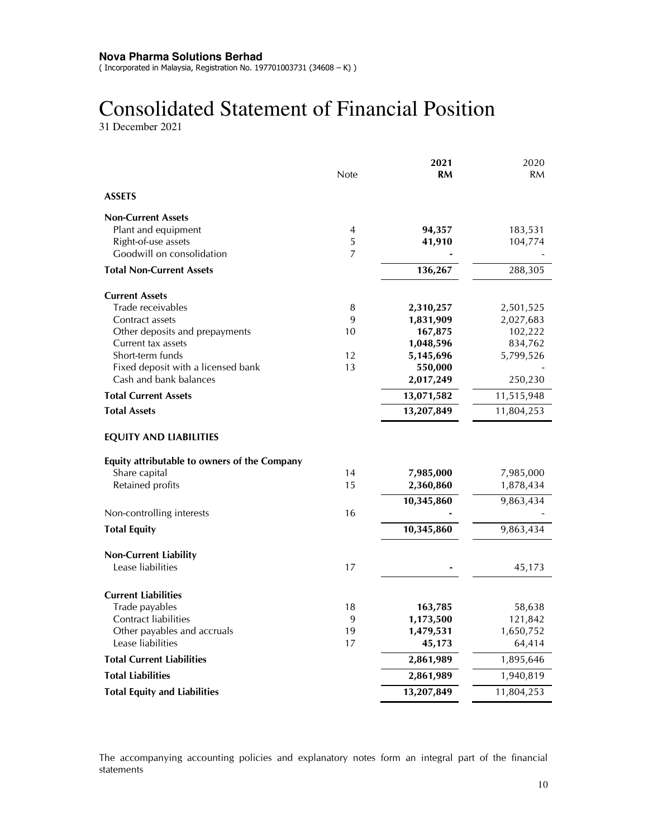# Consolidated Statement of Financial Position

31 December 2021

|                                              |                | 2021       | 2020       |
|----------------------------------------------|----------------|------------|------------|
|                                              | <b>Note</b>    | <b>RM</b>  | <b>RM</b>  |
| <b>ASSETS</b>                                |                |            |            |
| <b>Non-Current Assets</b>                    |                |            |            |
| Plant and equipment                          | 4              | 94,357     | 183,531    |
| Right-of-use assets                          | 5              | 41,910     | 104,774    |
| Goodwill on consolidation                    | $\overline{7}$ |            |            |
| <b>Total Non-Current Assets</b>              |                | 136,267    | 288,305    |
| <b>Current Assets</b>                        |                |            |            |
| Trade receivables                            | 8              | 2,310,257  | 2,501,525  |
| Contract assets                              | 9              | 1,831,909  | 2,027,683  |
| Other deposits and prepayments               | 10             | 167,875    | 102,222    |
| Current tax assets                           |                | 1,048,596  | 834,762    |
| Short-term funds                             | 12             | 5,145,696  | 5,799,526  |
| Fixed deposit with a licensed bank           | 13             | 550,000    |            |
| Cash and bank balances                       |                | 2,017,249  | 250,230    |
| <b>Total Current Assets</b>                  |                | 13,071,582 | 11,515,948 |
| <b>Total Assets</b>                          |                | 13,207,849 | 11,804,253 |
| <b>EQUITY AND LIABILITIES</b>                |                |            |            |
| Equity attributable to owners of the Company |                |            |            |
| Share capital                                | 14             | 7,985,000  | 7,985,000  |
| Retained profits                             | 15             | 2,360,860  | 1,878,434  |
|                                              |                | 10,345,860 | 9,863,434  |
| Non-controlling interests                    | 16             |            |            |
| <b>Total Equity</b>                          |                | 10,345,860 | 9,863,434  |
|                                              |                |            |            |
| <b>Non-Current Liability</b>                 |                |            |            |
| Lease liabilities                            | 17             |            | 45,173     |
| <b>Current Liabilities</b>                   |                |            |            |
| Trade payables                               | 18             | 163,785    | 58,638     |
| <b>Contract liabilities</b>                  | 9              | 1,173,500  | 121,842    |
| Other payables and accruals                  | 19             | 1,479,531  | 1,650,752  |
| Lease liabilities                            | 17             | 45,173     | 64,414     |
| <b>Total Current Liabilities</b>             |                | 2,861,989  | 1,895,646  |
| <b>Total Liabilities</b>                     |                | 2,861,989  | 1,940,819  |
| <b>Total Equity and Liabilities</b>          |                | 13,207,849 | 11,804,253 |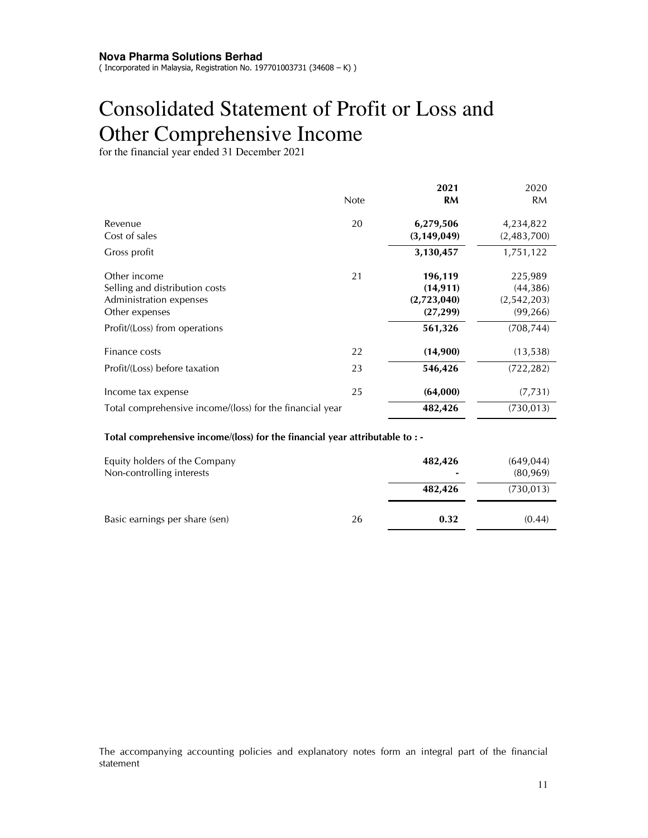# Consolidated Statement of Profit or Loss and Other Comprehensive Income

for the financial year ended 31 December 2021

| <b>Note</b> | <b>RM</b>                                                   | <b>RM</b>                                                      |
|-------------|-------------------------------------------------------------|----------------------------------------------------------------|
| 20          | 6,279,506<br>(3, 149, 049)                                  | 4,234,822<br>(2,483,700)                                       |
|             | 3,130,457                                                   | 1,751,122                                                      |
| 21          | 196,119<br>(14, 911)<br>(2,723,040)<br>(27, 299)<br>561,326 | 225,989<br>(44, 386)<br>(2,542,203)<br>(99, 266)<br>(708, 744) |
| 22<br>23    | (14,900)<br>546,426                                         | (13, 538)<br>(722, 282)                                        |
| 25          | (64,000)                                                    | (7, 731)<br>(730, 013)                                         |
|             |                                                             | 482,426                                                        |

# **Total comprehensive income/(loss) for the financial year attributable to : -**

| Equity holders of the Company<br>Non-controlling interests |    | 482,426<br>٠ | (649, 044)<br>(80, 969) |
|------------------------------------------------------------|----|--------------|-------------------------|
|                                                            |    | 482.426      | (730, 013)              |
| Basic earnings per share (sen)                             | 26 | 0.32         | (0.44)                  |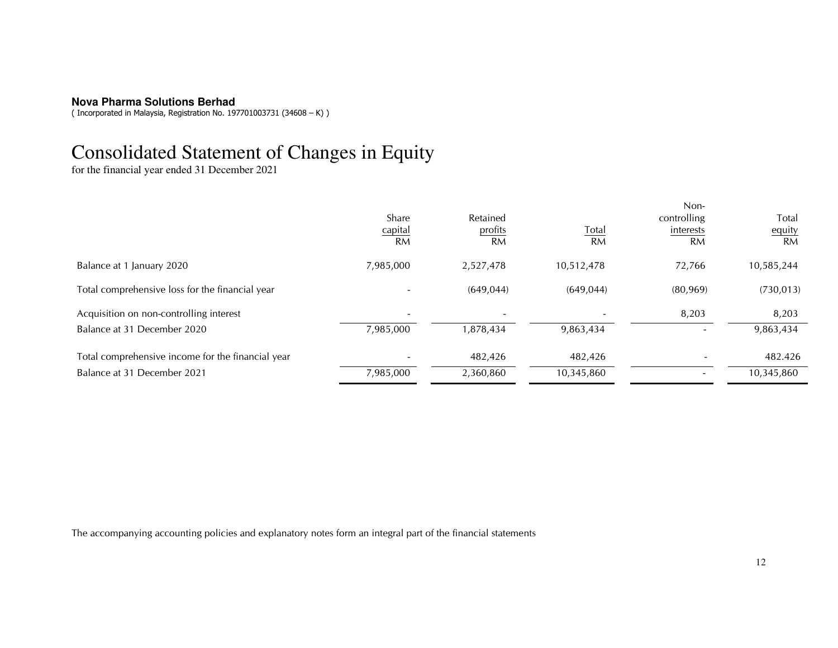( Incorporated in Malaysia, Registration No. 197701003731 (34608 – K) )

# Consolidated Statement of Changes in Equity

for the financial year ended 31 December 2021

|                                                   | Share<br>capital<br><b>RM</b> | Retained<br>profits<br><b>RM</b> | <u>Total</u><br><b>RM</b> | Non-<br>controlling<br>interests<br><b>RM</b> | Total<br>equity<br><b>RM</b> |
|---------------------------------------------------|-------------------------------|----------------------------------|---------------------------|-----------------------------------------------|------------------------------|
| Balance at 1 January 2020                         | 7,985,000                     | 2,527,478                        | 10,512,478                | 72,766                                        | 10,585,244                   |
| Total comprehensive loss for the financial year   |                               | (649, 044)                       | (649, 044)                | (80, 969)                                     | (730, 013)                   |
| Acquisition on non-controlling interest           |                               |                                  |                           | 8,203                                         | 8,203                        |
| Balance at 31 December 2020                       | 7,985,000                     | 1,878,434                        | 9,863,434                 | $\overline{\phantom{a}}$                      | 9,863,434                    |
| Total comprehensive income for the financial year |                               | 482,426                          | 482,426                   |                                               | 482.426                      |
| Balance at 31 December 2021                       | 7,985,000                     | 2,360,860                        | 10,345,860                |                                               | 10,345,860                   |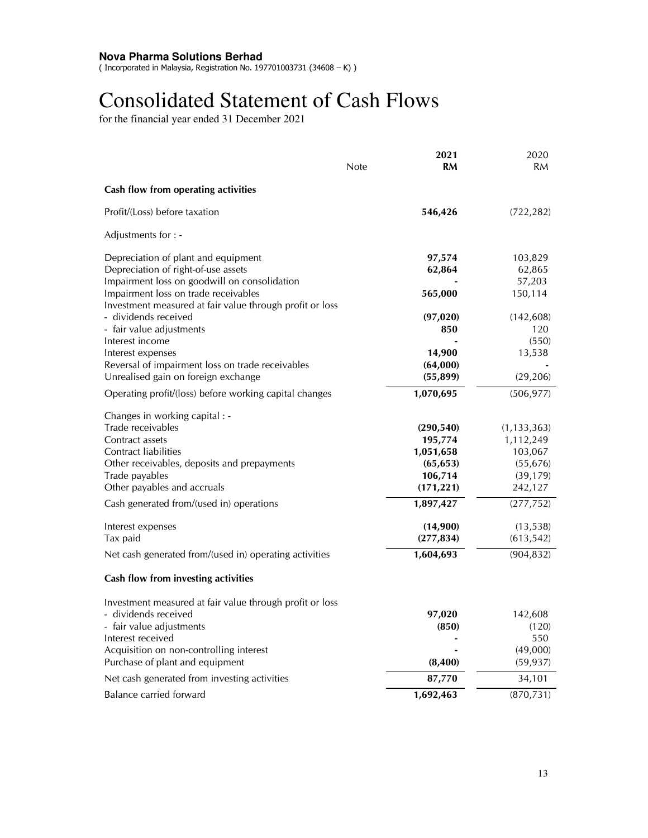( Incorporated in Malaysia, Registration No. 197701003731 (34608 – K) )

# Consolidated Statement of Cash Flows

for the financial year ended 31 December 2021

| Cash flow from operating activities<br>Profit/(Loss) before taxation<br>546,426<br>(722, 282)<br>Adjustments for : -<br>Depreciation of plant and equipment<br>97,574<br>103,829<br>Depreciation of right-of-use assets<br>62,864<br>62,865<br>Impairment loss on goodwill on consolidation<br>57,203<br>Impairment loss on trade receivables<br>565,000<br>150,114<br>Investment measured at fair value through profit or loss<br>- dividends received<br>(97, 020)<br>(142, 608)<br>- fair value adjustments<br>850<br>120<br>Interest income<br>(550)<br>14,900<br>13,538<br>Interest expenses<br>Reversal of impairment loss on trade receivables<br>(64,000)<br>Unrealised gain on foreign exchange<br>(55, 899)<br>(29, 206)<br>Operating profit/(loss) before working capital changes<br>1,070,695<br>(506, 977)<br>Changes in working capital : -<br>Trade receivables<br>(290, 540)<br>(1, 133, 363)<br>Contract assets<br>195,774<br>1,112,249<br>Contract liabilities<br>1,051,658<br>103,067<br>(55, 676)<br>Other receivables, deposits and prepayments<br>(65, 653)<br>Trade payables<br>106,714<br>(39, 179)<br>Other payables and accruals<br>(171, 221)<br>242,127<br>1,897,427<br>(277, 752)<br>Cash generated from/(used in) operations<br>(14,900)<br>(13, 538)<br>Interest expenses<br>Tax paid<br>(277, 834)<br>(613, 542)<br>1,604,693<br>(904, 832)<br>Net cash generated from/(used in) operating activities<br>Cash flow from investing activities<br>Investment measured at fair value through profit or loss<br>dividends received<br>97,020<br>142,608<br>- fair value adjustments<br>(850)<br>(120)<br>Interest received<br>550<br>Acquisition on non-controlling interest<br>(49,000)<br>Purchase of plant and equipment<br>(8,400)<br>(59, 937)<br>Net cash generated from investing activities<br>87,770<br>34,101<br>Balance carried forward<br>1,692,463<br>(870, 731) | Note | 2021<br><b>RM</b> | 2020<br><b>RM</b> |
|-----------------------------------------------------------------------------------------------------------------------------------------------------------------------------------------------------------------------------------------------------------------------------------------------------------------------------------------------------------------------------------------------------------------------------------------------------------------------------------------------------------------------------------------------------------------------------------------------------------------------------------------------------------------------------------------------------------------------------------------------------------------------------------------------------------------------------------------------------------------------------------------------------------------------------------------------------------------------------------------------------------------------------------------------------------------------------------------------------------------------------------------------------------------------------------------------------------------------------------------------------------------------------------------------------------------------------------------------------------------------------------------------------------------------------------------------------------------------------------------------------------------------------------------------------------------------------------------------------------------------------------------------------------------------------------------------------------------------------------------------------------------------------------------------------------------------------------------------------------------------------------------------------------|------|-------------------|-------------------|
|                                                                                                                                                                                                                                                                                                                                                                                                                                                                                                                                                                                                                                                                                                                                                                                                                                                                                                                                                                                                                                                                                                                                                                                                                                                                                                                                                                                                                                                                                                                                                                                                                                                                                                                                                                                                                                                                                                           |      |                   |                   |
|                                                                                                                                                                                                                                                                                                                                                                                                                                                                                                                                                                                                                                                                                                                                                                                                                                                                                                                                                                                                                                                                                                                                                                                                                                                                                                                                                                                                                                                                                                                                                                                                                                                                                                                                                                                                                                                                                                           |      |                   |                   |
|                                                                                                                                                                                                                                                                                                                                                                                                                                                                                                                                                                                                                                                                                                                                                                                                                                                                                                                                                                                                                                                                                                                                                                                                                                                                                                                                                                                                                                                                                                                                                                                                                                                                                                                                                                                                                                                                                                           |      |                   |                   |
|                                                                                                                                                                                                                                                                                                                                                                                                                                                                                                                                                                                                                                                                                                                                                                                                                                                                                                                                                                                                                                                                                                                                                                                                                                                                                                                                                                                                                                                                                                                                                                                                                                                                                                                                                                                                                                                                                                           |      |                   |                   |
|                                                                                                                                                                                                                                                                                                                                                                                                                                                                                                                                                                                                                                                                                                                                                                                                                                                                                                                                                                                                                                                                                                                                                                                                                                                                                                                                                                                                                                                                                                                                                                                                                                                                                                                                                                                                                                                                                                           |      |                   |                   |
|                                                                                                                                                                                                                                                                                                                                                                                                                                                                                                                                                                                                                                                                                                                                                                                                                                                                                                                                                                                                                                                                                                                                                                                                                                                                                                                                                                                                                                                                                                                                                                                                                                                                                                                                                                                                                                                                                                           |      |                   |                   |
|                                                                                                                                                                                                                                                                                                                                                                                                                                                                                                                                                                                                                                                                                                                                                                                                                                                                                                                                                                                                                                                                                                                                                                                                                                                                                                                                                                                                                                                                                                                                                                                                                                                                                                                                                                                                                                                                                                           |      |                   |                   |
|                                                                                                                                                                                                                                                                                                                                                                                                                                                                                                                                                                                                                                                                                                                                                                                                                                                                                                                                                                                                                                                                                                                                                                                                                                                                                                                                                                                                                                                                                                                                                                                                                                                                                                                                                                                                                                                                                                           |      |                   |                   |
|                                                                                                                                                                                                                                                                                                                                                                                                                                                                                                                                                                                                                                                                                                                                                                                                                                                                                                                                                                                                                                                                                                                                                                                                                                                                                                                                                                                                                                                                                                                                                                                                                                                                                                                                                                                                                                                                                                           |      |                   |                   |
|                                                                                                                                                                                                                                                                                                                                                                                                                                                                                                                                                                                                                                                                                                                                                                                                                                                                                                                                                                                                                                                                                                                                                                                                                                                                                                                                                                                                                                                                                                                                                                                                                                                                                                                                                                                                                                                                                                           |      |                   |                   |
|                                                                                                                                                                                                                                                                                                                                                                                                                                                                                                                                                                                                                                                                                                                                                                                                                                                                                                                                                                                                                                                                                                                                                                                                                                                                                                                                                                                                                                                                                                                                                                                                                                                                                                                                                                                                                                                                                                           |      |                   |                   |
|                                                                                                                                                                                                                                                                                                                                                                                                                                                                                                                                                                                                                                                                                                                                                                                                                                                                                                                                                                                                                                                                                                                                                                                                                                                                                                                                                                                                                                                                                                                                                                                                                                                                                                                                                                                                                                                                                                           |      |                   |                   |
|                                                                                                                                                                                                                                                                                                                                                                                                                                                                                                                                                                                                                                                                                                                                                                                                                                                                                                                                                                                                                                                                                                                                                                                                                                                                                                                                                                                                                                                                                                                                                                                                                                                                                                                                                                                                                                                                                                           |      |                   |                   |
|                                                                                                                                                                                                                                                                                                                                                                                                                                                                                                                                                                                                                                                                                                                                                                                                                                                                                                                                                                                                                                                                                                                                                                                                                                                                                                                                                                                                                                                                                                                                                                                                                                                                                                                                                                                                                                                                                                           |      |                   |                   |
|                                                                                                                                                                                                                                                                                                                                                                                                                                                                                                                                                                                                                                                                                                                                                                                                                                                                                                                                                                                                                                                                                                                                                                                                                                                                                                                                                                                                                                                                                                                                                                                                                                                                                                                                                                                                                                                                                                           |      |                   |                   |
|                                                                                                                                                                                                                                                                                                                                                                                                                                                                                                                                                                                                                                                                                                                                                                                                                                                                                                                                                                                                                                                                                                                                                                                                                                                                                                                                                                                                                                                                                                                                                                                                                                                                                                                                                                                                                                                                                                           |      |                   |                   |
|                                                                                                                                                                                                                                                                                                                                                                                                                                                                                                                                                                                                                                                                                                                                                                                                                                                                                                                                                                                                                                                                                                                                                                                                                                                                                                                                                                                                                                                                                                                                                                                                                                                                                                                                                                                                                                                                                                           |      |                   |                   |
|                                                                                                                                                                                                                                                                                                                                                                                                                                                                                                                                                                                                                                                                                                                                                                                                                                                                                                                                                                                                                                                                                                                                                                                                                                                                                                                                                                                                                                                                                                                                                                                                                                                                                                                                                                                                                                                                                                           |      |                   |                   |
|                                                                                                                                                                                                                                                                                                                                                                                                                                                                                                                                                                                                                                                                                                                                                                                                                                                                                                                                                                                                                                                                                                                                                                                                                                                                                                                                                                                                                                                                                                                                                                                                                                                                                                                                                                                                                                                                                                           |      |                   |                   |
|                                                                                                                                                                                                                                                                                                                                                                                                                                                                                                                                                                                                                                                                                                                                                                                                                                                                                                                                                                                                                                                                                                                                                                                                                                                                                                                                                                                                                                                                                                                                                                                                                                                                                                                                                                                                                                                                                                           |      |                   |                   |
|                                                                                                                                                                                                                                                                                                                                                                                                                                                                                                                                                                                                                                                                                                                                                                                                                                                                                                                                                                                                                                                                                                                                                                                                                                                                                                                                                                                                                                                                                                                                                                                                                                                                                                                                                                                                                                                                                                           |      |                   |                   |
|                                                                                                                                                                                                                                                                                                                                                                                                                                                                                                                                                                                                                                                                                                                                                                                                                                                                                                                                                                                                                                                                                                                                                                                                                                                                                                                                                                                                                                                                                                                                                                                                                                                                                                                                                                                                                                                                                                           |      |                   |                   |
|                                                                                                                                                                                                                                                                                                                                                                                                                                                                                                                                                                                                                                                                                                                                                                                                                                                                                                                                                                                                                                                                                                                                                                                                                                                                                                                                                                                                                                                                                                                                                                                                                                                                                                                                                                                                                                                                                                           |      |                   |                   |
|                                                                                                                                                                                                                                                                                                                                                                                                                                                                                                                                                                                                                                                                                                                                                                                                                                                                                                                                                                                                                                                                                                                                                                                                                                                                                                                                                                                                                                                                                                                                                                                                                                                                                                                                                                                                                                                                                                           |      |                   |                   |
|                                                                                                                                                                                                                                                                                                                                                                                                                                                                                                                                                                                                                                                                                                                                                                                                                                                                                                                                                                                                                                                                                                                                                                                                                                                                                                                                                                                                                                                                                                                                                                                                                                                                                                                                                                                                                                                                                                           |      |                   |                   |
|                                                                                                                                                                                                                                                                                                                                                                                                                                                                                                                                                                                                                                                                                                                                                                                                                                                                                                                                                                                                                                                                                                                                                                                                                                                                                                                                                                                                                                                                                                                                                                                                                                                                                                                                                                                                                                                                                                           |      |                   |                   |
|                                                                                                                                                                                                                                                                                                                                                                                                                                                                                                                                                                                                                                                                                                                                                                                                                                                                                                                                                                                                                                                                                                                                                                                                                                                                                                                                                                                                                                                                                                                                                                                                                                                                                                                                                                                                                                                                                                           |      |                   |                   |
|                                                                                                                                                                                                                                                                                                                                                                                                                                                                                                                                                                                                                                                                                                                                                                                                                                                                                                                                                                                                                                                                                                                                                                                                                                                                                                                                                                                                                                                                                                                                                                                                                                                                                                                                                                                                                                                                                                           |      |                   |                   |
|                                                                                                                                                                                                                                                                                                                                                                                                                                                                                                                                                                                                                                                                                                                                                                                                                                                                                                                                                                                                                                                                                                                                                                                                                                                                                                                                                                                                                                                                                                                                                                                                                                                                                                                                                                                                                                                                                                           |      |                   |                   |
|                                                                                                                                                                                                                                                                                                                                                                                                                                                                                                                                                                                                                                                                                                                                                                                                                                                                                                                                                                                                                                                                                                                                                                                                                                                                                                                                                                                                                                                                                                                                                                                                                                                                                                                                                                                                                                                                                                           |      |                   |                   |
|                                                                                                                                                                                                                                                                                                                                                                                                                                                                                                                                                                                                                                                                                                                                                                                                                                                                                                                                                                                                                                                                                                                                                                                                                                                                                                                                                                                                                                                                                                                                                                                                                                                                                                                                                                                                                                                                                                           |      |                   |                   |
|                                                                                                                                                                                                                                                                                                                                                                                                                                                                                                                                                                                                                                                                                                                                                                                                                                                                                                                                                                                                                                                                                                                                                                                                                                                                                                                                                                                                                                                                                                                                                                                                                                                                                                                                                                                                                                                                                                           |      |                   |                   |
|                                                                                                                                                                                                                                                                                                                                                                                                                                                                                                                                                                                                                                                                                                                                                                                                                                                                                                                                                                                                                                                                                                                                                                                                                                                                                                                                                                                                                                                                                                                                                                                                                                                                                                                                                                                                                                                                                                           |      |                   |                   |
|                                                                                                                                                                                                                                                                                                                                                                                                                                                                                                                                                                                                                                                                                                                                                                                                                                                                                                                                                                                                                                                                                                                                                                                                                                                                                                                                                                                                                                                                                                                                                                                                                                                                                                                                                                                                                                                                                                           |      |                   |                   |
|                                                                                                                                                                                                                                                                                                                                                                                                                                                                                                                                                                                                                                                                                                                                                                                                                                                                                                                                                                                                                                                                                                                                                                                                                                                                                                                                                                                                                                                                                                                                                                                                                                                                                                                                                                                                                                                                                                           |      |                   |                   |
|                                                                                                                                                                                                                                                                                                                                                                                                                                                                                                                                                                                                                                                                                                                                                                                                                                                                                                                                                                                                                                                                                                                                                                                                                                                                                                                                                                                                                                                                                                                                                                                                                                                                                                                                                                                                                                                                                                           |      |                   |                   |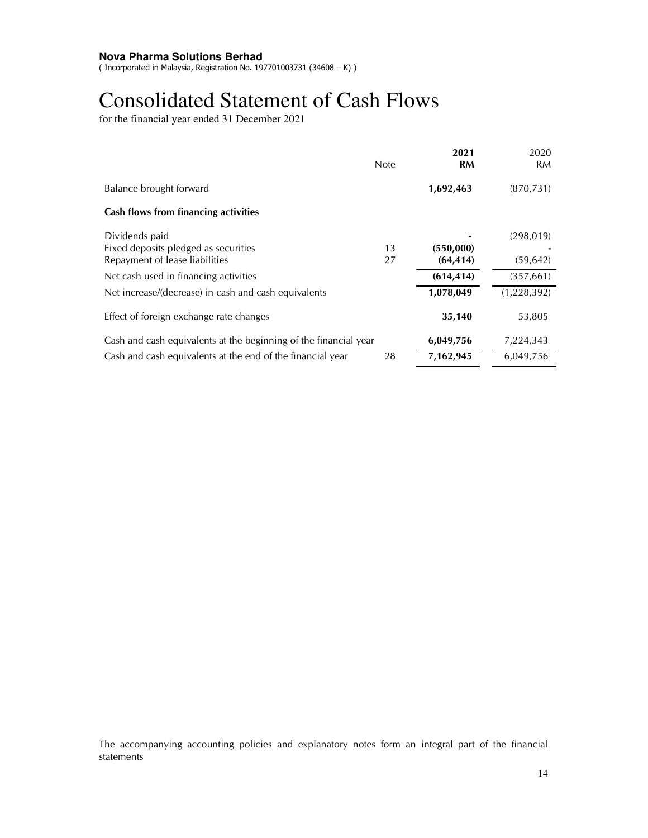( Incorporated in Malaysia, Registration No. 197701003731 (34608 – K) )

# Consolidated Statement of Cash Flows

for the financial year ended 31 December 2021

|                                                                  | <b>Note</b> | 2021<br><b>RM</b> | 2020<br>RM. |
|------------------------------------------------------------------|-------------|-------------------|-------------|
| Balance brought forward                                          |             | 1,692,463         | (870, 731)  |
| Cash flows from financing activities                             |             |                   |             |
| Dividends paid                                                   |             |                   | (298, 019)  |
| Fixed deposits pledged as securities                             | 13          | (550,000)         |             |
| Repayment of lease liabilities                                   | 27          | (64, 414)         | (59, 642)   |
| Net cash used in financing activities                            |             | (614, 414)        | (357, 661)  |
| Net increase/(decrease) in cash and cash equivalents             |             | 1,078,049         | (1,228,392) |
| Effect of foreign exchange rate changes                          |             | 35,140            | 53,805      |
| Cash and cash equivalents at the beginning of the financial year |             | 6,049,756         | 7,224,343   |
| Cash and cash equivalents at the end of the financial year       | 28          | 7,162,945         | 6,049,756   |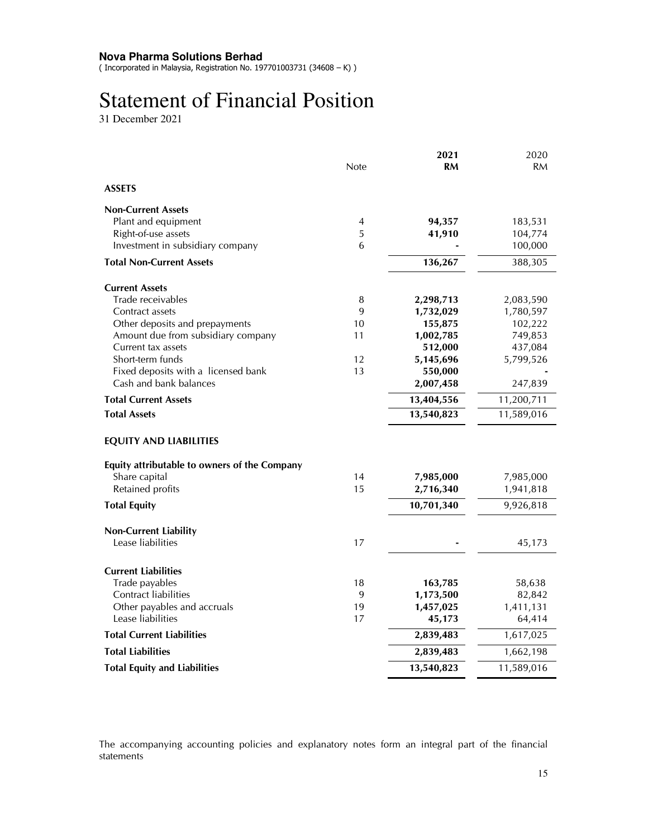( Incorporated in Malaysia, Registration No. 197701003731 (34608 – K) )

# Statement of Financial Position

31 December 2021

|                                              |             | 2021       | 2020       |
|----------------------------------------------|-------------|------------|------------|
|                                              | <b>Note</b> | RM         | <b>RM</b>  |
| <b>ASSETS</b>                                |             |            |            |
| <b>Non-Current Assets</b>                    |             |            |            |
| Plant and equipment                          | 4           | 94,357     | 183,531    |
| Right-of-use assets                          | 5           | 41,910     | 104,774    |
| Investment in subsidiary company             | 6           |            | 100,000    |
| <b>Total Non-Current Assets</b>              |             | 136,267    | 388,305    |
| <b>Current Assets</b>                        |             |            |            |
| Trade receivables                            | 8           | 2,298,713  | 2,083,590  |
| Contract assets                              | 9           | 1,732,029  | 1,780,597  |
| Other deposits and prepayments               | 10          | 155,875    | 102,222    |
| Amount due from subsidiary company           | 11          | 1,002,785  | 749,853    |
| Current tax assets                           |             | 512,000    | 437,084    |
| Short-term funds                             | 12          | 5,145,696  | 5,799,526  |
| Fixed deposits with a licensed bank          | 13          | 550,000    |            |
| Cash and bank balances                       |             | 2,007,458  | 247,839    |
| <b>Total Current Assets</b>                  |             | 13,404,556 | 11,200,711 |
| <b>Total Assets</b>                          |             | 13,540,823 | 11,589,016 |
| <b>EQUITY AND LIABILITIES</b>                |             |            |            |
| Equity attributable to owners of the Company |             |            |            |
| Share capital                                | 14          | 7,985,000  | 7,985,000  |
| Retained profits                             | 15          | 2,716,340  | 1,941,818  |
| <b>Total Equity</b>                          |             | 10,701,340 | 9,926,818  |
| <b>Non-Current Liability</b>                 |             |            |            |
| Lease liabilities                            | 17          |            | 45,173     |
| <b>Current Liabilities</b>                   |             |            |            |
| Trade payables                               | 18          | 163,785    | 58,638     |
| <b>Contract liabilities</b>                  | 9           | 1,173,500  | 82,842     |
| Other payables and accruals                  | 19          | 1,457,025  | 1,411,131  |
| Lease liabilities                            | 17          | 45,173     | 64,414     |
| <b>Total Current Liabilities</b>             |             | 2,839,483  | 1,617,025  |
| <b>Total Liabilities</b>                     |             | 2,839,483  | 1,662,198  |
| <b>Total Equity and Liabilities</b>          |             | 13,540,823 | 11,589,016 |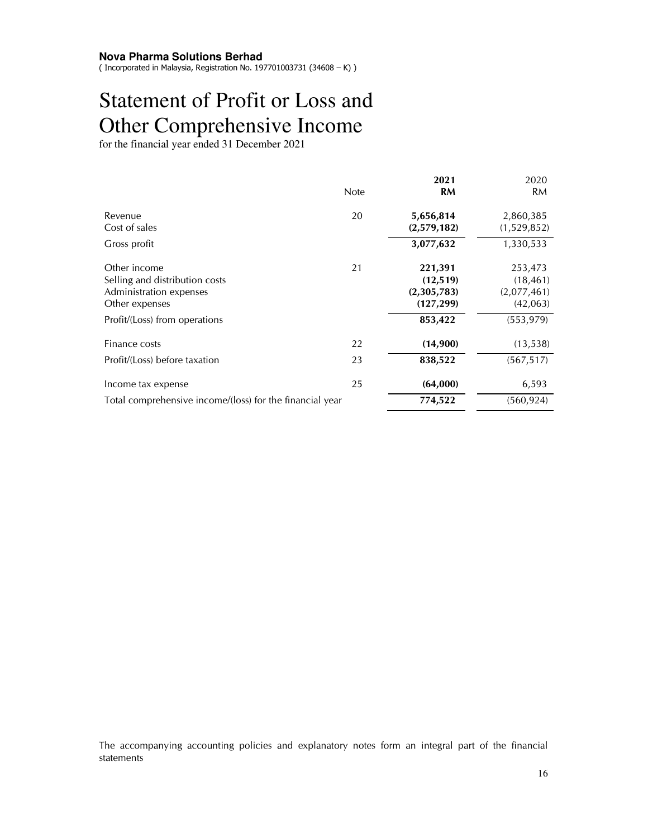( Incorporated in Malaysia, Registration No. 197701003731 (34608 – K) )

# Statement of Profit or Loss and Other Comprehensive Income

for the financial year ended 31 December 2021

|                                                                                             |             | 2021                                              | 2020                                            |
|---------------------------------------------------------------------------------------------|-------------|---------------------------------------------------|-------------------------------------------------|
|                                                                                             | <b>Note</b> | <b>RM</b>                                         | <b>RM</b>                                       |
| Revenue<br>Cost of sales                                                                    | 20          | 5,656,814<br>(2,579,182)                          | 2,860,385<br>(1,529,852)                        |
| Gross profit                                                                                |             | 3,077,632                                         | 1,330,533                                       |
| Other income<br>Selling and distribution costs<br>Administration expenses<br>Other expenses | 21          | 221,391<br>(12, 519)<br>(2,305,783)<br>(127, 299) | 253,473<br>(18, 461)<br>(2,077,461)<br>(42,063) |
| Profit/(Loss) from operations                                                               |             | 853,422                                           | (553, 979)                                      |
| Finance costs                                                                               | 22          | (14,900)                                          | (13, 538)                                       |
| Profit/(Loss) before taxation                                                               | 23          | 838,522                                           | (567, 517)                                      |
| Income tax expense                                                                          | 25          | (64,000)                                          | 6,593                                           |
| Total comprehensive income/(loss) for the financial year                                    |             | 774,522                                           | (560, 924)                                      |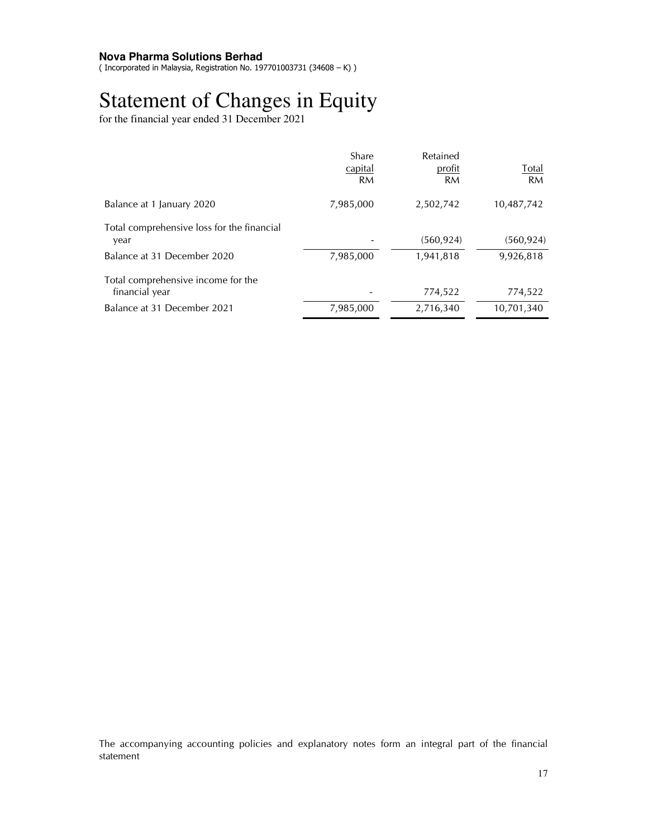( Incorporated in Malaysia, Registration No. 197701003731 (34608 – K) )

# Statement of Changes in Equity

for the financial year ended 31 December 2021

|                                                      | Share<br>capital<br><b>RM</b> | Retained<br>profit<br><b>RM</b> | Total<br><b>RM</b> |
|------------------------------------------------------|-------------------------------|---------------------------------|--------------------|
| Balance at 1 January 2020                            | 7,985,000                     | 2,502,742                       | 10,487,742         |
| Total comprehensive loss for the financial<br>year   |                               | (560, 924)                      | (560, 924)         |
| Balance at 31 December 2020                          | 7,985,000                     | 1,941,818                       | 9,926,818          |
| Total comprehensive income for the<br>financial year |                               | 774,522                         | 774,522            |
| Balance at 31 December 2021                          | 7,985,000                     | 2,716,340                       | 10,701,340         |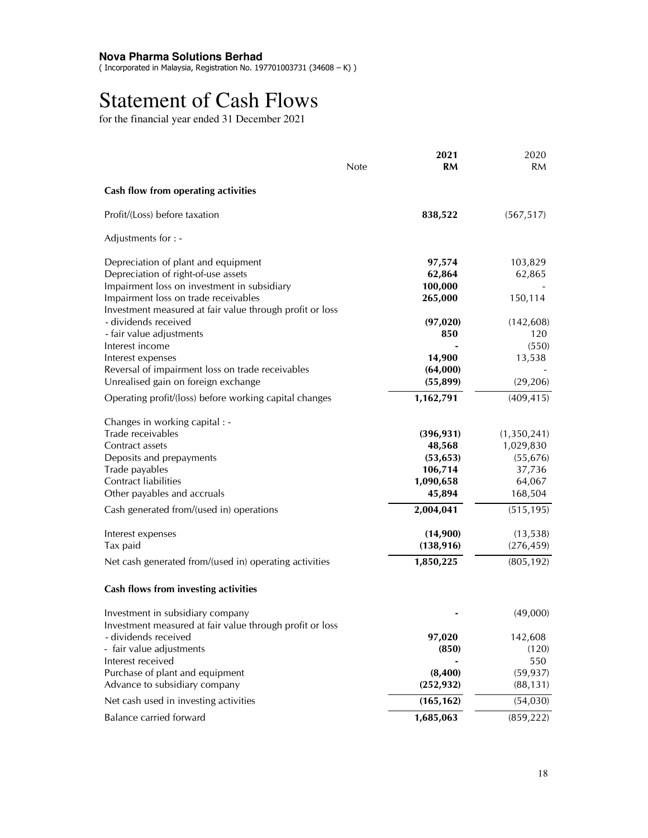( Incorporated in Malaysia, Registration No. 197701003731 (34608 – K) )

# Statement of Cash Flows

for the financial year ended 31 December 2021

|                                                                                                  | <b>Note</b> | 2021<br><b>RM</b>  | 2020<br><b>RM</b> |
|--------------------------------------------------------------------------------------------------|-------------|--------------------|-------------------|
| Cash flow from operating activities                                                              |             |                    |                   |
| Profit/(Loss) before taxation                                                                    |             | 838,522            | (567, 517)        |
| Adjustments for : -                                                                              |             |                    |                   |
| Depreciation of plant and equipment<br>Depreciation of right-of-use assets                       |             | 97,574<br>62,864   | 103,829<br>62,865 |
| Impairment loss on investment in subsidiary                                                      |             | 100,000            |                   |
| Impairment loss on trade receivables<br>Investment measured at fair value through profit or loss |             | 265,000            | 150,114           |
| - dividends received                                                                             |             | (97, 020)          | (142, 608)        |
| - fair value adjustments                                                                         |             | 850                | 120               |
| Interest income                                                                                  |             |                    | (550)             |
| Interest expenses                                                                                |             | 14,900<br>(64,000) | 13,538            |
| Reversal of impairment loss on trade receivables<br>Unrealised gain on foreign exchange          |             | (55, 899)          | (29, 206)         |
|                                                                                                  |             |                    |                   |
| Operating profit/(loss) before working capital changes                                           |             | 1,162,791          | (409, 415)        |
| Changes in working capital : -                                                                   |             |                    |                   |
| Trade receivables                                                                                |             | (396, 931)         | (1, 350, 241)     |
| Contract assets                                                                                  |             | 48,568             | 1,029,830         |
| Deposits and prepayments                                                                         |             | (53, 653)          | (55, 676)         |
| Trade payables                                                                                   |             | 106,714            | 37,736            |
| Contract liabilities                                                                             |             | 1,090,658          | 64,067            |
| Other payables and accruals                                                                      |             | 45,894             | 168,504           |
| Cash generated from/(used in) operations                                                         |             | 2,004,041          | (515, 195)        |
| Interest expenses                                                                                |             | (14,900)           | (13, 538)         |
| Tax paid                                                                                         |             | (138, 916)         | (276, 459)        |
| Net cash generated from/(used in) operating activities                                           |             | 1,850,225          | (805, 192)        |
| Cash flows from investing activities                                                             |             |                    |                   |
| Investment in subsidiary company                                                                 |             |                    | (49,000)          |
| Investment measured at fair value through profit or loss<br>- dividends received                 |             | 97,020             |                   |
| - fair value adjustments                                                                         |             | (850)              | 142,608<br>(120)  |
| Interest received                                                                                |             |                    | 550               |
| Purchase of plant and equipment                                                                  |             | (8,400)            | (59, 937)         |
| Advance to subsidiary company                                                                    |             | (252, 932)         | (88, 131)         |
| Net cash used in investing activities                                                            |             | (165, 162)         | (54,030)          |
| Balance carried forward                                                                          |             | 1,685,063          | (859, 222)        |
|                                                                                                  |             |                    |                   |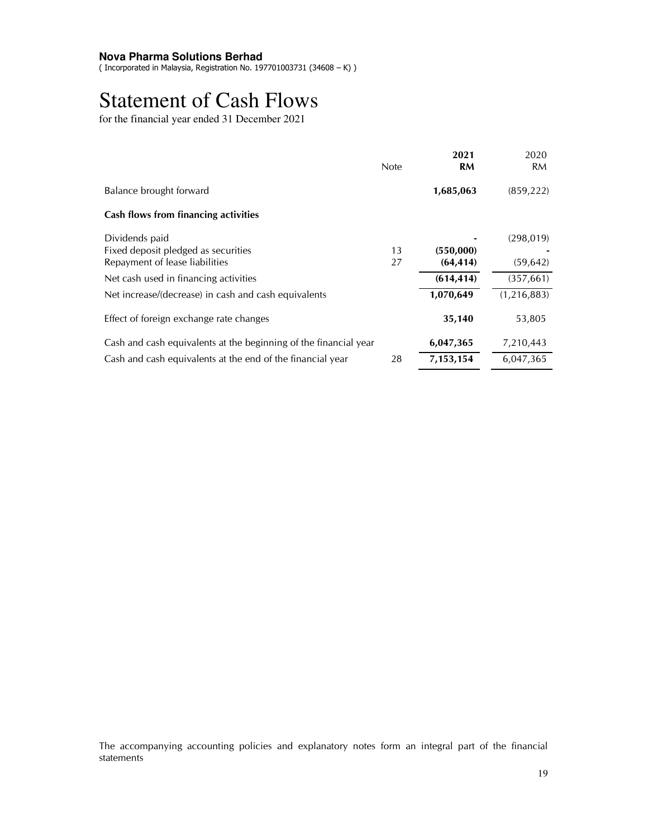( Incorporated in Malaysia, Registration No. 197701003731 (34608 – K) )

# Statement of Cash Flows

for the financial year ended 31 December 2021

|                                                                  |             | 2021       | 2020          |
|------------------------------------------------------------------|-------------|------------|---------------|
|                                                                  | <b>Note</b> | <b>RM</b>  | <b>RM</b>     |
| Balance brought forward                                          |             | 1,685,063  | (859, 222)    |
| Cash flows from financing activities                             |             |            |               |
| Dividends paid                                                   |             |            | (298, 019)    |
| Fixed deposit pledged as securities                              | 13          | (550,000)  |               |
| Repayment of lease liabilities                                   | 27          | (64, 414)  | (59, 642)     |
| Net cash used in financing activities                            |             | (614, 414) | (357, 661)    |
| Net increase/(decrease) in cash and cash equivalents             |             | 1,070,649  | (1, 216, 883) |
| Effect of foreign exchange rate changes                          |             | 35,140     | 53,805        |
| Cash and cash equivalents at the beginning of the financial year |             | 6,047,365  | 7,210,443     |
| Cash and cash equivalents at the end of the financial year       | 28          | 7,153,154  | 6,047,365     |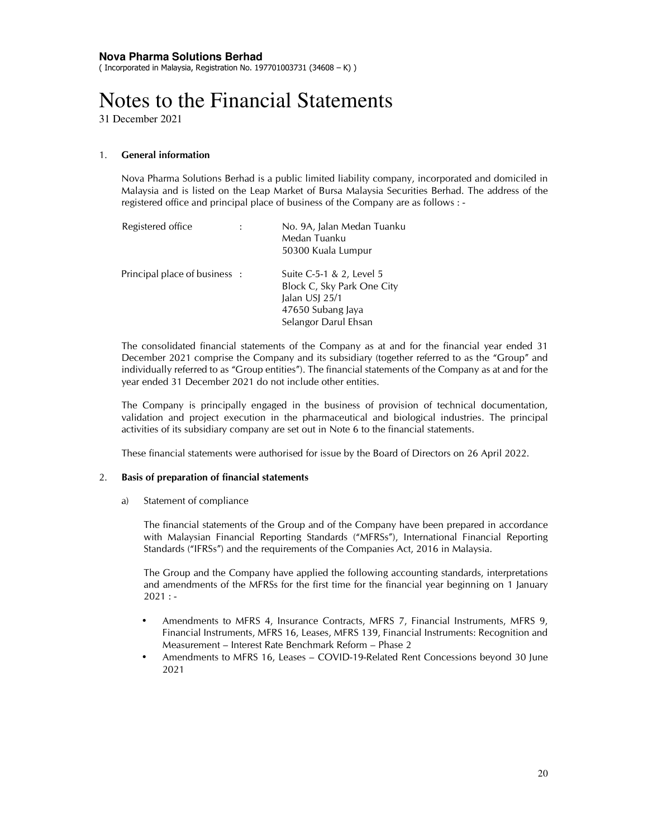# Notes to the Financial Statements

31 December 2021

## 1. **General information**

Nova Pharma Solutions Berhad is a public limited liability company, incorporated and domiciled in Malaysia and is listed on the Leap Market of Bursa Malaysia Securities Berhad. The address of the registered office and principal place of business of the Company are as follows : -

| Registered office             | $\ddot{\cdot}$ | No. 9A, Jalan Medan Tuanku<br>Medan Tuanku<br>50300 Kuala Lumpur                                                      |
|-------------------------------|----------------|-----------------------------------------------------------------------------------------------------------------------|
| Principal place of business : |                | Suite C-5-1 & 2, Level 5<br>Block C, Sky Park One City<br>Jalan USJ 25/1<br>47650 Subang Jaya<br>Selangor Darul Ehsan |

The consolidated financial statements of the Company as at and for the financial year ended 31 December 2021 comprise the Company and its subsidiary (together referred to as the "Group" and individually referred to as "Group entities"). The financial statements of the Company as at and for the year ended 31 December 2021 do not include other entities.

The Company is principally engaged in the business of provision of technical documentation, validation and project execution in the pharmaceutical and biological industries. The principal activities of its subsidiary company are set out in Note 6 to the financial statements.

These financial statements were authorised for issue by the Board of Directors on 26 April 2022.

### 2. **Basis of preparation of financial statements**

a) Statement of compliance

The financial statements of the Group and of the Company have been prepared in accordance with Malaysian Financial Reporting Standards ("MFRSs"), International Financial Reporting Standards ("IFRSs") and the requirements of the Companies Act, 2016 in Malaysia.

The Group and the Company have applied the following accounting standards, interpretations and amendments of the MFRSs for the first time for the financial year beginning on 1 January  $2021: -$ 

- Amendments to MFRS 4, Insurance Contracts, MFRS 7, Financial Instruments, MFRS 9, Financial Instruments, MFRS 16, Leases, MFRS 139, Financial Instruments: Recognition and Measurement – Interest Rate Benchmark Reform – Phase 2
- Amendments to MFRS 16, Leases COVID-19-Related Rent Concessions beyond 30 June 2021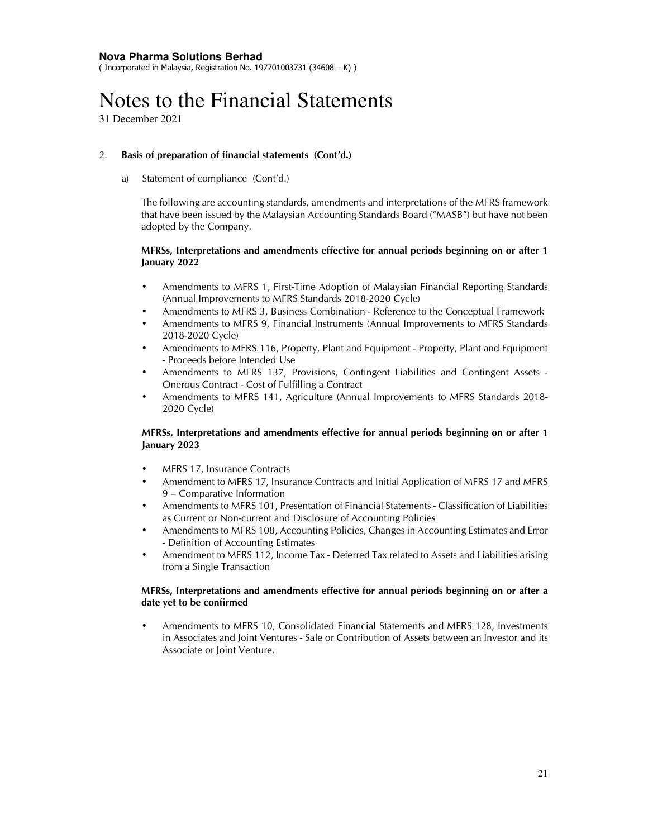( Incorporated in Malaysia, Registration No. 197701003731 (34608 – K) )

# Notes to the Financial Statements

31 December 2021

## 2. **Basis of preparation of financial statements (Cont'd.)**

a) Statement of compliance (Cont'd.)

The following are accounting standards, amendments and interpretations of the MFRS framework that have been issued by the Malaysian Accounting Standards Board ("MASB") but have not been adopted by the Company.

## **MFRSs, Interpretations and amendments effective for annual periods beginning on or after 1 January 2022**

- Amendments to MFRS 1, First-Time Adoption of Malaysian Financial Reporting Standards (Annual Improvements to MFRS Standards 2018-2020 Cycle)
- Amendments to MFRS 3, Business Combination Reference to the Conceptual Framework
- Amendments to MFRS 9, Financial Instruments (Annual Improvements to MFRS Standards 2018-2020 Cycle)
- Amendments to MFRS 116, Property, Plant and Equipment Property, Plant and Equipment - Proceeds before Intended Use
- Amendments to MFRS 137, Provisions, Contingent Liabilities and Contingent Assets Onerous Contract - Cost of Fulfilling a Contract
- Amendments to MFRS 141, Agriculture (Annual Improvements to MFRS Standards 2018- 2020 Cycle)

## **MFRSs, Interpretations and amendments effective for annual periods beginning on or after 1 January 2023**

- MFRS 17, Insurance Contracts
- Amendment to MFRS 17, Insurance Contracts and Initial Application of MFRS 17 and MFRS 9 – Comparative Information
- Amendments to MFRS 101, Presentation of Financial Statements Classification of Liabilities as Current or Non-current and Disclosure of Accounting Policies
- Amendments to MFRS 108, Accounting Policies, Changes in Accounting Estimates and Error - Definition of Accounting Estimates
- Amendment to MFRS 112, Income Tax Deferred Tax related to Assets and Liabilities arising from a Single Transaction

## **MFRSs, Interpretations and amendments effective for annual periods beginning on or after a date yet to be confirmed**

• Amendments to MFRS 10, Consolidated Financial Statements and MFRS 128, Investments in Associates and Joint Ventures - Sale or Contribution of Assets between an Investor and its Associate or Joint Venture.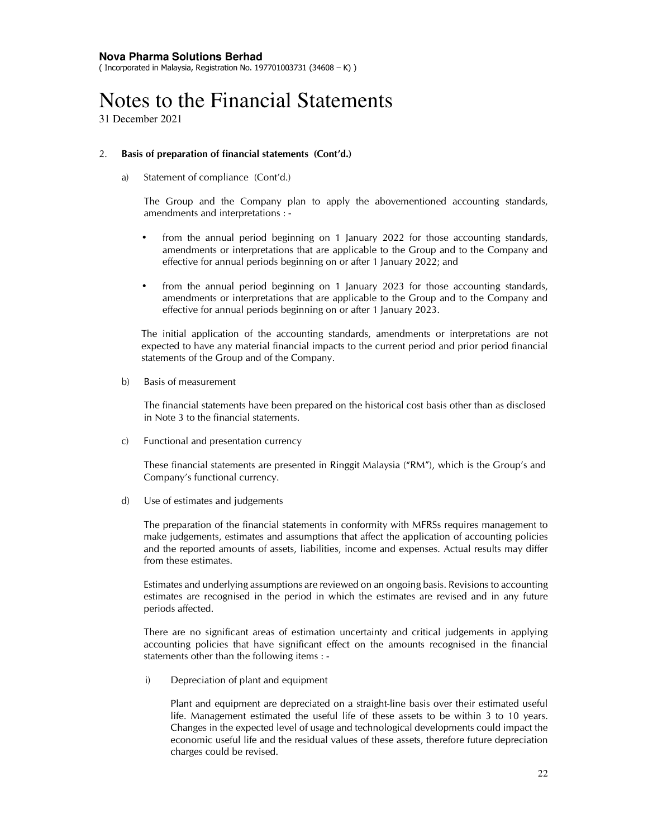# Notes to the Financial Statements

31 December 2021

### 2. **Basis of preparation of financial statements (Cont'd.)**

a) Statement of compliance (Cont'd.)

The Group and the Company plan to apply the abovementioned accounting standards, amendments and interpretations : -

- from the annual period beginning on 1 January 2022 for those accounting standards, amendments or interpretations that are applicable to the Group and to the Company and effective for annual periods beginning on or after 1 January 2022; and
- from the annual period beginning on 1 January 2023 for those accounting standards, amendments or interpretations that are applicable to the Group and to the Company and effective for annual periods beginning on or after 1 January 2023.

The initial application of the accounting standards, amendments or interpretations are not expected to have any material financial impacts to the current period and prior period financial statements of the Group and of the Company.

b) Basis of measurement

The financial statements have been prepared on the historical cost basis other than as disclosed in Note 3 to the financial statements.

c) Functional and presentation currency

These financial statements are presented in Ringgit Malaysia ("RM"), which is the Group's and Company's functional currency.

d) Use of estimates and judgements

The preparation of the financial statements in conformity with MFRSs requires management to make judgements, estimates and assumptions that affect the application of accounting policies and the reported amounts of assets, liabilities, income and expenses. Actual results may differ from these estimates.

Estimates and underlying assumptions are reviewed on an ongoing basis. Revisions to accounting estimates are recognised in the period in which the estimates are revised and in any future periods affected.

There are no significant areas of estimation uncertainty and critical judgements in applying accounting policies that have significant effect on the amounts recognised in the financial statements other than the following items : -

i) Depreciation of plant and equipment

Plant and equipment are depreciated on a straight-line basis over their estimated useful life. Management estimated the useful life of these assets to be within 3 to 10 years. Changes in the expected level of usage and technological developments could impact the economic useful life and the residual values of these assets, therefore future depreciation charges could be revised.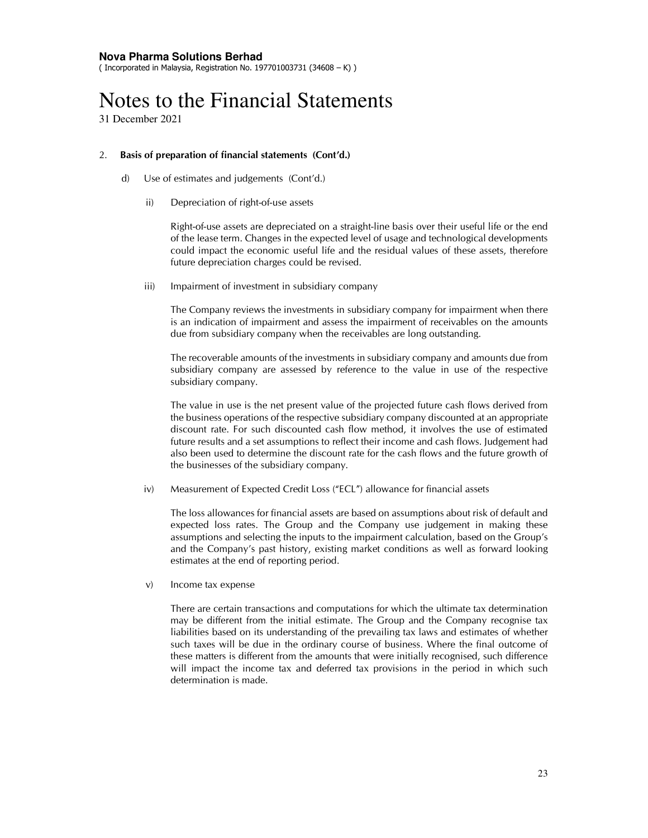# Notes to the Financial Statements

31 December 2021

### 2. **Basis of preparation of financial statements (Cont'd.)**

- d) Use of estimates and judgements (Cont'd.)
	- ii) Depreciation of right-of-use assets

Right-of-use assets are depreciated on a straight-line basis over their useful life or the end of the lease term. Changes in the expected level of usage and technological developments could impact the economic useful life and the residual values of these assets, therefore future depreciation charges could be revised.

iii) Impairment of investment in subsidiary company

The Company reviews the investments in subsidiary company for impairment when there is an indication of impairment and assess the impairment of receivables on the amounts due from subsidiary company when the receivables are long outstanding.

The recoverable amounts of the investments in subsidiary company and amounts due from subsidiary company are assessed by reference to the value in use of the respective subsidiary company.

The value in use is the net present value of the projected future cash flows derived from the business operations of the respective subsidiary company discounted at an appropriate discount rate. For such discounted cash flow method, it involves the use of estimated future results and a set assumptions to reflect their income and cash flows. Judgement had also been used to determine the discount rate for the cash flows and the future growth of the businesses of the subsidiary company.

iv) Measurement of Expected Credit Loss ("ECL") allowance for financial assets

The loss allowances for financial assets are based on assumptions about risk of default and expected loss rates. The Group and the Company use judgement in making these assumptions and selecting the inputs to the impairment calculation, based on the Group's and the Company's past history, existing market conditions as well as forward looking estimates at the end of reporting period.

v) Income tax expense

There are certain transactions and computations for which the ultimate tax determination may be different from the initial estimate. The Group and the Company recognise tax liabilities based on its understanding of the prevailing tax laws and estimates of whether such taxes will be due in the ordinary course of business. Where the final outcome of these matters is different from the amounts that were initially recognised, such difference will impact the income tax and deferred tax provisions in the period in which such determination is made.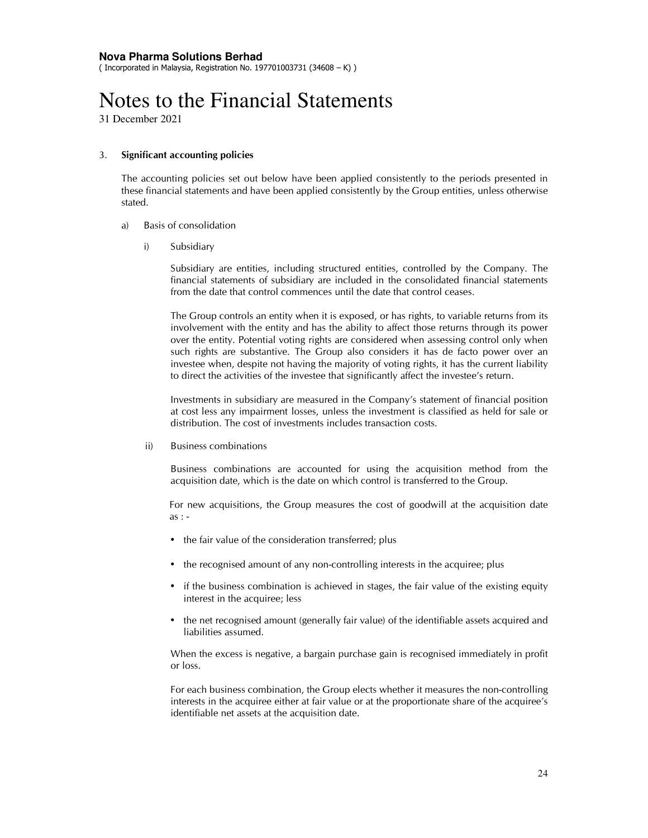# Notes to the Financial Statements

31 December 2021

#### 3. **Significant accounting policies**

The accounting policies set out below have been applied consistently to the periods presented in these financial statements and have been applied consistently by the Group entities, unless otherwise stated.

#### a) Basis of consolidation

i) Subsidiary

Subsidiary are entities, including structured entities, controlled by the Company. The financial statements of subsidiary are included in the consolidated financial statements from the date that control commences until the date that control ceases.

The Group controls an entity when it is exposed, or has rights, to variable returns from its involvement with the entity and has the ability to affect those returns through its power over the entity. Potential voting rights are considered when assessing control only when such rights are substantive. The Group also considers it has de facto power over an investee when, despite not having the majority of voting rights, it has the current liability to direct the activities of the investee that significantly affect the investee's return.

Investments in subsidiary are measured in the Company's statement of financial position at cost less any impairment losses, unless the investment is classified as held for sale or distribution. The cost of investments includes transaction costs.

ii) Business combinations

Business combinations are accounted for using the acquisition method from the acquisition date, which is the date on which control is transferred to the Group.

For new acquisitions, the Group measures the cost of goodwill at the acquisition date as : -

- the fair value of the consideration transferred; plus
- the recognised amount of any non-controlling interests in the acquiree; plus
- if the business combination is achieved in stages, the fair value of the existing equity interest in the acquiree; less
- the net recognised amount (generally fair value) of the identifiable assets acquired and liabilities assumed.

When the excess is negative, a bargain purchase gain is recognised immediately in profit or loss.

For each business combination, the Group elects whether it measures the non-controlling interests in the acquiree either at fair value or at the proportionate share of the acquiree's identifiable net assets at the acquisition date.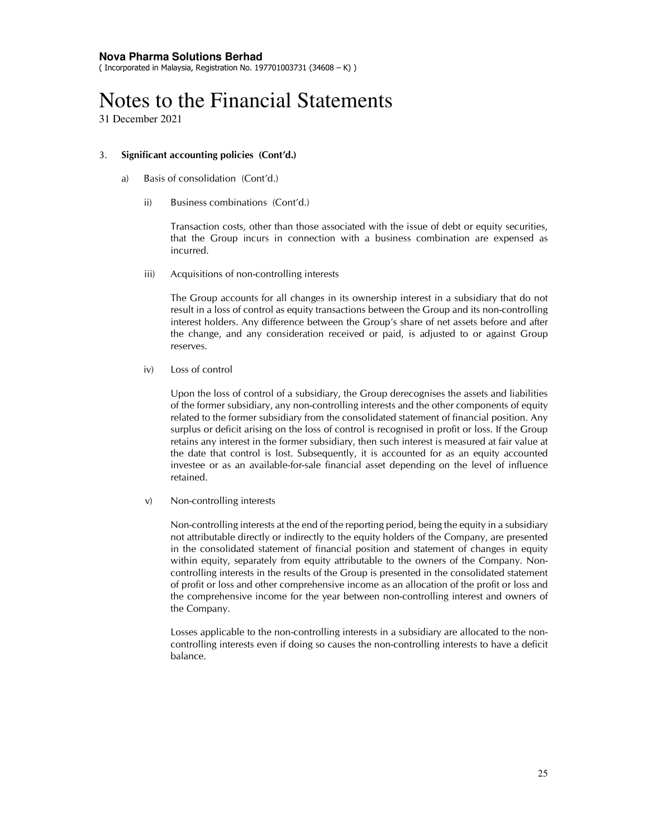# Notes to the Financial Statements

31 December 2021

### 3. **Significant accounting policies (Cont'd.)**

- a) Basis of consolidation (Cont'd.)
	- ii) Business combinations (Cont'd.)

Transaction costs, other than those associated with the issue of debt or equity securities, that the Group incurs in connection with a business combination are expensed as incurred.

iii) Acquisitions of non-controlling interests

The Group accounts for all changes in its ownership interest in a subsidiary that do not result in a loss of control as equity transactions between the Group and its non-controlling interest holders. Any difference between the Group's share of net assets before and after the change, and any consideration received or paid, is adjusted to or against Group reserves.

iv) Loss of control

Upon the loss of control of a subsidiary, the Group derecognises the assets and liabilities of the former subsidiary, any non-controlling interests and the other components of equity related to the former subsidiary from the consolidated statement of financial position. Any surplus or deficit arising on the loss of control is recognised in profit or loss. If the Group retains any interest in the former subsidiary, then such interest is measured at fair value at the date that control is lost. Subsequently, it is accounted for as an equity accounted investee or as an available-for-sale financial asset depending on the level of influence retained.

v) Non-controlling interests

Non-controlling interests at the end of the reporting period, being the equity in a subsidiary not attributable directly or indirectly to the equity holders of the Company, are presented in the consolidated statement of financial position and statement of changes in equity within equity, separately from equity attributable to the owners of the Company. Noncontrolling interests in the results of the Group is presented in the consolidated statement of profit or loss and other comprehensive income as an allocation of the profit or loss and the comprehensive income for the year between non-controlling interest and owners of the Company.

Losses applicable to the non-controlling interests in a subsidiary are allocated to the noncontrolling interests even if doing so causes the non-controlling interests to have a deficit balance.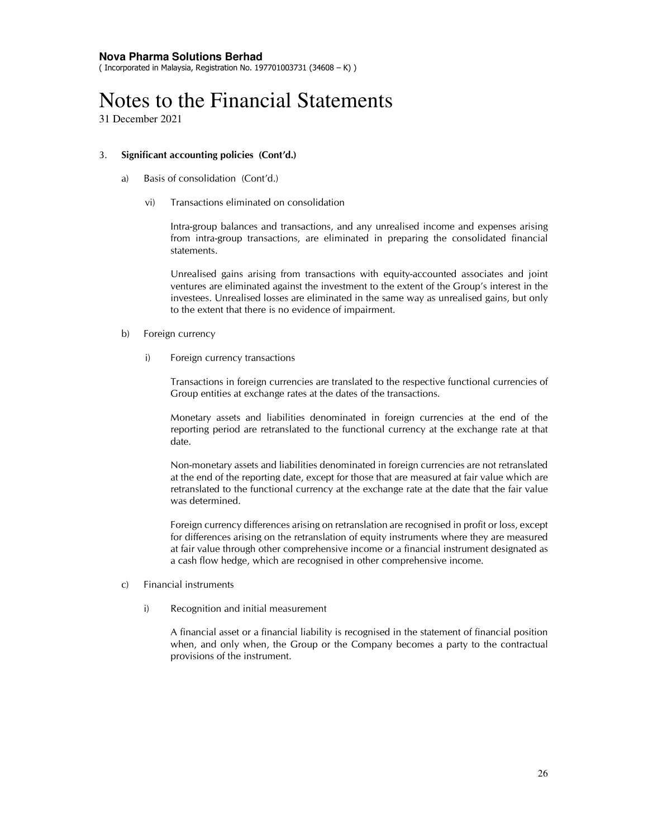# Notes to the Financial Statements

31 December 2021

### 3. **Significant accounting policies (Cont'd.)**

- a) Basis of consolidation (Cont'd.)
	- vi) Transactions eliminated on consolidation

Intra-group balances and transactions, and any unrealised income and expenses arising from intra-group transactions, are eliminated in preparing the consolidated financial statements.

Unrealised gains arising from transactions with equity-accounted associates and joint ventures are eliminated against the investment to the extent of the Group's interest in the investees. Unrealised losses are eliminated in the same way as unrealised gains, but only to the extent that there is no evidence of impairment.

- b) Foreign currency
	- i) Foreign currency transactions

Transactions in foreign currencies are translated to the respective functional currencies of Group entities at exchange rates at the dates of the transactions.

Monetary assets and liabilities denominated in foreign currencies at the end of the reporting period are retranslated to the functional currency at the exchange rate at that date.

Non-monetary assets and liabilities denominated in foreign currencies are not retranslated at the end of the reporting date, except for those that are measured at fair value which are retranslated to the functional currency at the exchange rate at the date that the fair value was determined.

Foreign currency differences arising on retranslation are recognised in profit or loss, except for differences arising on the retranslation of equity instruments where they are measured at fair value through other comprehensive income or a financial instrument designated as a cash flow hedge, which are recognised in other comprehensive income.

- c) Financial instruments
	- i) Recognition and initial measurement

A financial asset or a financial liability is recognised in the statement of financial position when, and only when, the Group or the Company becomes a party to the contractual provisions of the instrument.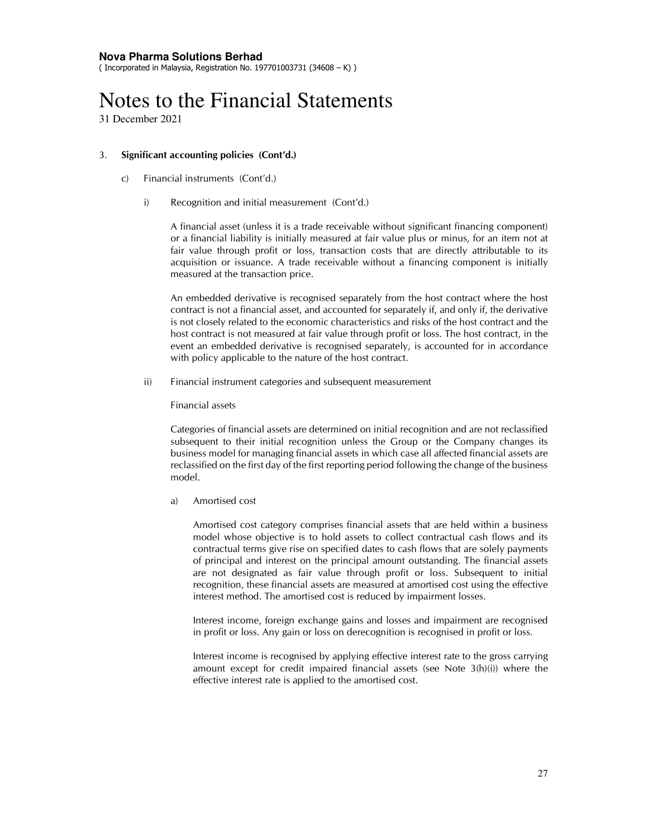# Notes to the Financial Statements

31 December 2021

### 3. **Significant accounting policies (Cont'd.)**

- c) Financial instruments (Cont'd.)
	- i) Recognition and initial measurement (Cont'd.)

A financial asset (unless it is a trade receivable without significant financing component) or a financial liability is initially measured at fair value plus or minus, for an item not at fair value through profit or loss, transaction costs that are directly attributable to its acquisition or issuance. A trade receivable without a financing component is initially measured at the transaction price.

An embedded derivative is recognised separately from the host contract where the host contract is not a financial asset, and accounted for separately if, and only if, the derivative is not closely related to the economic characteristics and risks of the host contract and the host contract is not measured at fair value through profit or loss. The host contract, in the event an embedded derivative is recognised separately, is accounted for in accordance with policy applicable to the nature of the host contract.

ii) Financial instrument categories and subsequent measurement

Financial assets

Categories of financial assets are determined on initial recognition and are not reclassified subsequent to their initial recognition unless the Group or the Company changes its business model for managing financial assets in which case all affected financial assets are reclassified on the first day of the first reporting period following the change of the business model.

a) Amortised cost

Amortised cost category comprises financial assets that are held within a business model whose objective is to hold assets to collect contractual cash flows and its contractual terms give rise on specified dates to cash flows that are solely payments of principal and interest on the principal amount outstanding. The financial assets are not designated as fair value through profit or loss. Subsequent to initial recognition, these financial assets are measured at amortised cost using the effective interest method. The amortised cost is reduced by impairment losses.

Interest income, foreign exchange gains and losses and impairment are recognised in profit or loss. Any gain or loss on derecognition is recognised in profit or loss.

Interest income is recognised by applying effective interest rate to the gross carrying amount except for credit impaired financial assets (see Note  $3(h)(i)$ ) where the effective interest rate is applied to the amortised cost.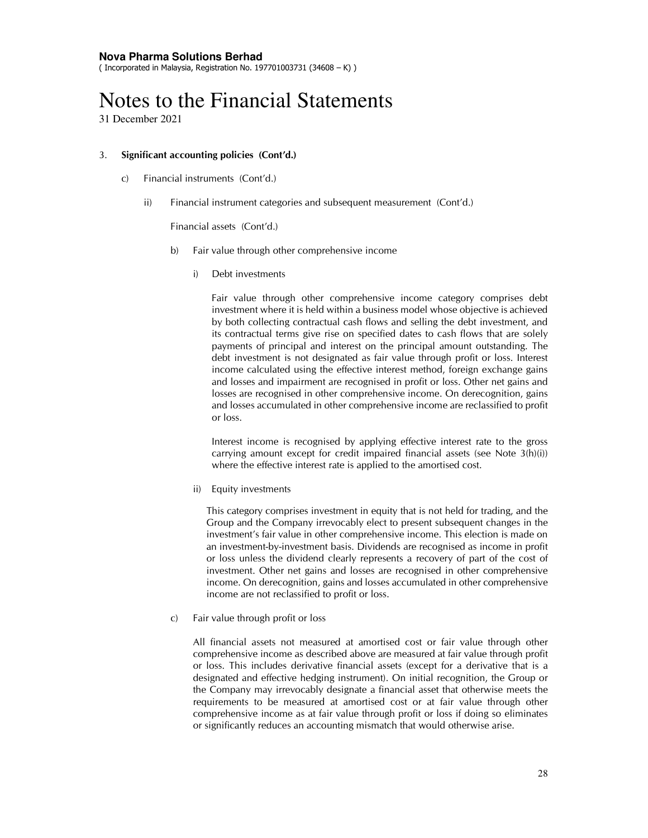# Notes to the Financial Statements

31 December 2021

### 3. **Significant accounting policies (Cont'd.)**

- c) Financial instruments (Cont'd.)
	- ii) Financial instrument categories and subsequent measurement (Cont'd.)

Financial assets (Cont'd.)

- b) Fair value through other comprehensive income
	- i) Debt investments

Fair value through other comprehensive income category comprises debt investment where it is held within a business model whose objective is achieved by both collecting contractual cash flows and selling the debt investment, and its contractual terms give rise on specified dates to cash flows that are solely payments of principal and interest on the principal amount outstanding. The debt investment is not designated as fair value through profit or loss. Interest income calculated using the effective interest method, foreign exchange gains and losses and impairment are recognised in profit or loss. Other net gains and losses are recognised in other comprehensive income. On derecognition, gains and losses accumulated in other comprehensive income are reclassified to profit or loss.

Interest income is recognised by applying effective interest rate to the gross carrying amount except for credit impaired financial assets (see Note 3(h)(i)) where the effective interest rate is applied to the amortised cost.

ii) Equity investments

This category comprises investment in equity that is not held for trading, and the Group and the Company irrevocably elect to present subsequent changes in the investment's fair value in other comprehensive income. This election is made on an investment-by-investment basis. Dividends are recognised as income in profit or loss unless the dividend clearly represents a recovery of part of the cost of investment. Other net gains and losses are recognised in other comprehensive income. On derecognition, gains and losses accumulated in other comprehensive income are not reclassified to profit or loss.

c) Fair value through profit or loss

All financial assets not measured at amortised cost or fair value through other comprehensive income as described above are measured at fair value through profit or loss. This includes derivative financial assets (except for a derivative that is a designated and effective hedging instrument). On initial recognition, the Group or the Company may irrevocably designate a financial asset that otherwise meets the requirements to be measured at amortised cost or at fair value through other comprehensive income as at fair value through profit or loss if doing so eliminates or significantly reduces an accounting mismatch that would otherwise arise.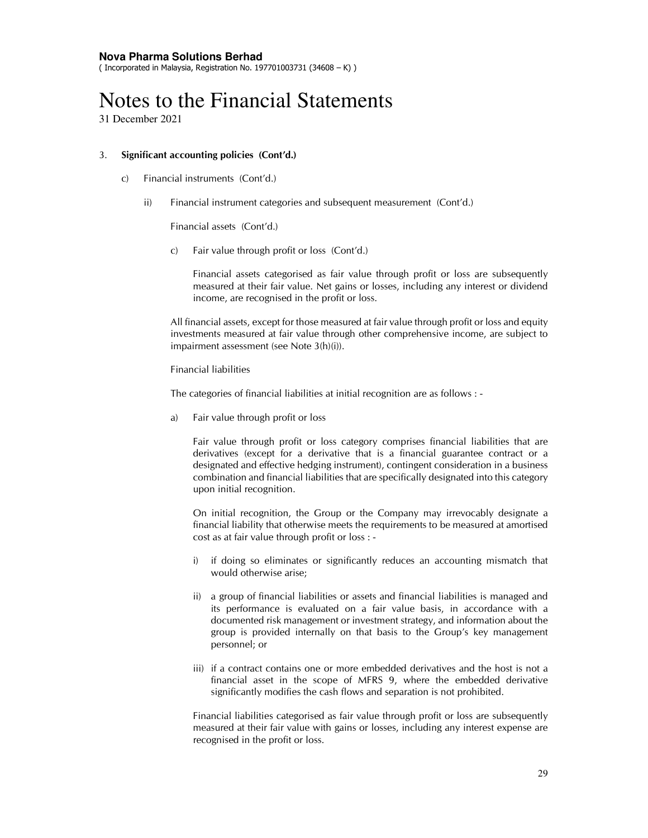# Notes to the Financial Statements

31 December 2021

### 3. **Significant accounting policies (Cont'd.)**

- c) Financial instruments (Cont'd.)
	- ii) Financial instrument categories and subsequent measurement (Cont'd.)

Financial assets (Cont'd.)

c) Fair value through profit or loss (Cont'd.)

Financial assets categorised as fair value through profit or loss are subsequently measured at their fair value. Net gains or losses, including any interest or dividend income, are recognised in the profit or loss.

All financial assets, except for those measured at fair value through profit or loss and equity investments measured at fair value through other comprehensive income, are subject to impairment assessment (see Note 3(h)(i)).

Financial liabilities

The categories of financial liabilities at initial recognition are as follows : -

a) Fair value through profit or loss

Fair value through profit or loss category comprises financial liabilities that are derivatives (except for a derivative that is a financial guarantee contract or a designated and effective hedging instrument), contingent consideration in a business combination and financial liabilities that are specifically designated into this category upon initial recognition.

On initial recognition, the Group or the Company may irrevocably designate a financial liability that otherwise meets the requirements to be measured at amortised cost as at fair value through profit or loss : -

- i) if doing so eliminates or significantly reduces an accounting mismatch that would otherwise arise;
- ii) a group of financial liabilities or assets and financial liabilities is managed and its performance is evaluated on a fair value basis, in accordance with a documented risk management or investment strategy, and information about the group is provided internally on that basis to the Group's key management personnel; or
- iii) if a contract contains one or more embedded derivatives and the host is not a financial asset in the scope of MFRS 9, where the embedded derivative significantly modifies the cash flows and separation is not prohibited.

Financial liabilities categorised as fair value through profit or loss are subsequently measured at their fair value with gains or losses, including any interest expense are recognised in the profit or loss.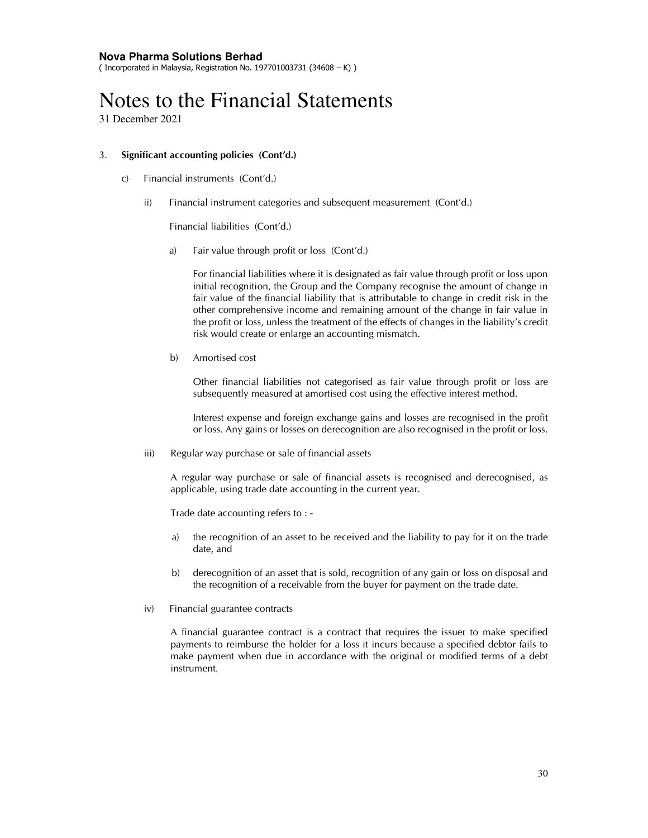# Notes to the Financial Statements

31 December 2021

### 3. **Significant accounting policies (Cont'd.)**

- c) Financial instruments (Cont'd.)
	- ii) Financial instrument categories and subsequent measurement (Cont'd.)

Financial liabilities (Cont'd.)

a) Fair value through profit or loss (Cont'd.)

For financial liabilities where it is designated as fair value through profit or loss upon initial recognition, the Group and the Company recognise the amount of change in fair value of the financial liability that is attributable to change in credit risk in the other comprehensive income and remaining amount of the change in fair value in the profit or loss, unless the treatment of the effects of changes in the liability's credit risk would create or enlarge an accounting mismatch.

b) Amortised cost

Other financial liabilities not categorised as fair value through profit or loss are subsequently measured at amortised cost using the effective interest method.

Interest expense and foreign exchange gains and losses are recognised in the profit or loss. Any gains or losses on derecognition are also recognised in the profit or loss.

iii) Regular way purchase or sale of financial assets

A regular way purchase or sale of financial assets is recognised and derecognised, as applicable, using trade date accounting in the current year.

Trade date accounting refers to : -

- a) the recognition of an asset to be received and the liability to pay for it on the trade date, and
- b) derecognition of an asset that is sold, recognition of any gain or loss on disposal and the recognition of a receivable from the buyer for payment on the trade date.
- iv) Financial guarantee contracts

A financial guarantee contract is a contract that requires the issuer to make specified payments to reimburse the holder for a loss it incurs because a specified debtor fails to make payment when due in accordance with the original or modified terms of a debt instrument.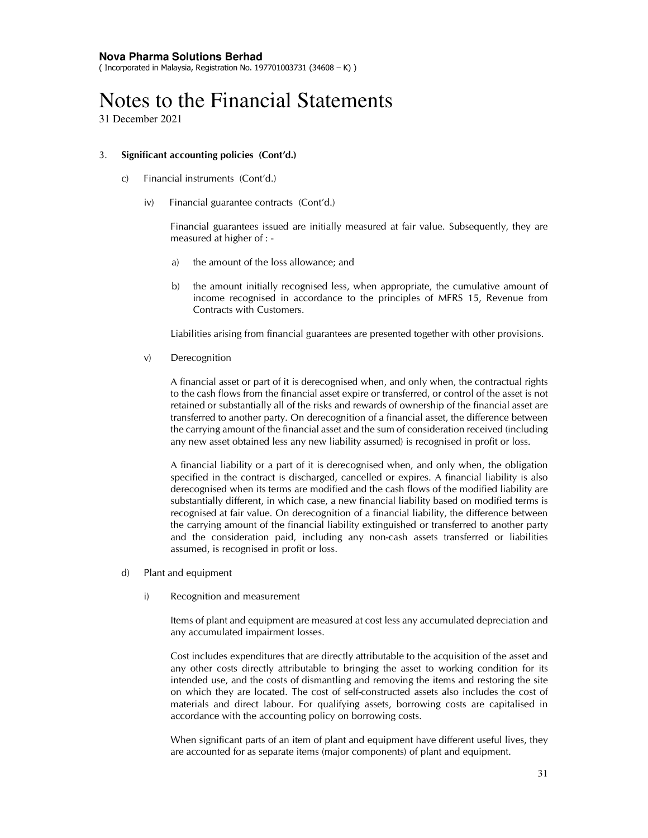# Notes to the Financial Statements

31 December 2021

### 3. **Significant accounting policies (Cont'd.)**

- c) Financial instruments (Cont'd.)
	- iv) Financial guarantee contracts (Cont'd.)

Financial guarantees issued are initially measured at fair value. Subsequently, they are measured at higher of : -

- a) the amount of the loss allowance; and
- b) the amount initially recognised less, when appropriate, the cumulative amount of income recognised in accordance to the principles of MFRS 15, Revenue from Contracts with Customers.

Liabilities arising from financial guarantees are presented together with other provisions.

v) Derecognition

A financial asset or part of it is derecognised when, and only when, the contractual rights to the cash flows from the financial asset expire or transferred, or control of the asset is not retained or substantially all of the risks and rewards of ownership of the financial asset are transferred to another party. On derecognition of a financial asset, the difference between the carrying amount of the financial asset and the sum of consideration received (including any new asset obtained less any new liability assumed) is recognised in profit or loss.

A financial liability or a part of it is derecognised when, and only when, the obligation specified in the contract is discharged, cancelled or expires. A financial liability is also derecognised when its terms are modified and the cash flows of the modified liability are substantially different, in which case, a new financial liability based on modified terms is recognised at fair value. On derecognition of a financial liability, the difference between the carrying amount of the financial liability extinguished or transferred to another party and the consideration paid, including any non-cash assets transferred or liabilities assumed, is recognised in profit or loss.

- d) Plant and equipment
	- i) Recognition and measurement

Items of plant and equipment are measured at cost less any accumulated depreciation and any accumulated impairment losses.

Cost includes expenditures that are directly attributable to the acquisition of the asset and any other costs directly attributable to bringing the asset to working condition for its intended use, and the costs of dismantling and removing the items and restoring the site on which they are located. The cost of self-constructed assets also includes the cost of materials and direct labour. For qualifying assets, borrowing costs are capitalised in accordance with the accounting policy on borrowing costs.

When significant parts of an item of plant and equipment have different useful lives, they are accounted for as separate items (major components) of plant and equipment.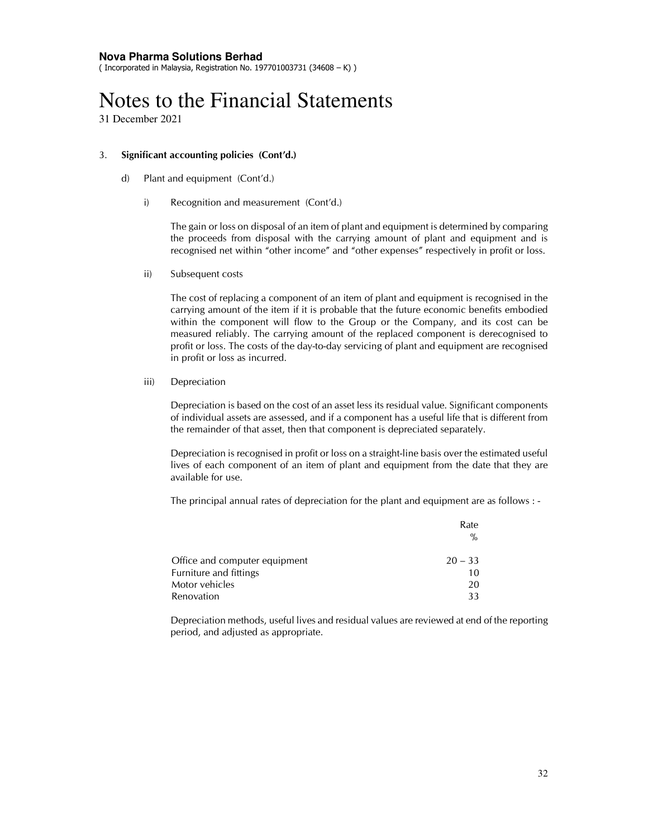# Notes to the Financial Statements

31 December 2021

### 3. **Significant accounting policies (Cont'd.)**

- d) Plant and equipment (Cont'd.)
	- i) Recognition and measurement (Cont'd.)

The gain or loss on disposal of an item of plant and equipment is determined by comparing the proceeds from disposal with the carrying amount of plant and equipment and is recognised net within "other income" and "other expenses" respectively in profit or loss.

ii) Subsequent costs

The cost of replacing a component of an item of plant and equipment is recognised in the carrying amount of the item if it is probable that the future economic benefits embodied within the component will flow to the Group or the Company, and its cost can be measured reliably. The carrying amount of the replaced component is derecognised to profit or loss. The costs of the day-to-day servicing of plant and equipment are recognised in profit or loss as incurred.

iii) Depreciation

Depreciation is based on the cost of an asset less its residual value. Significant components of individual assets are assessed, and if a component has a useful life that is different from the remainder of that asset, then that component is depreciated separately.

Depreciation is recognised in profit or loss on a straight-line basis over the estimated useful lives of each component of an item of plant and equipment from the date that they are available for use.

The principal annual rates of depreciation for the plant and equipment are as follows : -

|                               | Rate      |
|-------------------------------|-----------|
|                               | $\%$      |
| Office and computer equipment | $20 - 33$ |
| Furniture and fittings        | 10        |
| Motor vehicles                | 20        |
| Renovation                    | 33        |

Depreciation methods, useful lives and residual values are reviewed at end of the reporting period, and adjusted as appropriate.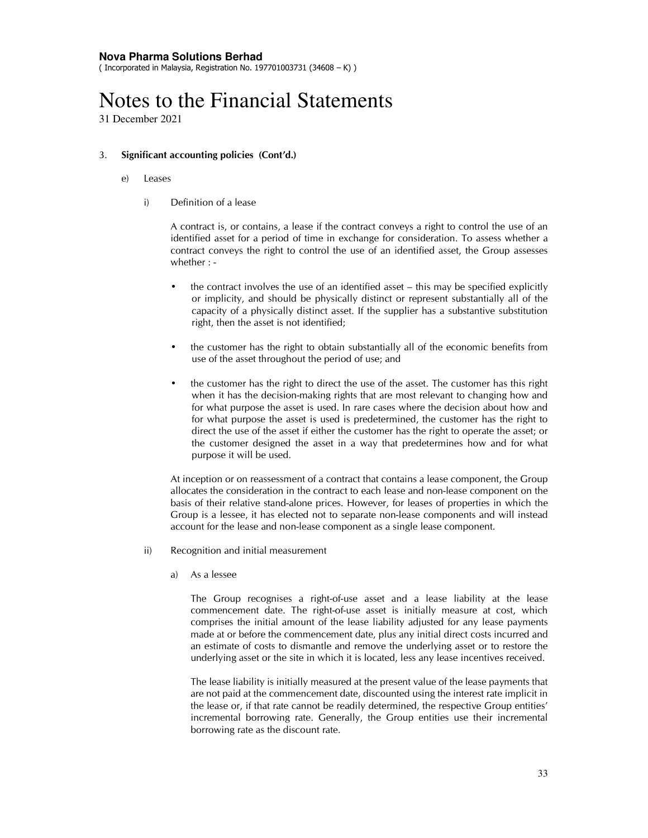# Notes to the Financial Statements

31 December 2021

### 3. **Significant accounting policies (Cont'd.)**

- e) Leases
	- i) Definition of a lease

A contract is, or contains, a lease if the contract conveys a right to control the use of an identified asset for a period of time in exchange for consideration. To assess whether a contract conveys the right to control the use of an identified asset, the Group assesses whether : -

- the contract involves the use of an identified asset this may be specified explicitly or implicity, and should be physically distinct or represent substantially all of the capacity of a physically distinct asset. If the supplier has a substantive substitution right, then the asset is not identified;
- the customer has the right to obtain substantially all of the economic benefits from use of the asset throughout the period of use; and
- the customer has the right to direct the use of the asset. The customer has this right when it has the decision-making rights that are most relevant to changing how and for what purpose the asset is used. In rare cases where the decision about how and for what purpose the asset is used is predetermined, the customer has the right to direct the use of the asset if either the customer has the right to operate the asset; or the customer designed the asset in a way that predetermines how and for what purpose it will be used.

At inception or on reassessment of a contract that contains a lease component, the Group allocates the consideration in the contract to each lease and non-lease component on the basis of their relative stand-alone prices. However, for leases of properties in which the Group is a lessee, it has elected not to separate non-lease components and will instead account for the lease and non-lease component as a single lease component.

- ii) Recognition and initial measurement
	- a) As a lessee

The Group recognises a right-of-use asset and a lease liability at the lease commencement date. The right-of-use asset is initially measure at cost, which comprises the initial amount of the lease liability adjusted for any lease payments made at or before the commencement date, plus any initial direct costs incurred and an estimate of costs to dismantle and remove the underlying asset or to restore the underlying asset or the site in which it is located, less any lease incentives received.

The lease liability is initially measured at the present value of the lease payments that are not paid at the commencement date, discounted using the interest rate implicit in the lease or, if that rate cannot be readily determined, the respective Group entities' incremental borrowing rate. Generally, the Group entities use their incremental borrowing rate as the discount rate.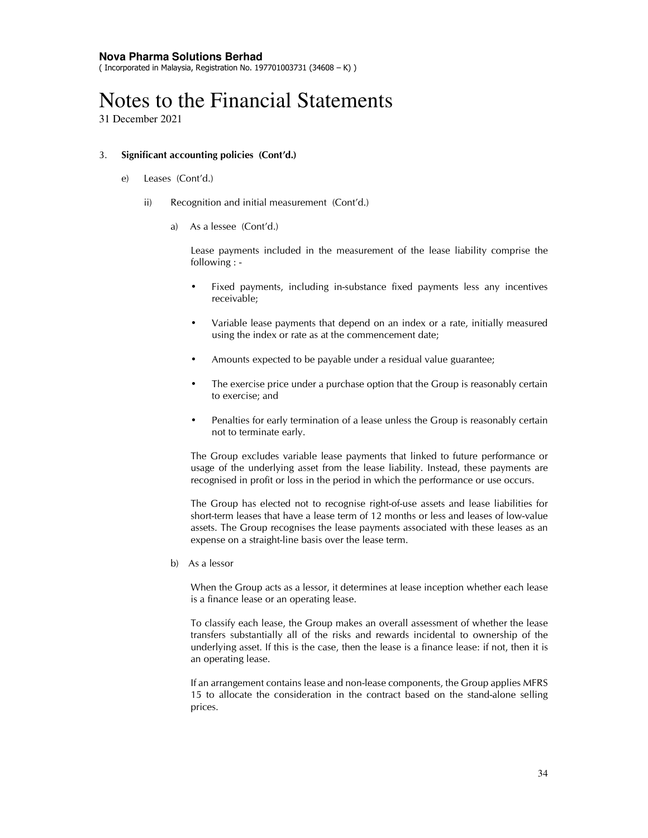# Notes to the Financial Statements

31 December 2021

### 3. **Significant accounting policies (Cont'd.)**

- e) Leases (Cont'd.)
	- ii) Recognition and initial measurement (Cont'd.)
		- a) As a lessee (Cont'd.)

Lease payments included in the measurement of the lease liability comprise the following : -

- Fixed payments, including in-substance fixed payments less any incentives receivable;
- Variable lease payments that depend on an index or a rate, initially measured using the index or rate as at the commencement date;
- Amounts expected to be payable under a residual value guarantee;
- The exercise price under a purchase option that the Group is reasonably certain to exercise; and
- Penalties for early termination of a lease unless the Group is reasonably certain not to terminate early.

The Group excludes variable lease payments that linked to future performance or usage of the underlying asset from the lease liability. Instead, these payments are recognised in profit or loss in the period in which the performance or use occurs.

The Group has elected not to recognise right-of-use assets and lease liabilities for short-term leases that have a lease term of 12 months or less and leases of low-value assets. The Group recognises the lease payments associated with these leases as an expense on a straight-line basis over the lease term.

b) As a lessor

When the Group acts as a lessor, it determines at lease inception whether each lease is a finance lease or an operating lease.

To classify each lease, the Group makes an overall assessment of whether the lease transfers substantially all of the risks and rewards incidental to ownership of the underlying asset. If this is the case, then the lease is a finance lease: if not, then it is an operating lease.

If an arrangement contains lease and non-lease components, the Group applies MFRS 15 to allocate the consideration in the contract based on the stand-alone selling prices.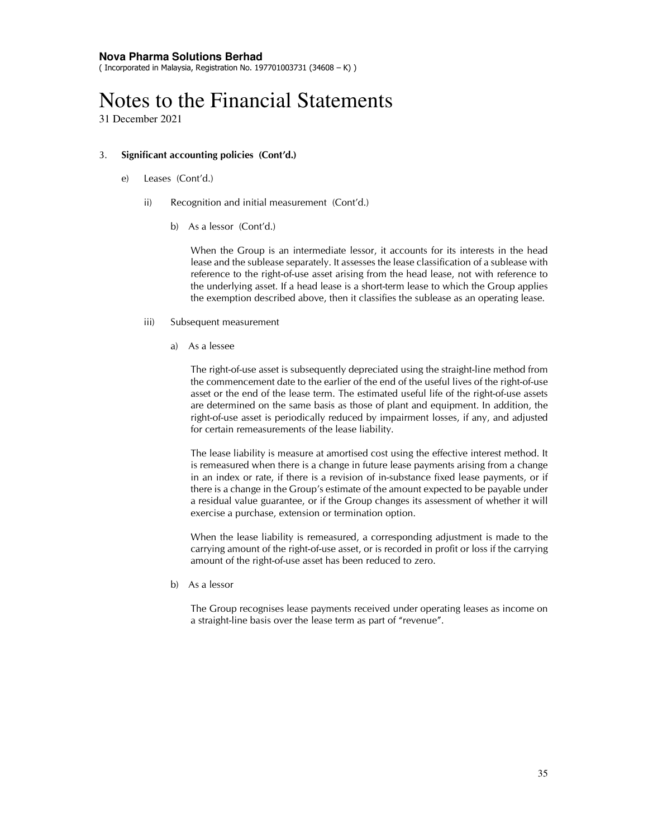# Notes to the Financial Statements

31 December 2021

### 3. **Significant accounting policies (Cont'd.)**

- e) Leases (Cont'd.)
	- ii) Recognition and initial measurement (Cont'd.)
		- b) As a lessor (Cont'd.)

When the Group is an intermediate lessor, it accounts for its interests in the head lease and the sublease separately. It assesses the lease classification of a sublease with reference to the right-of-use asset arising from the head lease, not with reference to the underlying asset. If a head lease is a short-term lease to which the Group applies the exemption described above, then it classifies the sublease as an operating lease.

- iii) Subsequent measurement
	- a) As a lessee

The right-of-use asset is subsequently depreciated using the straight-line method from the commencement date to the earlier of the end of the useful lives of the right-of-use asset or the end of the lease term. The estimated useful life of the right-of-use assets are determined on the same basis as those of plant and equipment. In addition, the right-of-use asset is periodically reduced by impairment losses, if any, and adjusted for certain remeasurements of the lease liability.

The lease liability is measure at amortised cost using the effective interest method. It is remeasured when there is a change in future lease payments arising from a change in an index or rate, if there is a revision of in-substance fixed lease payments, or if there is a change in the Group's estimate of the amount expected to be payable under a residual value guarantee, or if the Group changes its assessment of whether it will exercise a purchase, extension or termination option.

When the lease liability is remeasured, a corresponding adjustment is made to the carrying amount of the right-of-use asset, or is recorded in profit or loss if the carrying amount of the right-of-use asset has been reduced to zero.

b) As a lessor

The Group recognises lease payments received under operating leases as income on a straight-line basis over the lease term as part of "revenue".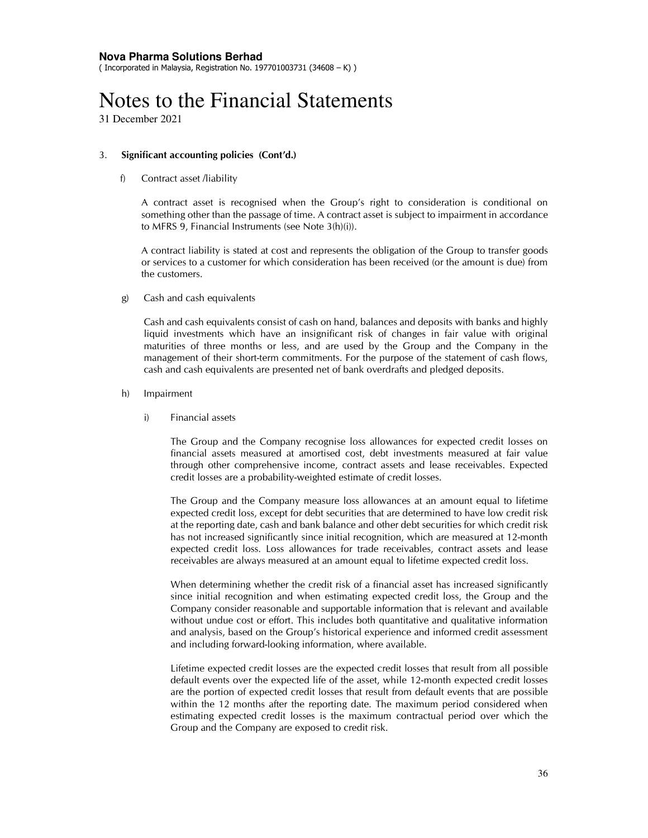# Notes to the Financial Statements

31 December 2021

### 3. **Significant accounting policies (Cont'd.)**

f) Contract asset /liability

A contract asset is recognised when the Group's right to consideration is conditional on something other than the passage of time. A contract asset is subject to impairment in accordance to MFRS 9, Financial Instruments (see Note 3(h)(i)).

A contract liability is stated at cost and represents the obligation of the Group to transfer goods or services to a customer for which consideration has been received (or the amount is due) from the customers.

g) Cash and cash equivalents

Cash and cash equivalents consist of cash on hand, balances and deposits with banks and highly liquid investments which have an insignificant risk of changes in fair value with original maturities of three months or less, and are used by the Group and the Company in the management of their short-term commitments. For the purpose of the statement of cash flows, cash and cash equivalents are presented net of bank overdrafts and pledged deposits.

- h) Impairment
	- i) Financial assets

The Group and the Company recognise loss allowances for expected credit losses on financial assets measured at amortised cost, debt investments measured at fair value through other comprehensive income, contract assets and lease receivables. Expected credit losses are a probability-weighted estimate of credit losses.

The Group and the Company measure loss allowances at an amount equal to lifetime expected credit loss, except for debt securities that are determined to have low credit risk at the reporting date, cash and bank balance and other debt securities for which credit risk has not increased significantly since initial recognition, which are measured at 12-month expected credit loss. Loss allowances for trade receivables, contract assets and lease receivables are always measured at an amount equal to lifetime expected credit loss.

When determining whether the credit risk of a financial asset has increased significantly since initial recognition and when estimating expected credit loss, the Group and the Company consider reasonable and supportable information that is relevant and available without undue cost or effort. This includes both quantitative and qualitative information and analysis, based on the Group's historical experience and informed credit assessment and including forward-looking information, where available.

Lifetime expected credit losses are the expected credit losses that result from all possible default events over the expected life of the asset, while 12-month expected credit losses are the portion of expected credit losses that result from default events that are possible within the 12 months after the reporting date. The maximum period considered when estimating expected credit losses is the maximum contractual period over which the Group and the Company are exposed to credit risk.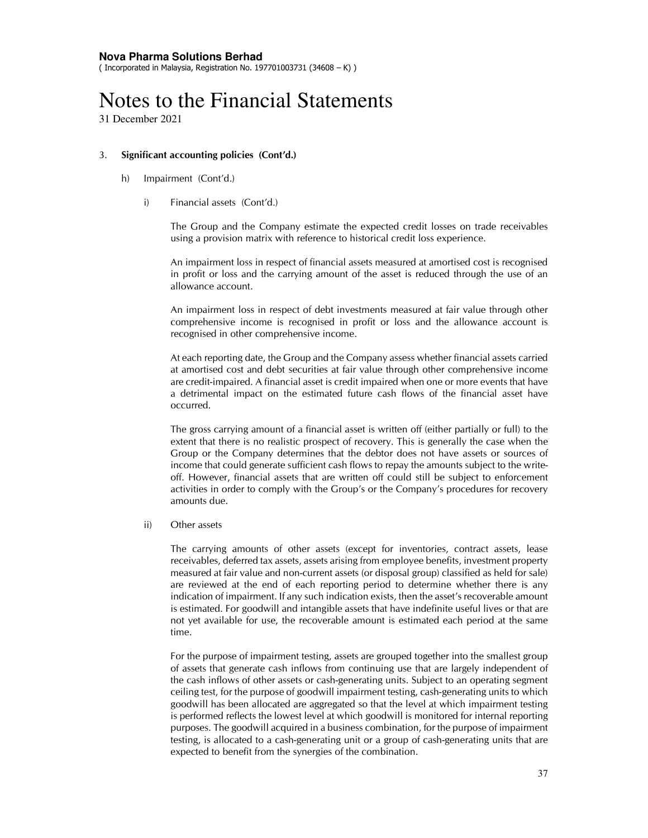# Notes to the Financial Statements

31 December 2021

## 3. **Significant accounting policies (Cont'd.)**

- h) Impairment (Cont'd.)
	- i) Financial assets (Cont'd.)

The Group and the Company estimate the expected credit losses on trade receivables using a provision matrix with reference to historical credit loss experience.

An impairment loss in respect of financial assets measured at amortised cost is recognised in profit or loss and the carrying amount of the asset is reduced through the use of an allowance account.

An impairment loss in respect of debt investments measured at fair value through other comprehensive income is recognised in profit or loss and the allowance account is recognised in other comprehensive income.

At each reporting date, the Group and the Company assess whether financial assets carried at amortised cost and debt securities at fair value through other comprehensive income are credit-impaired. A financial asset is credit impaired when one or more events that have a detrimental impact on the estimated future cash flows of the financial asset have occurred.

The gross carrying amount of a financial asset is written off (either partially or full) to the extent that there is no realistic prospect of recovery. This is generally the case when the Group or the Company determines that the debtor does not have assets or sources of income that could generate sufficient cash flows to repay the amounts subject to the writeoff. However, financial assets that are written off could still be subject to enforcement activities in order to comply with the Group's or the Company's procedures for recovery amounts due.

ii) Other assets

The carrying amounts of other assets (except for inventories, contract assets, lease receivables, deferred tax assets, assets arising from employee benefits, investment property measured at fair value and non-current assets (or disposal group) classified as held for sale) are reviewed at the end of each reporting period to determine whether there is any indication of impairment. If any such indication exists, then the asset's recoverable amount is estimated. For goodwill and intangible assets that have indefinite useful lives or that are not yet available for use, the recoverable amount is estimated each period at the same time.

For the purpose of impairment testing, assets are grouped together into the smallest group of assets that generate cash inflows from continuing use that are largely independent of the cash inflows of other assets or cash-generating units. Subject to an operating segment ceiling test, for the purpose of goodwill impairment testing, cash-generating units to which goodwill has been allocated are aggregated so that the level at which impairment testing is performed reflects the lowest level at which goodwill is monitored for internal reporting purposes. The goodwill acquired in a business combination, for the purpose of impairment testing, is allocated to a cash-generating unit or a group of cash-generating units that are expected to benefit from the synergies of the combination.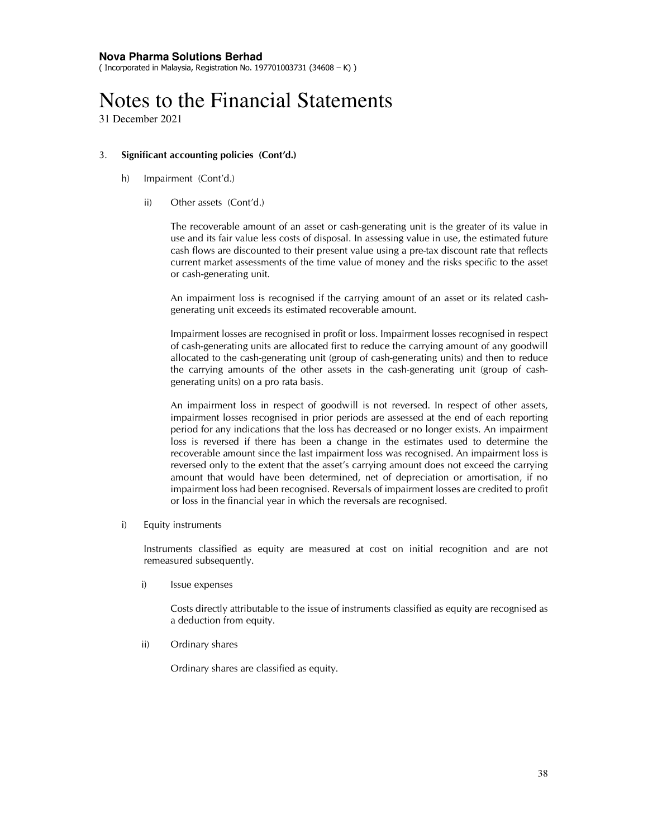# Notes to the Financial Statements

31 December 2021

## 3. **Significant accounting policies (Cont'd.)**

- h) Impairment (Cont'd.)
	- ii) Other assets (Cont'd.)

The recoverable amount of an asset or cash-generating unit is the greater of its value in use and its fair value less costs of disposal. In assessing value in use, the estimated future cash flows are discounted to their present value using a pre-tax discount rate that reflects current market assessments of the time value of money and the risks specific to the asset or cash-generating unit.

An impairment loss is recognised if the carrying amount of an asset or its related cashgenerating unit exceeds its estimated recoverable amount.

Impairment losses are recognised in profit or loss. Impairment losses recognised in respect of cash-generating units are allocated first to reduce the carrying amount of any goodwill allocated to the cash-generating unit (group of cash-generating units) and then to reduce the carrying amounts of the other assets in the cash-generating unit (group of cashgenerating units) on a pro rata basis.

An impairment loss in respect of goodwill is not reversed. In respect of other assets, impairment losses recognised in prior periods are assessed at the end of each reporting period for any indications that the loss has decreased or no longer exists. An impairment loss is reversed if there has been a change in the estimates used to determine the recoverable amount since the last impairment loss was recognised. An impairment loss is reversed only to the extent that the asset's carrying amount does not exceed the carrying amount that would have been determined, net of depreciation or amortisation, if no impairment loss had been recognised. Reversals of impairment losses are credited to profit or loss in the financial year in which the reversals are recognised.

i) Equity instruments

Instruments classified as equity are measured at cost on initial recognition and are not remeasured subsequently.

i) Issue expenses

Costs directly attributable to the issue of instruments classified as equity are recognised as a deduction from equity.

ii) Ordinary shares

Ordinary shares are classified as equity.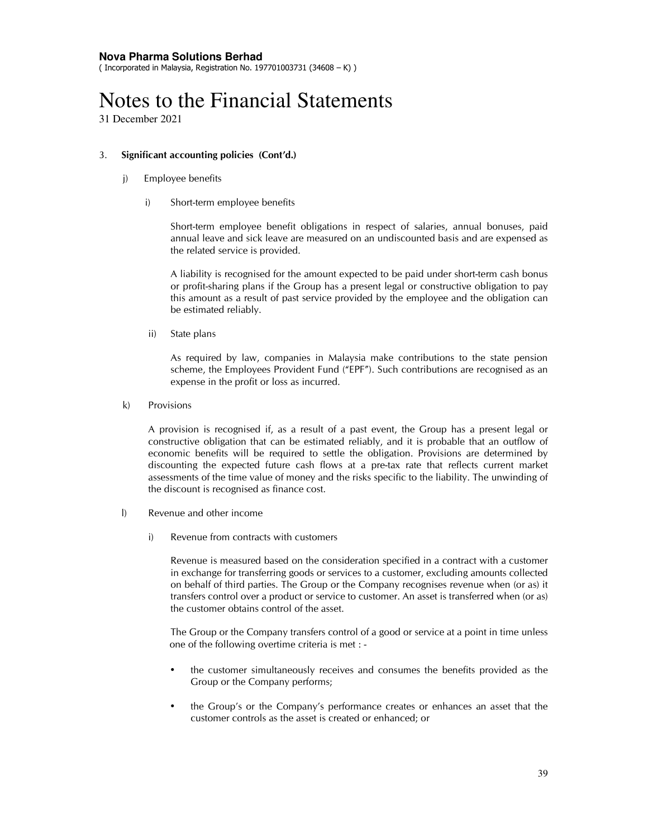# Notes to the Financial Statements

31 December 2021

## 3. **Significant accounting policies (Cont'd.)**

- j) Employee benefits
	- i) Short-term employee benefits

Short-term employee benefit obligations in respect of salaries, annual bonuses, paid annual leave and sick leave are measured on an undiscounted basis and are expensed as the related service is provided.

A liability is recognised for the amount expected to be paid under short-term cash bonus or profit-sharing plans if the Group has a present legal or constructive obligation to pay this amount as a result of past service provided by the employee and the obligation can be estimated reliably.

ii) State plans

As required by law, companies in Malaysia make contributions to the state pension scheme, the Employees Provident Fund ("EPF"). Such contributions are recognised as an expense in the profit or loss as incurred.

k) Provisions

A provision is recognised if, as a result of a past event, the Group has a present legal or constructive obligation that can be estimated reliably, and it is probable that an outflow of economic benefits will be required to settle the obligation. Provisions are determined by discounting the expected future cash flows at a pre-tax rate that reflects current market assessments of the time value of money and the risks specific to the liability. The unwinding of the discount is recognised as finance cost.

- l) Revenue and other income
	- i) Revenue from contracts with customers

Revenue is measured based on the consideration specified in a contract with a customer in exchange for transferring goods or services to a customer, excluding amounts collected on behalf of third parties. The Group or the Company recognises revenue when (or as) it transfers control over a product or service to customer. An asset is transferred when (or as) the customer obtains control of the asset.

The Group or the Company transfers control of a good or service at a point in time unless one of the following overtime criteria is met : -

- the customer simultaneously receives and consumes the benefits provided as the Group or the Company performs;
- the Group's or the Company's performance creates or enhances an asset that the customer controls as the asset is created or enhanced; or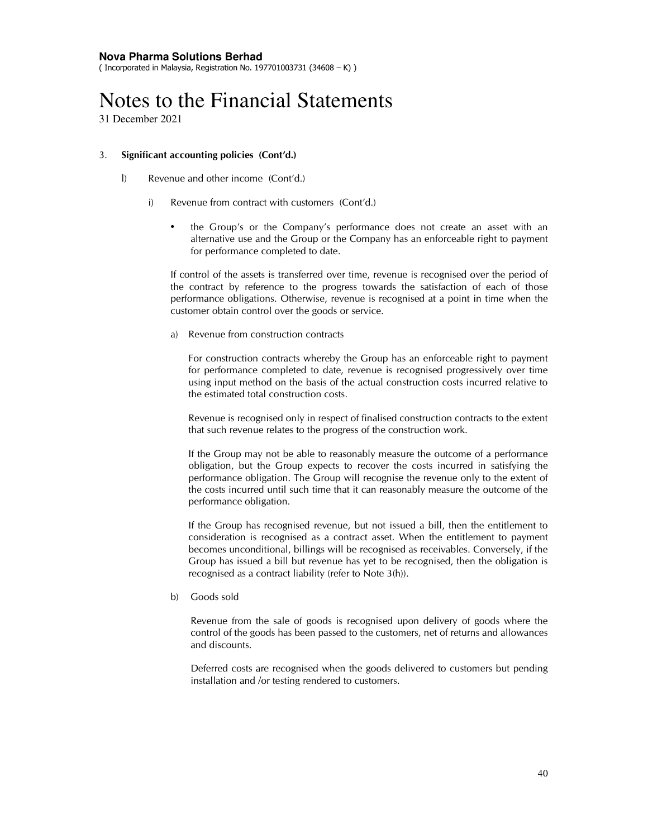# Notes to the Financial Statements

31 December 2021

### 3. **Significant accounting policies (Cont'd.)**

- l) Revenue and other income (Cont'd.)
	- i) Revenue from contract with customers (Cont'd.)
		- the Group's or the Company's performance does not create an asset with an alternative use and the Group or the Company has an enforceable right to payment for performance completed to date.

If control of the assets is transferred over time, revenue is recognised over the period of the contract by reference to the progress towards the satisfaction of each of those performance obligations. Otherwise, revenue is recognised at a point in time when the customer obtain control over the goods or service.

a) Revenue from construction contracts

For construction contracts whereby the Group has an enforceable right to payment for performance completed to date, revenue is recognised progressively over time using input method on the basis of the actual construction costs incurred relative to the estimated total construction costs.

Revenue is recognised only in respect of finalised construction contracts to the extent that such revenue relates to the progress of the construction work.

If the Group may not be able to reasonably measure the outcome of a performance obligation, but the Group expects to recover the costs incurred in satisfying the performance obligation. The Group will recognise the revenue only to the extent of the costs incurred until such time that it can reasonably measure the outcome of the performance obligation.

If the Group has recognised revenue, but not issued a bill, then the entitlement to consideration is recognised as a contract asset. When the entitlement to payment becomes unconditional, billings will be recognised as receivables. Conversely, if the Group has issued a bill but revenue has yet to be recognised, then the obligation is recognised as a contract liability (refer to Note 3(h)).

b) Goods sold

Revenue from the sale of goods is recognised upon delivery of goods where the control of the goods has been passed to the customers, net of returns and allowances and discounts.

Deferred costs are recognised when the goods delivered to customers but pending installation and /or testing rendered to customers.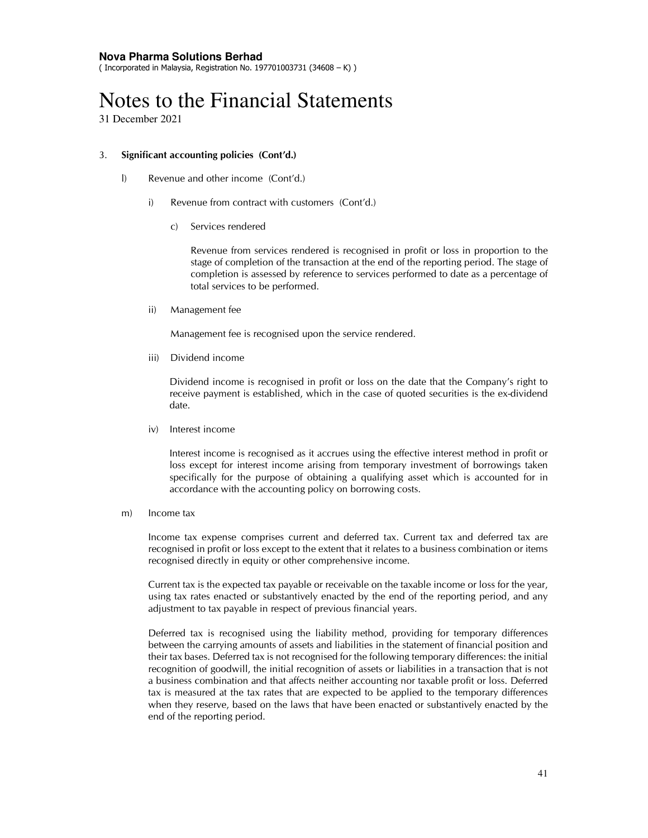# Notes to the Financial Statements

31 December 2021

#### 3. **Significant accounting policies (Cont'd.)**

- l) Revenue and other income (Cont'd.)
	- i) Revenue from contract with customers (Cont'd.)
		- c) Services rendered

Revenue from services rendered is recognised in profit or loss in proportion to the stage of completion of the transaction at the end of the reporting period. The stage of completion is assessed by reference to services performed to date as a percentage of total services to be performed.

ii) Management fee

Management fee is recognised upon the service rendered.

iii) Dividend income

Dividend income is recognised in profit or loss on the date that the Company's right to receive payment is established, which in the case of quoted securities is the ex-dividend date.

iv) Interest income

Interest income is recognised as it accrues using the effective interest method in profit or loss except for interest income arising from temporary investment of borrowings taken specifically for the purpose of obtaining a qualifying asset which is accounted for in accordance with the accounting policy on borrowing costs.

m) Income tax

Income tax expense comprises current and deferred tax. Current tax and deferred tax are recognised in profit or loss except to the extent that it relates to a business combination or items recognised directly in equity or other comprehensive income.

Current tax is the expected tax payable or receivable on the taxable income or loss for the year, using tax rates enacted or substantively enacted by the end of the reporting period, and any adjustment to tax payable in respect of previous financial years.

Deferred tax is recognised using the liability method, providing for temporary differences between the carrying amounts of assets and liabilities in the statement of financial position and their tax bases. Deferred tax is not recognised for the following temporary differences: the initial recognition of goodwill, the initial recognition of assets or liabilities in a transaction that is not a business combination and that affects neither accounting nor taxable profit or loss. Deferred tax is measured at the tax rates that are expected to be applied to the temporary differences when they reserve, based on the laws that have been enacted or substantively enacted by the end of the reporting period.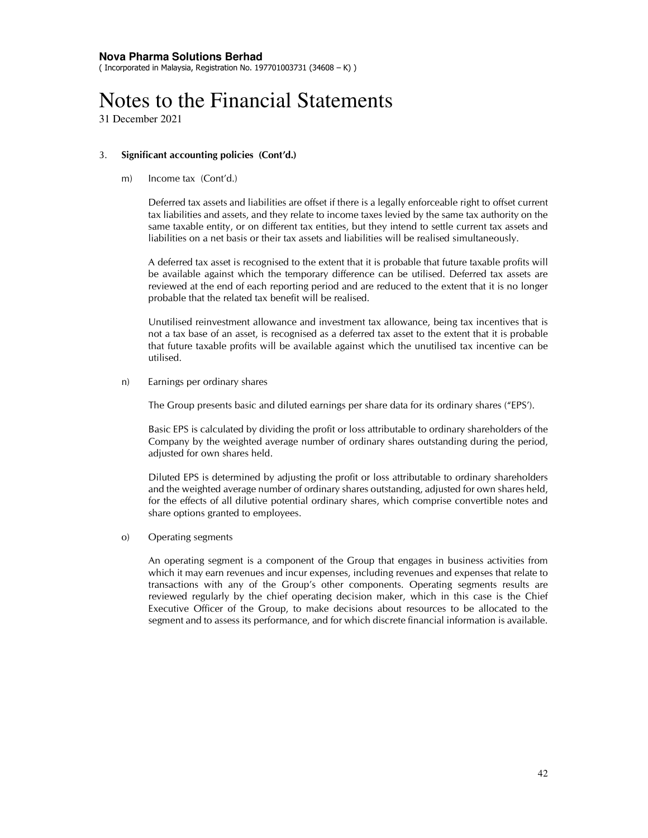# Notes to the Financial Statements

31 December 2021

## 3. **Significant accounting policies (Cont'd.)**

m) Income tax (Cont'd.)

Deferred tax assets and liabilities are offset if there is a legally enforceable right to offset current tax liabilities and assets, and they relate to income taxes levied by the same tax authority on the same taxable entity, or on different tax entities, but they intend to settle current tax assets and liabilities on a net basis or their tax assets and liabilities will be realised simultaneously.

A deferred tax asset is recognised to the extent that it is probable that future taxable profits will be available against which the temporary difference can be utilised. Deferred tax assets are reviewed at the end of each reporting period and are reduced to the extent that it is no longer probable that the related tax benefit will be realised.

Unutilised reinvestment allowance and investment tax allowance, being tax incentives that is not a tax base of an asset, is recognised as a deferred tax asset to the extent that it is probable that future taxable profits will be available against which the unutilised tax incentive can be utilised.

n) Earnings per ordinary shares

The Group presents basic and diluted earnings per share data for its ordinary shares ("EPS').

Basic EPS is calculated by dividing the profit or loss attributable to ordinary shareholders of the Company by the weighted average number of ordinary shares outstanding during the period, adjusted for own shares held.

Diluted EPS is determined by adjusting the profit or loss attributable to ordinary shareholders and the weighted average number of ordinary shares outstanding, adjusted for own shares held, for the effects of all dilutive potential ordinary shares, which comprise convertible notes and share options granted to employees.

o) Operating segments

An operating segment is a component of the Group that engages in business activities from which it may earn revenues and incur expenses, including revenues and expenses that relate to transactions with any of the Group's other components. Operating segments results are reviewed regularly by the chief operating decision maker, which in this case is the Chief Executive Officer of the Group, to make decisions about resources to be allocated to the segment and to assess its performance, and for which discrete financial information is available.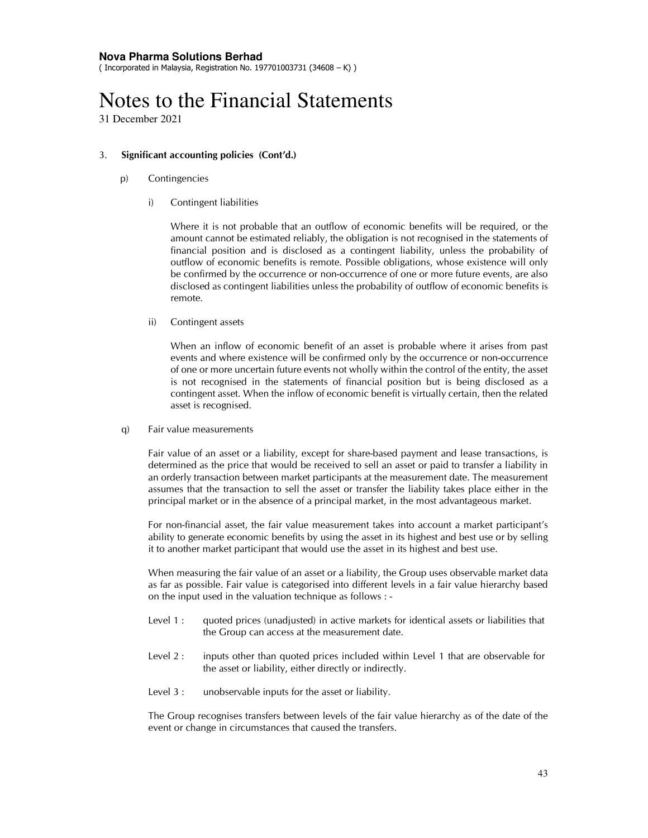# Notes to the Financial Statements

31 December 2021

### 3. **Significant accounting policies (Cont'd.)**

- p) Contingencies
	- i) Contingent liabilities

Where it is not probable that an outflow of economic benefits will be required, or the amount cannot be estimated reliably, the obligation is not recognised in the statements of financial position and is disclosed as a contingent liability, unless the probability of outflow of economic benefits is remote. Possible obligations, whose existence will only be confirmed by the occurrence or non-occurrence of one or more future events, are also disclosed as contingent liabilities unless the probability of outflow of economic benefits is remote.

ii) Contingent assets

When an inflow of economic benefit of an asset is probable where it arises from past events and where existence will be confirmed only by the occurrence or non-occurrence of one or more uncertain future events not wholly within the control of the entity, the asset is not recognised in the statements of financial position but is being disclosed as a contingent asset. When the inflow of economic benefit is virtually certain, then the related asset is recognised.

q) Fair value measurements

Fair value of an asset or a liability, except for share-based payment and lease transactions, is determined as the price that would be received to sell an asset or paid to transfer a liability in an orderly transaction between market participants at the measurement date. The measurement assumes that the transaction to sell the asset or transfer the liability takes place either in the principal market or in the absence of a principal market, in the most advantageous market.

For non-financial asset, the fair value measurement takes into account a market participant's ability to generate economic benefits by using the asset in its highest and best use or by selling it to another market participant that would use the asset in its highest and best use.

When measuring the fair value of an asset or a liability, the Group uses observable market data as far as possible. Fair value is categorised into different levels in a fair value hierarchy based on the input used in the valuation technique as follows : -

- Level 1 : guoted prices (unadjusted) in active markets for identical assets or liabilities that the Group can access at the measurement date.
- Level 2 : inputs other than quoted prices included within Level 1 that are observable for the asset or liability, either directly or indirectly.
- Level 3 : unobservable inputs for the asset or liability.

The Group recognises transfers between levels of the fair value hierarchy as of the date of the event or change in circumstances that caused the transfers.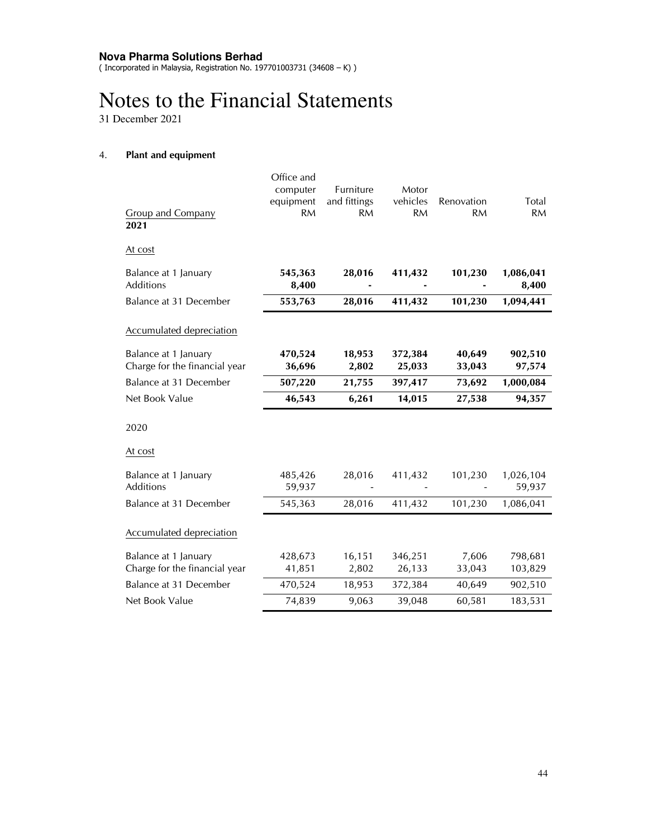( Incorporated in Malaysia, Registration No. 197701003731 (34608 – K) )

# Notes to the Financial Statements

31 December 2021

## 4. **Plant and equipment**

| Group and Company<br>2021                             | Office and<br>computer<br>equipment<br><b>RM</b> | Furniture<br>and fittings<br><b>RM</b> | Motor<br>vehicles<br><b>RM</b> | Renovation<br><b>RM</b> | Total<br><b>RM</b>  |
|-------------------------------------------------------|--------------------------------------------------|----------------------------------------|--------------------------------|-------------------------|---------------------|
| At cost                                               |                                                  |                                        |                                |                         |                     |
| Balance at 1 January<br><b>Additions</b>              | 545,363<br>8,400                                 | 28,016                                 | 411,432                        | 101,230                 | 1,086,041<br>8,400  |
| Balance at 31 December                                | 553,763                                          | 28,016                                 | 411,432                        | 101,230                 | 1,094,441           |
| <b>Accumulated depreciation</b>                       |                                                  |                                        |                                |                         |                     |
| Balance at 1 January<br>Charge for the financial year | 470,524<br>36,696                                | 18,953<br>2,802                        | 372,384<br>25,033              | 40,649<br>33,043        | 902,510<br>97,574   |
| Balance at 31 December                                | 507,220                                          | 21,755                                 | 397,417                        | 73,692                  | 1,000,084           |
|                                                       |                                                  |                                        |                                |                         |                     |
| Net Book Value                                        | 46,543                                           | 6,261                                  | 14,015                         | 27,538                  | 94,357              |
| 2020                                                  |                                                  |                                        |                                |                         |                     |
| At cost                                               |                                                  |                                        |                                |                         |                     |
| Balance at 1 January<br>Additions                     | 485,426<br>59,937                                | 28,016                                 | 411,432                        | 101,230                 | 1,026,104<br>59,937 |
| Balance at 31 December                                | 545,363                                          | 28,016                                 | 411,432                        | 101,230                 | 1,086,041           |
| Accumulated depreciation                              |                                                  |                                        |                                |                         |                     |
| Balance at 1 January<br>Charge for the financial year | 428,673<br>41,851                                | 16,151<br>2,802                        | 346,251<br>26,133              | 7,606<br>33,043         | 798,681<br>103,829  |
| Balance at 31 December                                | 470,524                                          | 18,953                                 | 372,384                        | 40,649                  | 902,510             |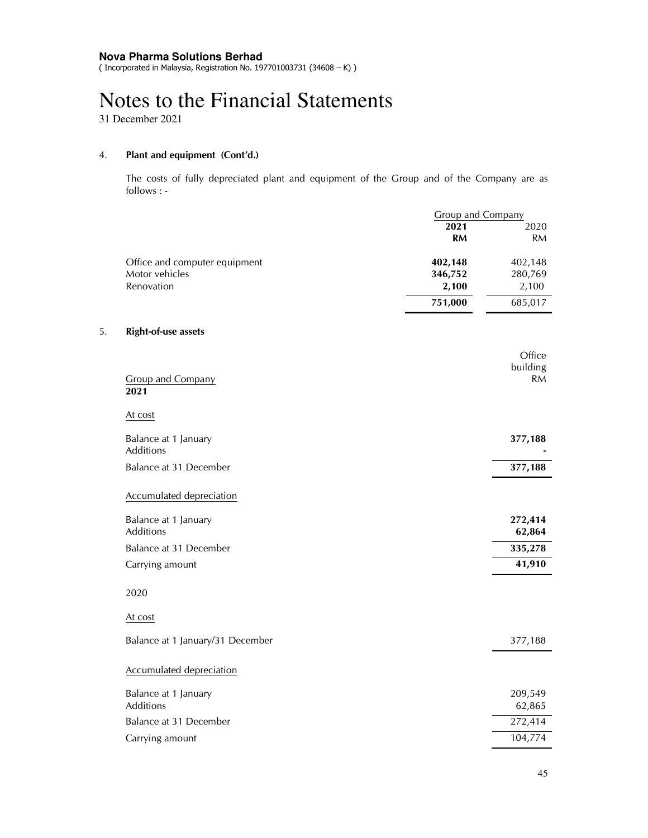# Notes to the Financial Statements

31 December 2021

## 4. **Plant and equipment (Cont'd.)**

The costs of fully depreciated plant and equipment of the Group and of the Company are as follows : -

|    |                                          | <b>Group and Company</b> |                    |
|----|------------------------------------------|--------------------------|--------------------|
|    |                                          | 2021                     | 2020               |
|    |                                          | <b>RM</b>                | <b>RM</b>          |
|    | Office and computer equipment            | 402,148                  | 402,148            |
|    | Motor vehicles                           | 346,752                  | 280,769            |
|    | Renovation                               | 2,100                    | 2,100              |
|    |                                          | 751,000                  | 685,017            |
| 5. | <b>Right-of-use assets</b>               |                          |                    |
|    |                                          |                          | Office<br>building |
|    | <b>Group and Company</b><br>2021         |                          | <b>RM</b>          |
|    | At cost                                  |                          |                    |
|    | Balance at 1 January<br>Additions        |                          | 377,188            |
|    | Balance at 31 December                   |                          | 377,188            |
|    | <b>Accumulated depreciation</b>          |                          |                    |
|    | Balance at 1 January<br><b>Additions</b> |                          | 272,414<br>62,864  |
|    | Balance at 31 December                   |                          | 335,278            |
|    | Carrying amount                          |                          | 41,910             |
|    | 2020                                     |                          |                    |
|    | At cost                                  |                          |                    |
|    | Balance at 1 January/31 December         |                          | 377,188            |
|    | <b>Accumulated depreciation</b>          |                          |                    |
|    | Balance at 1 January                     |                          | 209,549            |
|    | <b>Additions</b>                         |                          | 62,865             |
|    | Balance at 31 December                   |                          | 272,414            |
|    | Carrying amount                          |                          | 104,774            |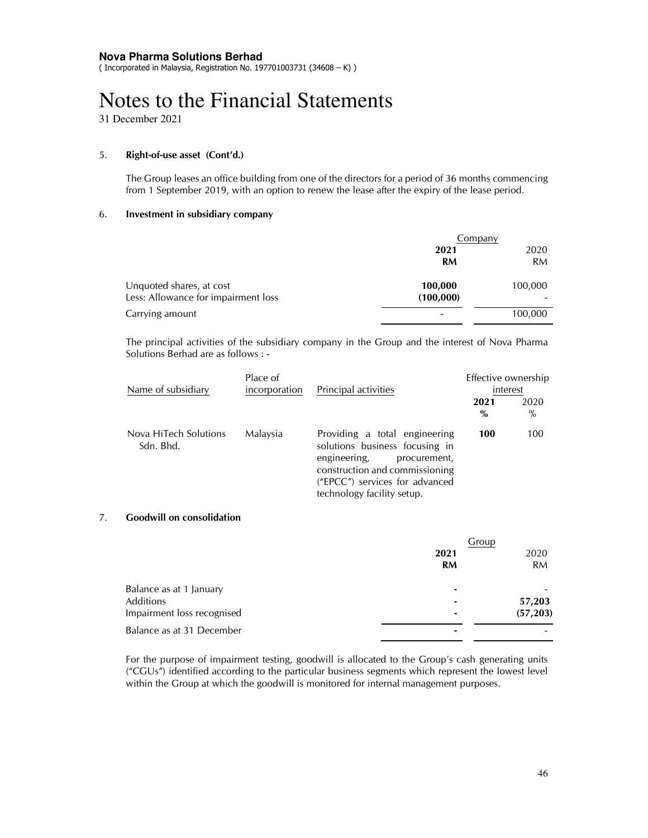# Notes to the Financial Statements

31 December 2021

### 5. **Right-of-use asset (Cont'd.)**

The Group leases an office building from one of the directors for a period of 36 months commencing from 1 September 2019, with an option to renew the lease after the expiry of the lease period.

#### 6. **Investment in subsidiary company**

|                                     | Company   |           |  |
|-------------------------------------|-----------|-----------|--|
|                                     | 2021      |           |  |
|                                     | <b>RM</b> | <b>RM</b> |  |
| Unquoted shares, at cost            | 100,000   | 100,000   |  |
| Less: Allowance for impairment loss | (100,000) |           |  |
| Carrying amount                     |           | 100,000   |  |

The principal activities of the subsidiary company in the Group and the interest of Nova Pharma Solutions Berhad are as follows : -

| Name of subsidiary                 | Place of<br>incorporation | Principal activities                                                                                                                                                                              | Effective ownership<br>interest |              |
|------------------------------------|---------------------------|---------------------------------------------------------------------------------------------------------------------------------------------------------------------------------------------------|---------------------------------|--------------|
|                                    |                           |                                                                                                                                                                                                   | 2021<br>$\%$                    | 2020<br>$\%$ |
| Nova HiTech Solutions<br>Sdn. Bhd. | Malaysia                  | Providing a total engineering<br>solutions business focusing in<br>engineering,<br>procurement,<br>construction and commissioning<br>("EPCC") services for advanced<br>technology facility setup. | 100                             | 100          |

#### 7. **Goodwill on consolidation**

|                            | Group     |           |  |
|----------------------------|-----------|-----------|--|
|                            | 2021      | 2020      |  |
|                            | <b>RM</b> | <b>RM</b> |  |
| Balance as at 1 January    | ۰         |           |  |
| <b>Additions</b>           | ۰         | 57,203    |  |
| Impairment loss recognised | ۰         | (57, 203) |  |
| Balance as at 31 December  |           |           |  |

For the purpose of impairment testing, goodwill is allocated to the Group's cash generating units ("CGUs") identified according to the particular business segments which represent the lowest level within the Group at which the goodwill is monitored for internal management purposes.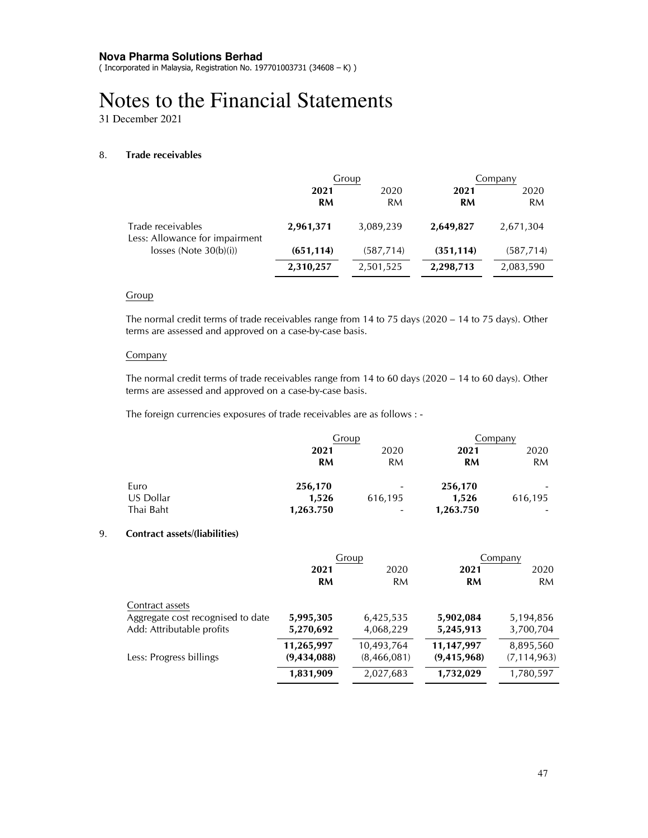( Incorporated in Malaysia, Registration No. 197701003731 (34608 – K) )

# Notes to the Financial Statements

31 December 2021

## 8. **Trade receivables**

|                                                     | Group      |            |            | Company    |  |
|-----------------------------------------------------|------------|------------|------------|------------|--|
|                                                     | 2021       | 2020       | 2021       | 2020       |  |
|                                                     | RM         | <b>RM</b>  | <b>RM</b>  | <b>RM</b>  |  |
| Trade receivables<br>Less: Allowance for impairment | 2,961,371  | 3,089,239  | 2,649,827  | 2,671,304  |  |
| losses (Note $30(b)(i)$ )                           | (651, 114) | (587, 714) | (351, 114) | (587, 714) |  |
|                                                     | 2,310,257  | 2,501,525  | 2,298,713  | 2,083,590  |  |

### **Group**

 The normal credit terms of trade receivables range from 14 to 75 days (2020 – 14 to 75 days). Other terms are assessed and approved on a case-by-case basis.

### **Company**

 The normal credit terms of trade receivables range from 14 to 60 days (2020 – 14 to 60 days). Other terms are assessed and approved on a case-by-case basis.

The foreign currencies exposures of trade receivables are as follows : -

|           | Group        |           |           | Company   |
|-----------|--------------|-----------|-----------|-----------|
|           | 2021<br>2020 |           | 2021      | 2020      |
|           | <b>RM</b>    | <b>RM</b> | <b>RM</b> | <b>RM</b> |
| Euro      | 256,170      | -         | 256,170   |           |
| US Dollar | 1.526        | 616,195   | 1.526     | 616,195   |
| Thai Baht | 1,263.750    | -         | 1,263.750 |           |

### 9. **Contract assets/(liabilities)**

| Group       |             |             | Company       |
|-------------|-------------|-------------|---------------|
| 2021        | 2020        | 2021        | 2020          |
| <b>RM</b>   | <b>RM</b>   | <b>RM</b>   | <b>RM</b>     |
|             |             |             |               |
| 5,995,305   | 6,425,535   | 5,902,084   | 5,194,856     |
| 5,270,692   | 4,068,229   | 5,245,913   | 3,700,704     |
| 11,265,997  | 10,493,764  | 11,147,997  | 8,895,560     |
| (9,434,088) | (8,466,081) | (9,415,968) | (7, 114, 963) |
| 1,831,909   | 2,027,683   | 1,732,029   | 1,780,597     |
|             |             |             |               |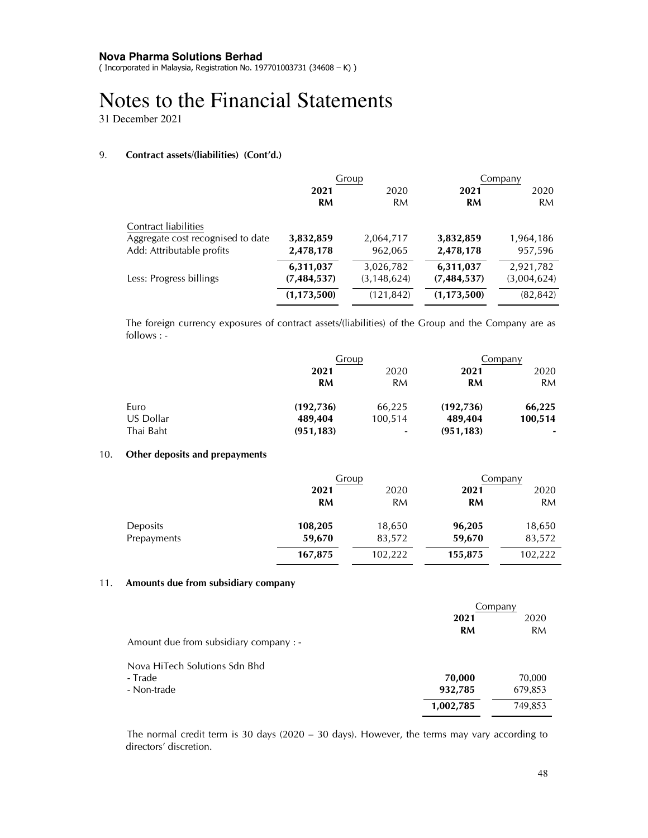( Incorporated in Malaysia, Registration No. 197701003731 (34608 – K) )

# Notes to the Financial Statements

31 December 2021

## 9. **Contract assets/(liabilities) (Cont'd.)**

|                                   | Group         |               | Company       |             |
|-----------------------------------|---------------|---------------|---------------|-------------|
|                                   | 2021          | 2020          | 2021          | 2020        |
|                                   | <b>RM</b>     | <b>RM</b>     | RM            | <b>RM</b>   |
| Contract liabilities              |               |               |               |             |
| Aggregate cost recognised to date | 3,832,859     | 2,064,717     | 3,832,859     | 1,964,186   |
| Add: Attributable profits         | 2,478,178     | 962,065       | 2,478,178     | 957,596     |
|                                   | 6,311,037     | 3,026,782     | 6,311,037     | 2,921,782   |
| Less: Progress billings           | (7,484,537)   | (3, 148, 624) | (7, 484, 537) | (3,004,624) |
|                                   | (1, 173, 500) | (121, 842)    | (1, 173, 500) | (82, 842)   |

 The foreign currency exposures of contract assets/(liabilities) of the Group and the Company are as follows : -

|           | Group      |                 |            | Company   |
|-----------|------------|-----------------|------------|-----------|
|           | 2021       | 2020            | 2021       | 2020      |
|           | <b>RM</b>  | <b>RM</b>       | <b>RM</b>  | <b>RM</b> |
| Euro      | (192, 736) | 66,225          | (192,736)  | 66,225    |
| US Dollar | 489,404    | 100,514         | 489,404    | 100,514   |
| Thai Baht | (951, 183) | $\qquad \qquad$ | (951, 183) | ۰         |

## 10. **Other deposits and prepayments**

|             | Group     |           |           | Company   |
|-------------|-----------|-----------|-----------|-----------|
|             | 2021      | 2020      | 2021      | 2020      |
|             | <b>RM</b> | <b>RM</b> | <b>RM</b> | <b>RM</b> |
| Deposits    | 108,205   | 18,650    | 96,205    | 18,650    |
| Prepayments | 59,670    | 83,572    | 59,670    | 83,572    |
|             | 167,875   | 102,222   | 155,875   | 102,222   |

### 11. **Amounts due from subsidiary company**

|                                        | Company   |           |
|----------------------------------------|-----------|-----------|
|                                        | 2021      | 2020      |
|                                        | <b>RM</b> | <b>RM</b> |
| Amount due from subsidiary company : - |           |           |
| Nova HiTech Solutions Sdn Bhd          |           |           |
| - Trade                                | 70,000    | 70,000    |
| - Non-trade                            | 932,785   | 679,853   |
|                                        | 1,002,785 | 749,853   |

The normal credit term is 30 days (2020 – 30 days). However, the terms may vary according to directors' discretion.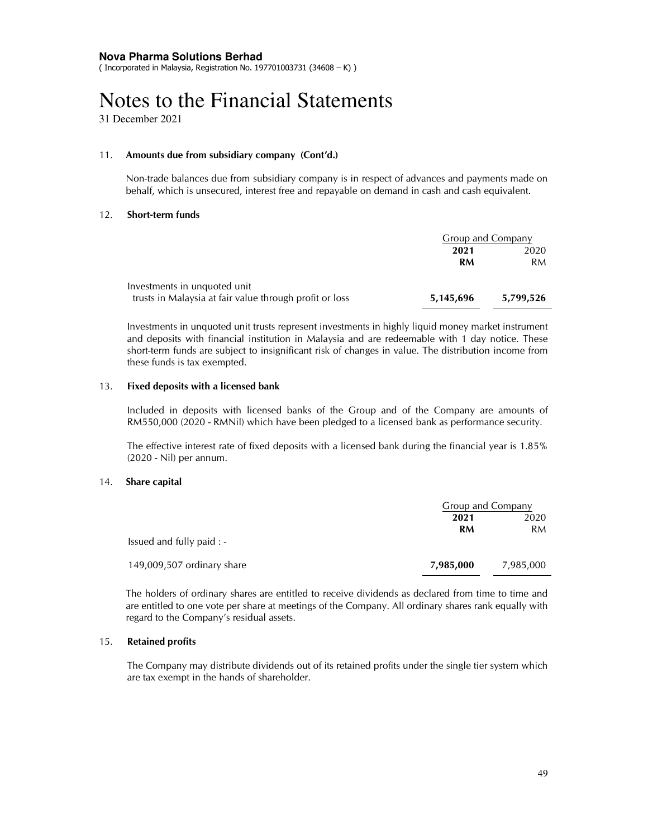# Notes to the Financial Statements

31 December 2021

#### 11. **Amounts due from subsidiary company (Cont'd.)**

Non-trade balances due from subsidiary company is in respect of advances and payments made on behalf, which is unsecured, interest free and repayable on demand in cash and cash equivalent.

#### 12. **Short-term funds**

|                                                         | Group and Company |           |
|---------------------------------------------------------|-------------------|-----------|
|                                                         | 2021              | 2020      |
|                                                         | <b>RM</b>         | <b>RM</b> |
| Investments in unquoted unit                            |                   |           |
| trusts in Malaysia at fair value through profit or loss | 5,145,696         | 5,799,526 |

Investments in unquoted unit trusts represent investments in highly liquid money market instrument and deposits with financial institution in Malaysia and are redeemable with 1 day notice. These short-term funds are subject to insignificant risk of changes in value. The distribution income from these funds is tax exempted.

#### 13. **Fixed deposits with a licensed bank**

Included in deposits with licensed banks of the Group and of the Company are amounts of RM550,000 (2020 - RMNil) which have been pledged to a licensed bank as performance security.

The effective interest rate of fixed deposits with a licensed bank during the financial year is 1.85% (2020 - Nil) per annum.

#### 14. **Share capital**

|                             | Group and Company |           |
|-----------------------------|-------------------|-----------|
|                             | 2021              | 2020      |
|                             | <b>RM</b>         | <b>RM</b> |
| Issued and fully paid $: -$ |                   |           |
| 149,009,507 ordinary share  | 7,985,000         | 7,985,000 |

The holders of ordinary shares are entitled to receive dividends as declared from time to time and are entitled to one vote per share at meetings of the Company. All ordinary shares rank equally with regard to the Company's residual assets.

#### 15. **Retained profits**

The Company may distribute dividends out of its retained profits under the single tier system which are tax exempt in the hands of shareholder.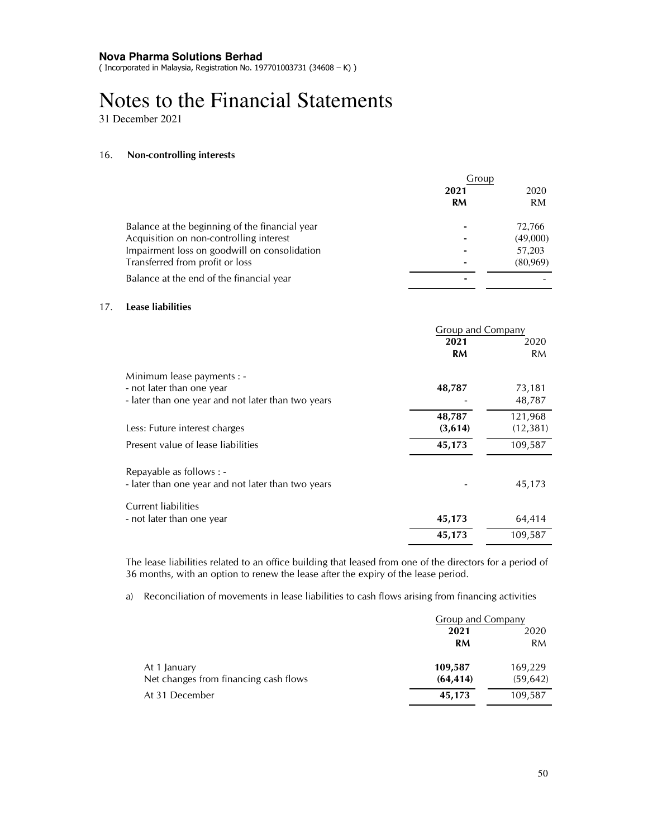( Incorporated in Malaysia, Registration No. 197701003731 (34608 – K) )

# Notes to the Financial Statements

31 December 2021

## 16. **Non-controlling interests**

|                                                | iroup |           |
|------------------------------------------------|-------|-----------|
|                                                | 2021  |           |
|                                                | RM    | <b>RM</b> |
| Balance at the beginning of the financial year |       | 72,766    |
| Acquisition on non-controlling interest        |       | (49,000)  |
| Impairment loss on goodwill on consolidation   |       | 57,203    |
| Transferred from profit or loss                |       | (80,969)  |
| Balance at the end of the financial year       |       |           |

#### 17. **Lease liabilities**

|                                                    | Group and Company |           |
|----------------------------------------------------|-------------------|-----------|
|                                                    | 2021              | 2020      |
|                                                    | <b>RM</b>         | <b>RM</b> |
| Minimum lease payments : -                         |                   |           |
| - not later than one year                          | 48,787            | 73,181    |
| - later than one year and not later than two years |                   | 48,787    |
|                                                    | 48,787            | 121,968   |
| Less: Future interest charges                      | (3,614)           | (12, 381) |
| Present value of lease liabilities                 | 45,173            | 109,587   |
| Repayable as follows : -                           |                   |           |
| - later than one year and not later than two years |                   | 45,173    |
| Current liabilities                                |                   |           |
| - not later than one year                          | 45,173            | 64,414    |
|                                                    | 45,173            | 109,587   |

The lease liabilities related to an office building that leased from one of the directors for a period of 36 months, with an option to renew the lease after the expiry of the lease period.

a) Reconciliation of movements in lease liabilities to cash flows arising from financing activities

|                                       | Group and Company |           |
|---------------------------------------|-------------------|-----------|
|                                       | 2021              | 2020      |
|                                       | <b>RM</b>         | <b>RM</b> |
| At 1 January                          | 109,587           | 169,229   |
| Net changes from financing cash flows | (64, 414)         | (59, 642) |
| At 31 December                        | 45,173            | 109,587   |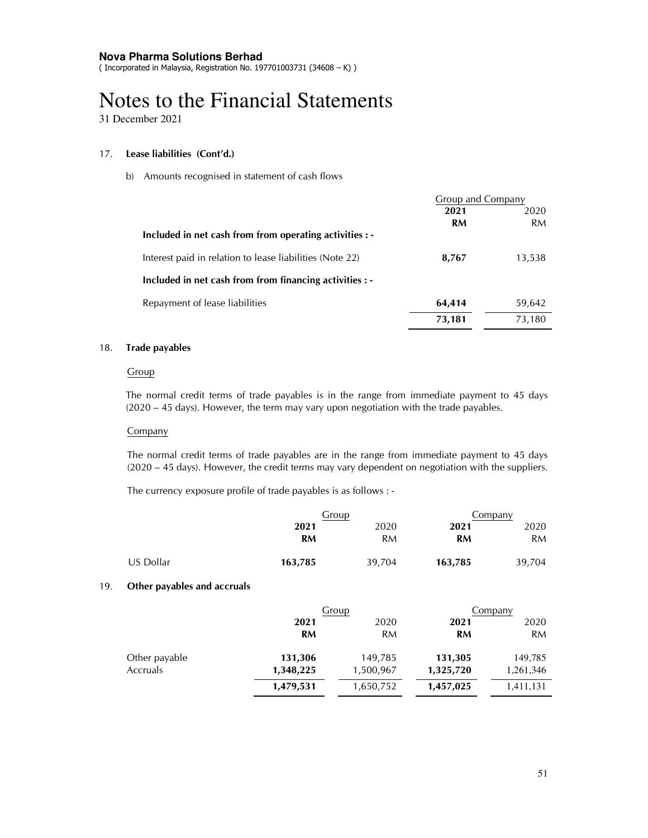( Incorporated in Malaysia, Registration No. 197701003731 (34608 – K) )

# Notes to the Financial Statements

31 December 2021

### 17. **Lease liabilities (Cont'd.)**

b) Amounts recognised in statement of cash flows

|                                                               | Group and Company |           |
|---------------------------------------------------------------|-------------------|-----------|
|                                                               | 2021              | 2020      |
|                                                               | <b>RM</b>         | <b>RM</b> |
| Included in net cash from from operating activities $:$ -     |                   |           |
| Interest paid in relation to lease liabilities (Note 22)      | 8,767             | 13,538    |
| Included in net cash from from financing activities $\cdot$ - |                   |           |
| Repayment of lease liabilities                                | 64,414            | 59,642    |
|                                                               | 73,181            | 73,180    |

### 18. **Trade payables**

## **Group**

The normal credit terms of trade payables is in the range from immediate payment to 45 days (2020 – 45 days). However, the term may vary upon negotiation with the trade payables.

## Company

The normal credit terms of trade payables are in the range from immediate payment to 45 days (2020 – 45 days). However, the credit terms may vary dependent on negotiation with the suppliers.

The currency exposure profile of trade payables is as follows : -

|           | Group     |           |           |        |  | Company |  |
|-----------|-----------|-----------|-----------|--------|--|---------|--|
|           | 2021      | 2020      | 2021      | 2020   |  |         |  |
|           | <b>RM</b> | <b>RM</b> | <b>RM</b> | RM     |  |         |  |
| US Dollar | 163,785   | 39,704    | 163,785   | 39,704 |  |         |  |

### 19. **Other payables and accruals**

|               |           | Group     |           | Company   |
|---------------|-----------|-----------|-----------|-----------|
|               | 2021      | 2020      | 2021      | 2020      |
|               | <b>RM</b> | <b>RM</b> | <b>RM</b> | <b>RM</b> |
| Other payable | 131,306   | 149,785   | 131,305   | 149,785   |
| Accruals      | 1,348,225 | 1,500,967 | 1,325,720 | 1,261,346 |
|               | 1,479,531 | 1,650,752 | 1,457,025 | 1,411,131 |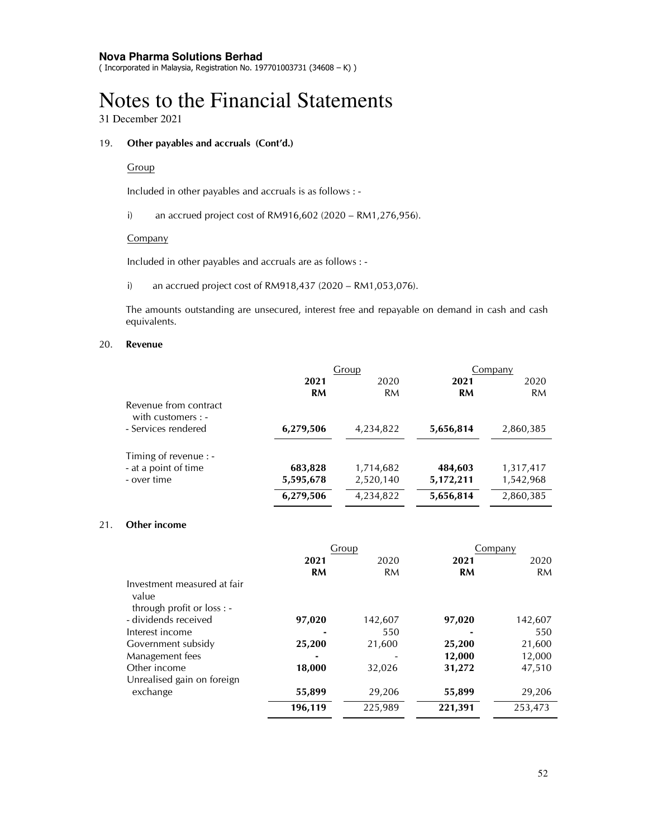# Notes to the Financial Statements

31 December 2021

## 19. **Other payables and accruals (Cont'd.)**

### **Group**

Included in other payables and accruals is as follows : -

i) an accrued project cost of RM916,602 (2020 – RM1,276,956).

# **Company**

Included in other payables and accruals are as follows : -

i) an accrued project cost of RM918,437 (2020 – RM1,053,076).

The amounts outstanding are unsecured, interest free and repayable on demand in cash and cash equivalents.

## 20. **Revenue**

|                                             |           | Group     |           | Company   |
|---------------------------------------------|-----------|-----------|-----------|-----------|
|                                             | 2021      | 2020      | 2021      | 2020      |
|                                             | <b>RM</b> | <b>RM</b> | RM        | <b>RM</b> |
| Revenue from contract<br>with customers : - |           |           |           |           |
| - Services rendered                         | 6,279,506 | 4,234,822 | 5,656,814 | 2,860,385 |
| Timing of revenue : -                       |           |           |           |           |
| - at a point of time                        | 683,828   | 1,714,682 | 484,603   | 1,317,417 |
| - over time                                 | 5,595,678 | 2,520,140 | 5,172,211 | 1,542,968 |
|                                             | 6,279,506 | 4,234,822 | 5,656,814 | 2,860,385 |

### 21. **Other income**

|                             | Group     |           |           | Company   |
|-----------------------------|-----------|-----------|-----------|-----------|
|                             | 2021      | 2020      | 2021      | 2020      |
|                             | <b>RM</b> | <b>RM</b> | <b>RM</b> | <b>RM</b> |
| Investment measured at fair |           |           |           |           |
| value                       |           |           |           |           |
| through profit or $loss: -$ |           |           |           |           |
| - dividends received        | 97,020    | 142,607   | 97,020    | 142,607   |
| Interest income             |           | 550       |           | 550       |
| Government subsidy          | 25,200    | 21,600    | 25,200    | 21,600    |
| Management fees             |           |           | 12,000    | 12,000    |
| Other income                | 18,000    | 32,026    | 31,272    | 47,510    |
| Unrealised gain on foreign  |           |           |           |           |
| exchange                    | 55,899    | 29,206    | 55,899    | 29,206    |
|                             | 196,119   | 225,989   | 221,391   | 253,473   |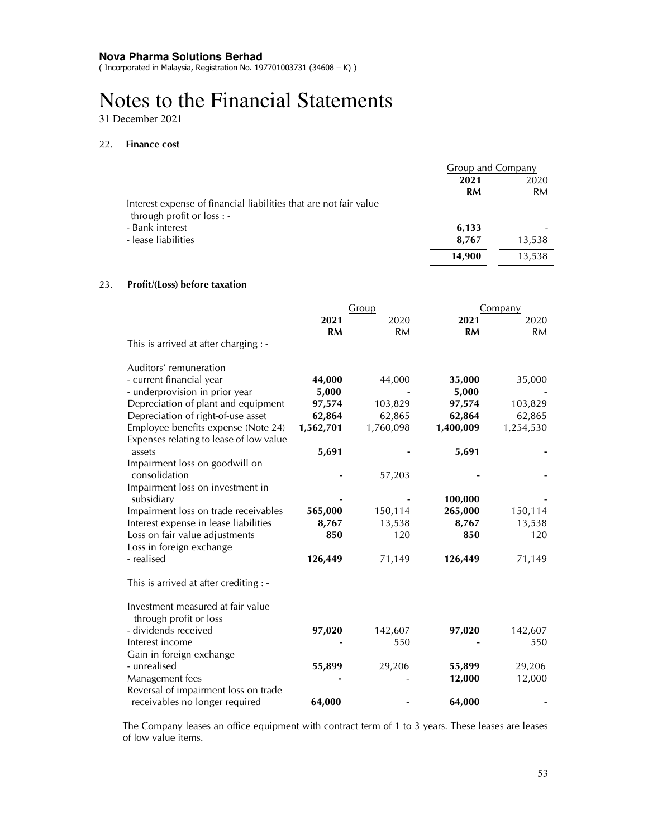( Incorporated in Malaysia, Registration No. 197701003731 (34608 – K) )

# Notes to the Financial Statements

31 December 2021

### 22. **Finance cost**

|     |                                                                   |           |           | 2021<br><b>RM</b> | <b>Group and Company</b><br>2020<br><b>RM</b> |
|-----|-------------------------------------------------------------------|-----------|-----------|-------------------|-----------------------------------------------|
|     | Interest expense of financial liabilities that are not fair value |           |           |                   |                                               |
|     | through profit or loss : -                                        |           |           |                   |                                               |
|     | - Bank interest<br>- lease liabilities                            |           |           | 6,133<br>8,767    | 13,538                                        |
|     |                                                                   |           |           | 14,900            | 13,538                                        |
|     |                                                                   |           |           |                   |                                               |
| 23. | <b>Profit/(Loss) before taxation</b>                              |           |           |                   |                                               |
|     |                                                                   |           | Group     |                   | Company                                       |
|     |                                                                   | 2021      | 2020      | 2021              | 2020                                          |
|     | This is arrived at after charging : -                             | RM        | <b>RM</b> | <b>RM</b>         | <b>RM</b>                                     |
|     |                                                                   |           |           |                   |                                               |
|     | Auditors' remuneration<br>- current financial year                | 44,000    | 44,000    | 35,000            | 35,000                                        |
|     | - underprovision in prior year                                    | 5,000     |           | 5,000             |                                               |
|     | Depreciation of plant and equipment                               | 97,574    | 103,829   | 97,574            | 103,829                                       |
|     | Depreciation of right-of-use asset                                | 62,864    | 62,865    | 62,864            | 62,865                                        |
|     | Employee benefits expense (Note 24)                               | 1,562,701 | 1,760,098 | 1,400,009         | 1,254,530                                     |
|     | Expenses relating to lease of low value                           |           |           |                   |                                               |
|     | assets                                                            | 5,691     |           | 5,691             |                                               |
|     | Impairment loss on goodwill on                                    |           |           |                   |                                               |
|     | consolidation                                                     |           | 57,203    |                   |                                               |
|     | Impairment loss on investment in                                  |           |           |                   |                                               |
|     | subsidiary                                                        |           |           | 100,000           |                                               |
|     | Impairment loss on trade receivables                              | 565,000   | 150,114   | 265,000           | 150,114                                       |
|     | Interest expense in lease liabilities                             | 8,767     | 13,538    | 8,767             | 13,538<br>120                                 |
|     | Loss on fair value adjustments<br>Loss in foreign exchange        | 850       | 120       | 850               |                                               |
|     | - realised                                                        | 126,449   | 71,149    | 126,449           | 71,149                                        |
|     |                                                                   |           |           |                   |                                               |
|     | This is arrived at after crediting : -                            |           |           |                   |                                               |
|     | Investment measured at fair value                                 |           |           |                   |                                               |
|     | through profit or loss                                            |           |           |                   |                                               |
|     | - dividends received                                              | 97,020    | 142,607   | 97,020            | 142,607                                       |
|     | Interest income                                                   |           | 550       |                   | 550                                           |
|     | Gain in foreign exchange                                          |           |           |                   |                                               |
|     | - unrealised                                                      | 55,899    | 29,206    | 55,899            | 29,206                                        |
|     | Management fees                                                   |           |           | 12,000            | 12,000                                        |
|     | Reversal of impairment loss on trade                              |           |           |                   |                                               |

The Company leases an office equipment with contract term of 1 to 3 years. These leases are leases of low value items.

receivables no longer required **64,000** - **64,000** -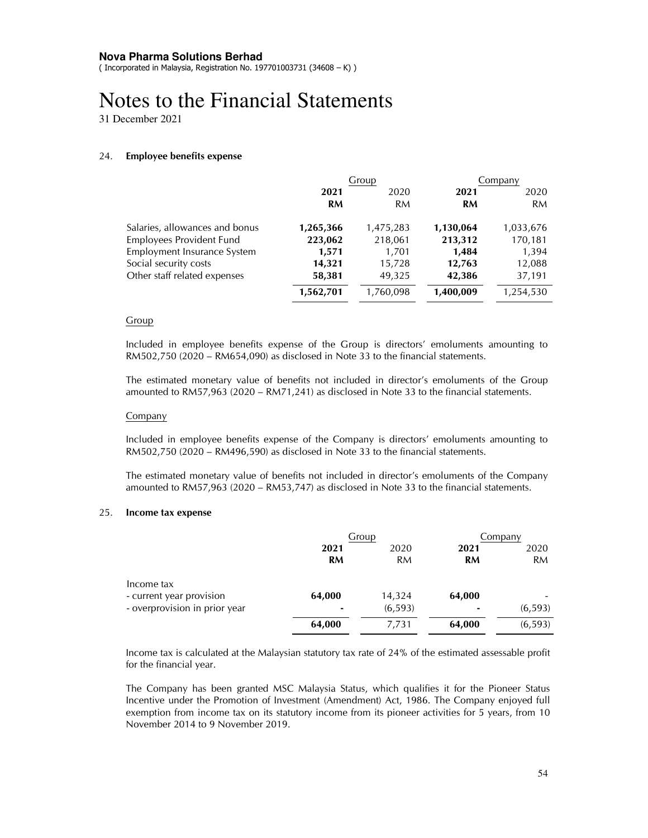( Incorporated in Malaysia, Registration No. 197701003731 (34608 – K) )

# Notes to the Financial Statements

31 December 2021

#### 24. **Employee benefits expense**

|                                 | Group     |           |           | Company   |
|---------------------------------|-----------|-----------|-----------|-----------|
|                                 | 2021      | 2020      | 2021      | 2020      |
|                                 | <b>RM</b> | <b>RM</b> | <b>RM</b> | <b>RM</b> |
| Salaries, allowances and bonus  | 1,265,366 | 1,475,283 | 1,130,064 | 1,033,676 |
| <b>Employees Provident Fund</b> | 223,062   | 218,061   | 213,312   | 170,181   |
| Employment Insurance System     | 1,571     | 1.701     | 1,484     | 1,394     |
| Social security costs           | 14,321    | 15,728    | 12,763    | 12,088    |
| Other staff related expenses    | 58,381    | 49,325    | 42,386    | 37,191    |
|                                 | 1,562,701 | 1,760,098 | 1,400,009 | 1,254,530 |

#### Group

Included in employee benefits expense of the Group is directors' emoluments amounting to RM502,750 (2020 – RM654,090) as disclosed in Note 33 to the financial statements.

The estimated monetary value of benefits not included in director's emoluments of the Group amounted to RM57,963 (2020 – RM71,241) as disclosed in Note 33 to the financial statements.

#### Company

Included in employee benefits expense of the Company is directors' emoluments amounting to RM502,750 (2020 – RM496,590) as disclosed in Note 33 to the financial statements.

The estimated monetary value of benefits not included in director's emoluments of the Company amounted to RM57,963 (2020 – RM53,747) as disclosed in Note 33 to the financial statements.

#### 25. **Income tax expense**

|           |           |           | Company   |
|-----------|-----------|-----------|-----------|
| 2021      | 2020      | 2021      | 2020      |
| <b>RM</b> | <b>RM</b> | <b>RM</b> | <b>RM</b> |
|           |           |           |           |
| 64,000    | 14,324    | 64,000    |           |
|           | (6, 593)  | ٠         | (6, 593)  |
| 64,000    | 7,731     | 64,000    | (6, 593)  |
|           |           | Group     |           |

Income tax is calculated at the Malaysian statutory tax rate of 24% of the estimated assessable profit for the financial year.

The Company has been granted MSC Malaysia Status, which qualifies it for the Pioneer Status Incentive under the Promotion of Investment (Amendment) Act, 1986. The Company enjoyed full exemption from income tax on its statutory income from its pioneer activities for 5 years, from 10 November 2014 to 9 November 2019.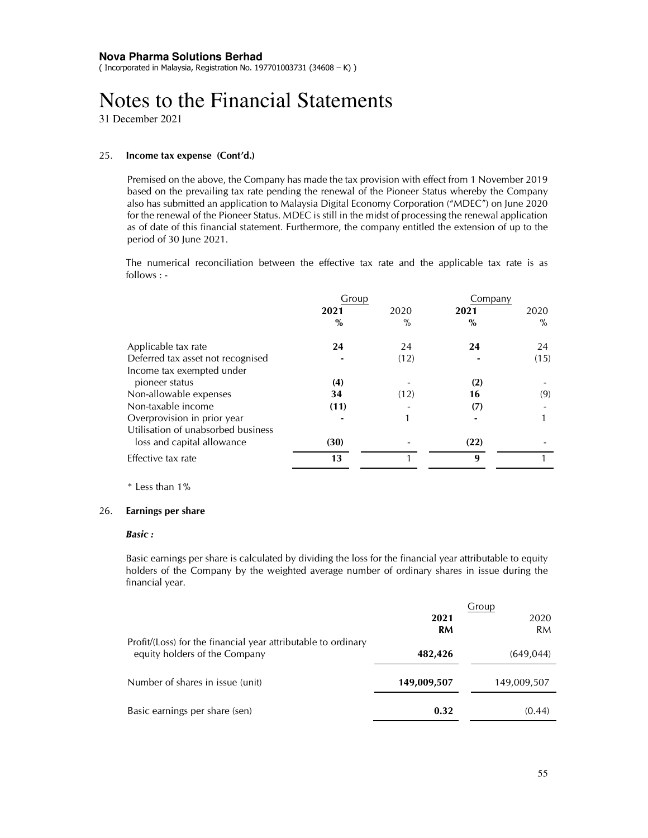# Notes to the Financial Statements

31 December 2021

#### 25. **Income tax expense (Cont'd.)**

Premised on the above, the Company has made the tax provision with effect from 1 November 2019 based on the prevailing tax rate pending the renewal of the Pioneer Status whereby the Company also has submitted an application to Malaysia Digital Economy Corporation ("MDEC") on June 2020 for the renewal of the Pioneer Status. MDEC is still in the midst of processing the renewal application as of date of this financial statement. Furthermore, the company entitled the extension of up to the period of 30 June 2021.

The numerical reconciliation between the effective tax rate and the applicable tax rate is as follows : -

|                                    | Group |      | Company |      |  |
|------------------------------------|-------|------|---------|------|--|
|                                    | 2021  | 2020 | 2021    | 2020 |  |
|                                    | $\%$  | $\%$ | $\%$    | $\%$ |  |
| Applicable tax rate                | 24    | 24   | 24      | 24   |  |
| Deferred tax asset not recognised  |       | (12) |         | (15) |  |
| Income tax exempted under          |       |      |         |      |  |
| pioneer status                     | (4)   |      | (2)     |      |  |
| Non-allowable expenses             | 34    | (12) | 16      | (9)  |  |
| Non-taxable income                 | (11)  |      | (7)     |      |  |
| Overprovision in prior year        |       |      |         |      |  |
| Utilisation of unabsorbed business |       |      |         |      |  |
| loss and capital allowance         | (30)  |      | (22)    |      |  |
| Effective tax rate                 | 13    |      | 9       |      |  |

\* Less than 1%

#### 26. **Earnings per share**

#### *Basic :*

Basic earnings per share is calculated by dividing the loss for the financial year attributable to equity holders of the Company by the weighted average number of ordinary shares in issue during the financial year.

|             | Group       |
|-------------|-------------|
| 2021        | 2020        |
| <b>RM</b>   | <b>RM</b>   |
| 482,426     | (649, 044)  |
| 149,009,507 | 149,009,507 |
| 0.32        | (0.44)      |
|             |             |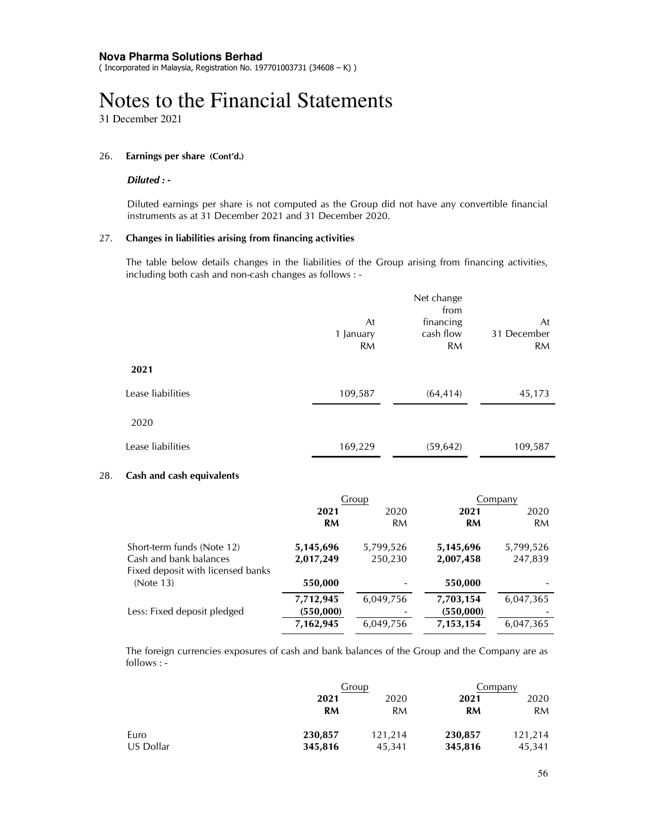# Notes to the Financial Statements

31 December 2021

### 26. **Earnings per share (Cont'd.)**

#### *Diluted : -*

Diluted earnings per share is not computed as the Group did not have any convertible financial instruments as at 31 December 2021 and 31 December 2020.

### 27. **Changes in liabilities arising from financing activities**

The table below details changes in the liabilities of the Group arising from financing activities, including both cash and non-cash changes as follows : -

|                   | Net change<br>from           |                                     |                                |  |  |
|-------------------|------------------------------|-------------------------------------|--------------------------------|--|--|
|                   | At<br>1 January<br><b>RM</b> | financing<br>cash flow<br><b>RM</b> | At<br>31 December<br><b>RM</b> |  |  |
| 2021              |                              |                                     |                                |  |  |
| Lease liabilities | 109,587                      | (64, 414)                           | 45,173                         |  |  |
| 2020              |                              |                                     |                                |  |  |
| Lease liabilities | 169,229                      | (59, 642)                           | 109,587                        |  |  |

#### 28. **Cash and cash equivalents**

|                                   | Group     |           | Company   |           |
|-----------------------------------|-----------|-----------|-----------|-----------|
|                                   | 2021      | 2020      | 2021      | 2020      |
|                                   | RM        | <b>RM</b> | <b>RM</b> | <b>RM</b> |
| Short-term funds (Note 12)        | 5,145,696 | 5,799,526 | 5,145,696 | 5,799,526 |
| Cash and bank balances            | 2,017,249 | 250,230   | 2,007,458 | 247,839   |
| Fixed deposit with licensed banks |           |           |           |           |
| (Note 13)                         | 550,000   |           | 550,000   |           |
|                                   | 7,712,945 | 6,049,756 | 7,703,154 | 6,047,365 |
| Less: Fixed deposit pledged       | (550,000) |           | (550,000) |           |
|                                   | 7,162,945 | 6,049,756 | 7,153,154 | 6,047,365 |

The foreign currencies exposures of cash and bank balances of the Group and the Company are as follows : -

|           | Group     |           | Company   |         |
|-----------|-----------|-----------|-----------|---------|
|           | 2021      | 2020      | 2021      | 2020    |
|           | <b>RM</b> | <b>RM</b> | <b>RM</b> | RM.     |
| Euro      | 230,857   | 121,214   | 230,857   | 121,214 |
| US Dollar | 345,816   | 45.341    | 345,816   | 45,341  |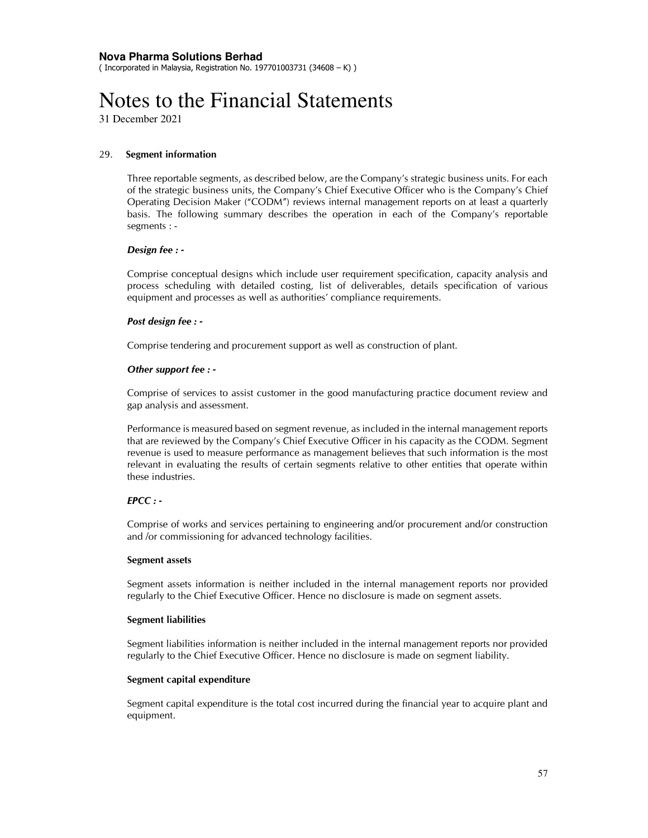# Notes to the Financial Statements

31 December 2021

## 29. **Segment information**

Three reportable segments, as described below, are the Company's strategic business units. For each of the strategic business units, the Company's Chief Executive Officer who is the Company's Chief Operating Decision Maker ("CODM") reviews internal management reports on at least a quarterly basis. The following summary describes the operation in each of the Company's reportable segments : -

### *Design fee : -*

Comprise conceptual designs which include user requirement specification, capacity analysis and process scheduling with detailed costing, list of deliverables, details specification of various equipment and processes as well as authorities' compliance requirements.

### *Post design fee : -*

Comprise tendering and procurement support as well as construction of plant.

### *Other support fee : -*

Comprise of services to assist customer in the good manufacturing practice document review and gap analysis and assessment.

Performance is measured based on segment revenue, as included in the internal management reports that are reviewed by the Company's Chief Executive Officer in his capacity as the CODM. Segment revenue is used to measure performance as management believes that such information is the most relevant in evaluating the results of certain segments relative to other entities that operate within these industries.

### *EPCC : -*

Comprise of works and services pertaining to engineering and/or procurement and/or construction and /or commissioning for advanced technology facilities.

### **Segment assets**

Segment assets information is neither included in the internal management reports nor provided regularly to the Chief Executive Officer. Hence no disclosure is made on segment assets.

### **Segment liabilities**

Segment liabilities information is neither included in the internal management reports nor provided regularly to the Chief Executive Officer. Hence no disclosure is made on segment liability.

### **Segment capital expenditure**

Segment capital expenditure is the total cost incurred during the financial year to acquire plant and equipment.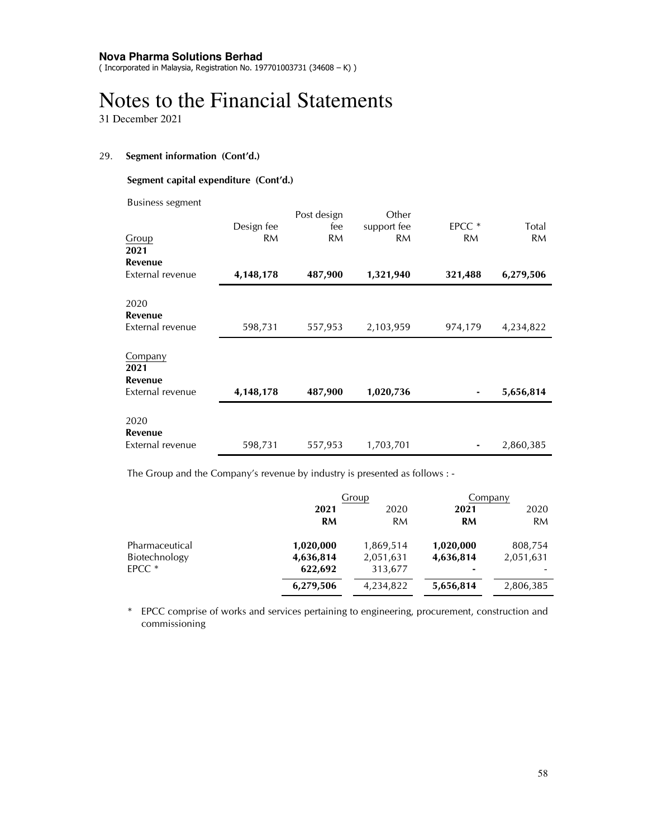# Notes to the Financial Statements

31 December 2021

## 29. **Segment information (Cont'd.)**

## **Segment capital expenditure (Cont'd.)**

| <b>Business segment</b> |            |             |             |                   |           |
|-------------------------|------------|-------------|-------------|-------------------|-----------|
|                         |            | Post design | Other       |                   |           |
|                         | Design fee | fee         | support fee | EPCC <sup>*</sup> | Total     |
| Group                   | <b>RM</b>  | <b>RM</b>   | <b>RM</b>   | <b>RM</b>         | <b>RM</b> |
| 2021                    |            |             |             |                   |           |
| Revenue                 |            |             |             |                   |           |
| External revenue        | 4,148,178  | 487,900     | 1,321,940   | 321,488           | 6,279,506 |
| 2020                    |            |             |             |                   |           |
| Revenue                 |            |             |             |                   |           |
| External revenue        | 598,731    | 557,953     | 2,103,959   | 974,179           | 4,234,822 |
| Company                 |            |             |             |                   |           |
| 2021                    |            |             |             |                   |           |
| Revenue                 |            |             |             |                   |           |
| External revenue        | 4,148,178  | 487,900     | 1,020,736   |                   | 5,656,814 |
| 2020                    |            |             |             |                   |           |
| Revenue                 |            |             |             |                   |           |
| External revenue        | 598,731    | 557,953     | 1,703,701   |                   | 2,860,385 |

The Group and the Company's revenue by industry is presented as follows : -

|                   | Group     |           | Company   |           |
|-------------------|-----------|-----------|-----------|-----------|
|                   | 2021      | 2020      | 2021      | 2020      |
|                   | RM        | <b>RM</b> | <b>RM</b> | <b>RM</b> |
| Pharmaceutical    | 1,020,000 | 1,869,514 | 1,020,000 | 808,754   |
| Biotechnology     | 4,636,814 | 2,051,631 | 4,636,814 | 2,051,631 |
| EPCC <sup>*</sup> | 622,692   | 313,677   |           |           |
|                   | 6,279,506 | 4,234,822 | 5,656,814 | 2,806,385 |

\* EPCC comprise of works and services pertaining to engineering, procurement, construction and commissioning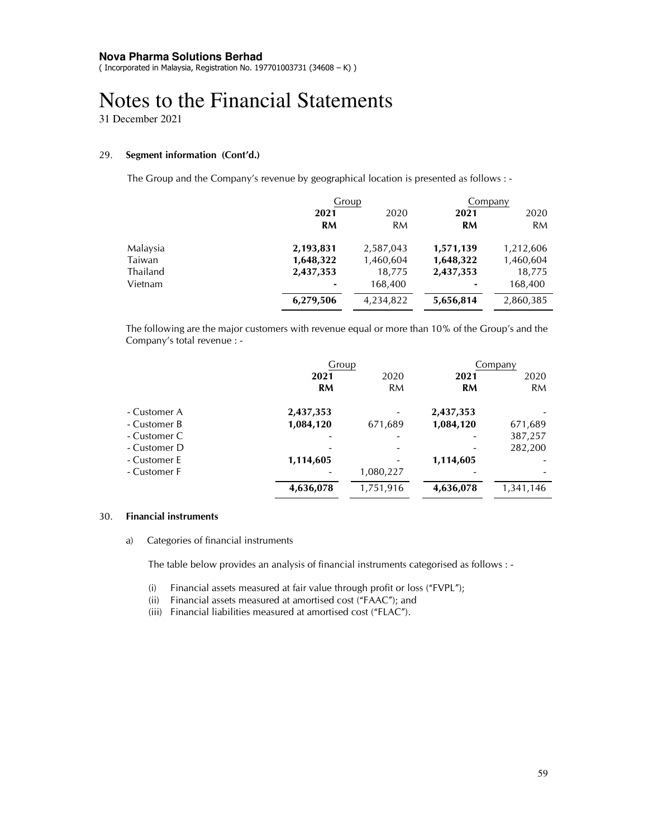# Notes to the Financial Statements

31 December 2021

### 29. **Segment information (Cont'd.)**

The Group and the Company's revenue by geographical location is presented as follows : -

|          |                | Group     |           | Company   |
|----------|----------------|-----------|-----------|-----------|
|          | 2021           | 2020      | 2021      | 2020      |
|          | <b>RM</b>      | <b>RM</b> | <b>RM</b> | <b>RM</b> |
| Malaysia | 2,193,831      | 2,587,043 | 1,571,139 | 1,212,606 |
| Taiwan   | 1,648,322      | 1,460,604 | 1,648,322 | 1,460,604 |
| Thailand | 2,437,353      | 18,775    | 2,437,353 | 18,775    |
| Vietnam  | $\blacksquare$ | 168,400   | ۰         | 168,400   |
|          | 6,279,506      | 4,234,822 | 5,656,814 | 2,860,385 |

The following are the major customers with revenue equal or more than 10% of the Group's and the Company's total revenue : -

|              | Group     |           |           | Company   |
|--------------|-----------|-----------|-----------|-----------|
|              | 2021      | 2020      | 2021      | 2020      |
|              | <b>RM</b> | <b>RM</b> | <b>RM</b> | <b>RM</b> |
| - Customer A | 2,437,353 |           | 2,437,353 |           |
| - Customer B | 1,084,120 | 671,689   | 1,084,120 | 671,689   |
| - Customer C |           |           |           | 387,257   |
| - Customer D |           |           |           | 282,200   |
| - Customer E | 1,114,605 |           | 1,114,605 |           |
| - Customer F |           | 1,080,227 |           |           |
|              | 4,636,078 | 1,751,916 | 4,636,078 | 1,341,146 |

#### 30. **Financial instruments**

## a) Categories of financial instruments

The table below provides an analysis of financial instruments categorised as follows : -

- (i) Financial assets measured at fair value through profit or loss ("FVPL");
- (ii) Financial assets measured at amortised cost ("FAAC"); and
- (iii) Financial liabilities measured at amortised cost ("FLAC").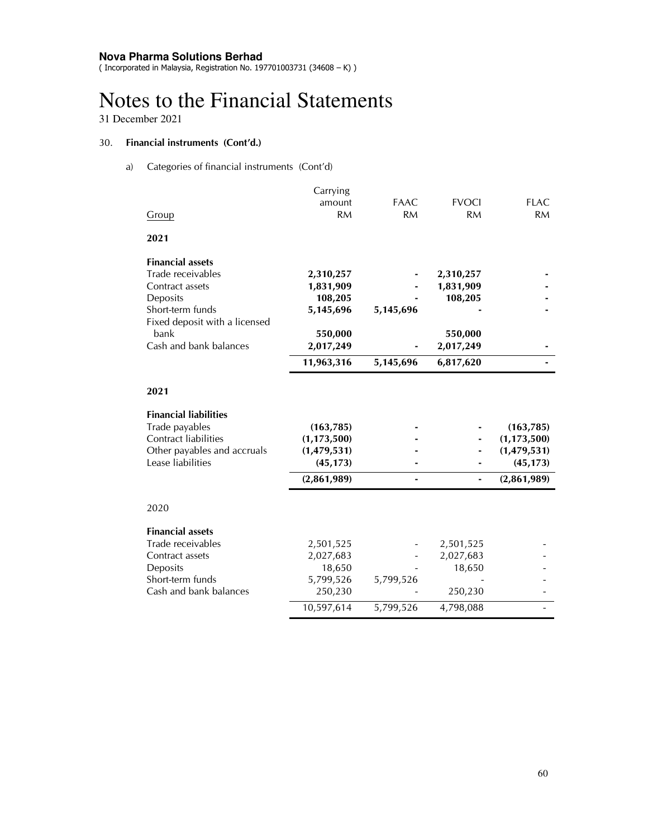( Incorporated in Malaysia, Registration No. 197701003731 (34608 – K) )

# Notes to the Financial Statements

31 December 2021

# 30. **Financial instruments (Cont'd.)**

a) Categories of financial instruments (Cont'd)

| Group                                                                                                                                                              | Carrying<br>amount<br><b>RM</b>                                                      | FAAC<br><b>RM</b>      | <b>FVOCI</b><br>RM                                                     | <b>FLAC</b><br><b>RM</b>                                                 |
|--------------------------------------------------------------------------------------------------------------------------------------------------------------------|--------------------------------------------------------------------------------------|------------------------|------------------------------------------------------------------------|--------------------------------------------------------------------------|
| 2021                                                                                                                                                               |                                                                                      |                        |                                                                        |                                                                          |
| <b>Financial assets</b><br>Trade receivables<br>Contract assets<br>Deposits<br>Short-term funds<br>Fixed deposit with a licensed<br>bank<br>Cash and bank balances | 2,310,257<br>1,831,909<br>108,205<br>5,145,696<br>550,000<br>2,017,249<br>11,963,316 | 5,145,696<br>5,145,696 | 2,310,257<br>1,831,909<br>108,205<br>550,000<br>2,017,249<br>6,817,620 |                                                                          |
| 2021                                                                                                                                                               |                                                                                      |                        |                                                                        |                                                                          |
| <b>Financial liabilities</b><br>Trade payables<br><b>Contract liabilities</b><br>Other payables and accruals<br>Lease liabilities                                  | (163, 785)<br>(1, 173, 500)<br>(1, 479, 531)<br>(45, 173)<br>(2,861,989)             |                        |                                                                        | (163, 785)<br>(1, 173, 500)<br>(1, 479, 531)<br>(45, 173)<br>(2,861,989) |
| 2020                                                                                                                                                               |                                                                                      |                        |                                                                        |                                                                          |
| <b>Financial assets</b><br>Trade receivables<br>Contract assets<br>Deposits<br>Short-term funds<br>Cash and bank balances                                          | 2,501,525<br>2,027,683<br>18,650<br>5,799,526<br>250,230<br>10,597,614               | 5,799,526<br>5,799,526 | 2,501,525<br>2,027,683<br>18,650<br>250,230<br>4,798,088               |                                                                          |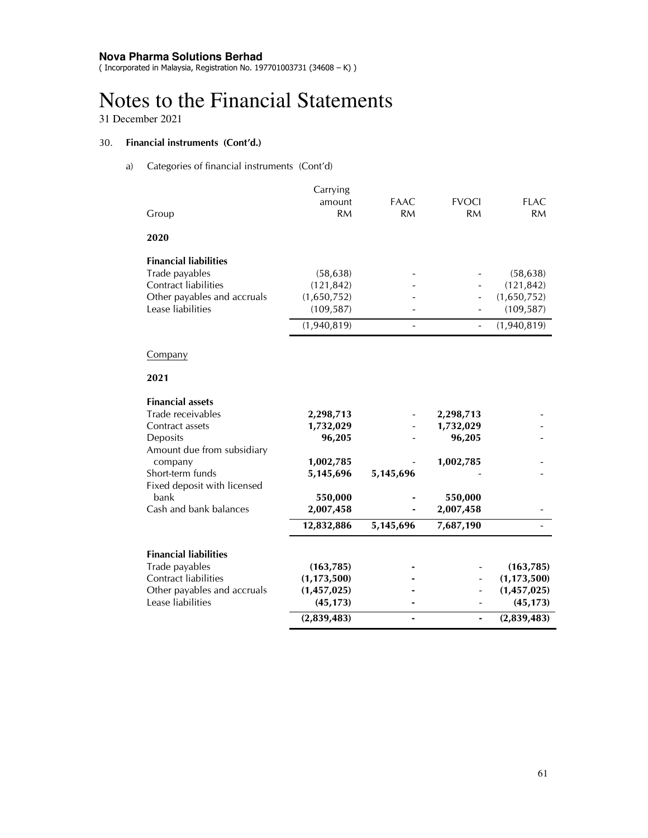( Incorporated in Malaysia, Registration No. 197701003731 (34608 – K) )

# Notes to the Financial Statements

31 December 2021

# 30. **Financial instruments (Cont'd.)**

a) Categories of financial instruments (Cont'd)

| Group                                                                                                                                                                                                     | Carrying<br>amount<br><b>RM</b>                                                                  | FAAC.<br><b>RM</b>     | <b>FVOCI</b><br><b>RM</b>                                                          | <b>FLAC</b><br><b>RM</b>                                               |
|-----------------------------------------------------------------------------------------------------------------------------------------------------------------------------------------------------------|--------------------------------------------------------------------------------------------------|------------------------|------------------------------------------------------------------------------------|------------------------------------------------------------------------|
| 2020                                                                                                                                                                                                      |                                                                                                  |                        |                                                                                    |                                                                        |
| <b>Financial liabilities</b><br>Trade payables<br><b>Contract liabilities</b><br>Other payables and accruals<br>Lease liabilities                                                                         | (58, 638)<br>(121, 842)<br>(1,650,752)<br>(109, 587)<br>(1,940,819)                              | $\overline{a}$         |                                                                                    | (58, 638)<br>(121, 842)<br>(1,650,752)<br>(109, 587)<br>(1,940,819)    |
| Company                                                                                                                                                                                                   |                                                                                                  |                        |                                                                                    |                                                                        |
| 2021                                                                                                                                                                                                      |                                                                                                  |                        |                                                                                    |                                                                        |
| <b>Financial assets</b><br>Trade receivables<br>Contract assets<br>Deposits<br>Amount due from subsidiary<br>company<br>Short-term funds<br>Fixed deposit with licensed<br>bank<br>Cash and bank balances | 2,298,713<br>1,732,029<br>96,205<br>1,002,785<br>5,145,696<br>550,000<br>2,007,458<br>12,832,886 | 5,145,696<br>5,145,696 | 2,298,713<br>1,732,029<br>96,205<br>1,002,785<br>550,000<br>2,007,458<br>7,687,190 |                                                                        |
| <b>Financial liabilities</b><br>Trade payables<br>Contract liabilities<br>Other payables and accruals<br>Lease liabilities                                                                                | (163, 785)<br>(1, 173, 500)<br>(1, 457, 025)<br>(45, 173)<br>(2,839,483)                         |                        | ۰                                                                                  | (163, 785)<br>(1, 173, 500)<br>(1,457,025)<br>(45, 173)<br>(2,839,483) |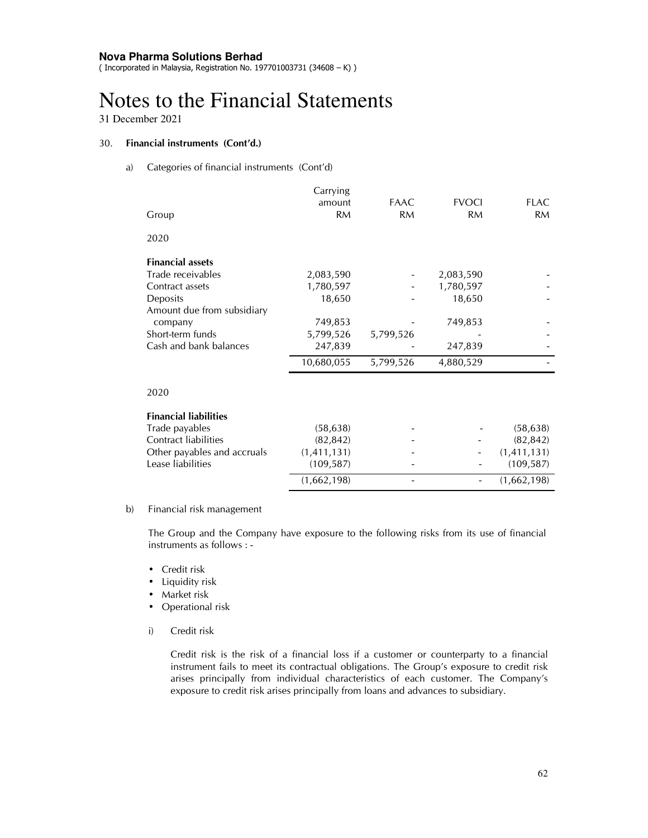( Incorporated in Malaysia, Registration No. 197701003731 (34608 – K) )

# Notes to the Financial Statements

31 December 2021

### 30. **Financial instruments (Cont'd.)**

a) Categories of financial instruments (Cont'd)

|                              | Carrying<br>amount | <b>FAAC</b> | <b>FVOCI</b> | <b>FLAC</b>   |
|------------------------------|--------------------|-------------|--------------|---------------|
| Group                        | <b>RM</b>          | <b>RM</b>   | <b>RM</b>    | <b>RM</b>     |
| 2020                         |                    |             |              |               |
| <b>Financial assets</b>      |                    |             |              |               |
| Trade receivables            | 2,083,590          |             | 2,083,590    |               |
| Contract assets              | 1,780,597          |             | 1,780,597    |               |
| Deposits                     | 18,650             |             | 18,650       |               |
| Amount due from subsidiary   |                    |             |              |               |
| company                      | 749,853            |             | 749,853      |               |
| Short-term funds             | 5,799,526          | 5,799,526   |              |               |
| Cash and bank balances       | 247,839            |             | 247,839      |               |
|                              | 10,680,055         | 5,799,526   | 4,880,529    |               |
| 2020                         |                    |             |              |               |
| <b>Financial liabilities</b> |                    |             |              |               |
| Trade payables               | (58, 638)          |             |              | (58, 638)     |
| <b>Contract liabilities</b>  | (82, 842)          |             |              | (82, 842)     |
| Other payables and accruals  | (1,411,131)        |             |              | (1, 411, 131) |
| Lease liabilities            | (109, 587)         |             |              | (109, 587)    |
|                              | (1,662,198)        |             |              | (1,662,198)   |

b) Financial risk management

The Group and the Company have exposure to the following risks from its use of financial instruments as follows : -

- Credit risk
- Liquidity risk
- Market risk
- Operational risk
- i) Credit risk

Credit risk is the risk of a financial loss if a customer or counterparty to a financial instrument fails to meet its contractual obligations. The Group's exposure to credit risk arises principally from individual characteristics of each customer. The Company's exposure to credit risk arises principally from loans and advances to subsidiary.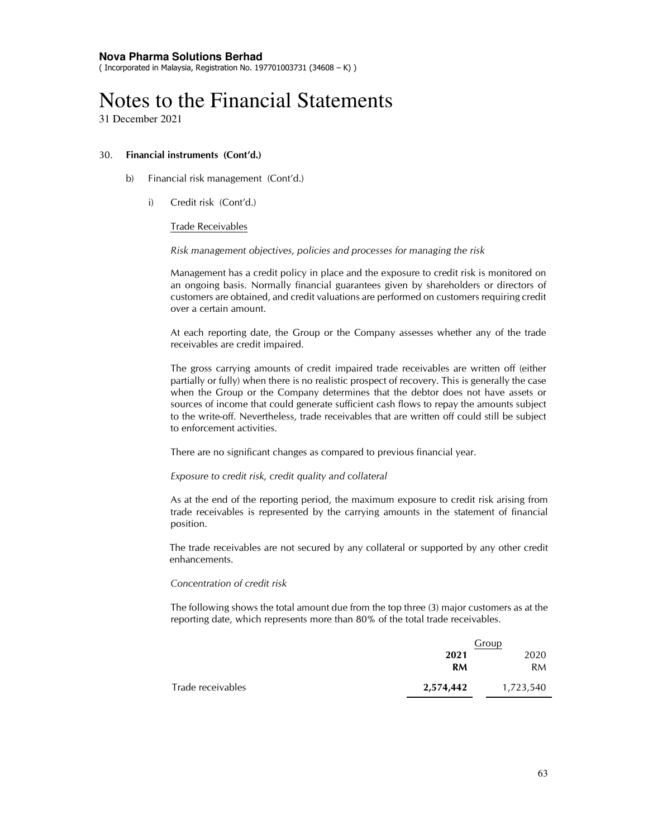# Notes to the Financial Statements

31 December 2021

### 30. **Financial instruments (Cont'd.)**

- b) Financial risk management (Cont'd.)
	- i) Credit risk (Cont'd.)

#### Trade Receivables

#### *Risk management objectives, policies and processes for managing the risk*

Management has a credit policy in place and the exposure to credit risk is monitored on an ongoing basis. Normally financial guarantees given by shareholders or directors of customers are obtained, and credit valuations are performed on customers requiring credit over a certain amount.

At each reporting date, the Group or the Company assesses whether any of the trade receivables are credit impaired.

The gross carrying amounts of credit impaired trade receivables are written off (either partially or fully) when there is no realistic prospect of recovery. This is generally the case when the Group or the Company determines that the debtor does not have assets or sources of income that could generate sufficient cash flows to repay the amounts subject to the write-off. Nevertheless, trade receivables that are written off could still be subject to enforcement activities.

There are no significant changes as compared to previous financial year.

#### *Exposure to credit risk, credit quality and collateral*

As at the end of the reporting period, the maximum exposure to credit risk arising from trade receivables is represented by the carrying amounts in the statement of financial position.

The trade receivables are not secured by any collateral or supported by any other credit enhancements.

#### *Concentration of credit risk*

The following shows the total amount due from the top three (3) major customers as at the reporting date, which represents more than 80% of the total trade receivables.

|                   | Group     |           |  |
|-------------------|-----------|-----------|--|
|                   | 2021      | 2020      |  |
|                   | <b>RM</b> | RM        |  |
| Trade receivables | 2,574,442 | 1,723,540 |  |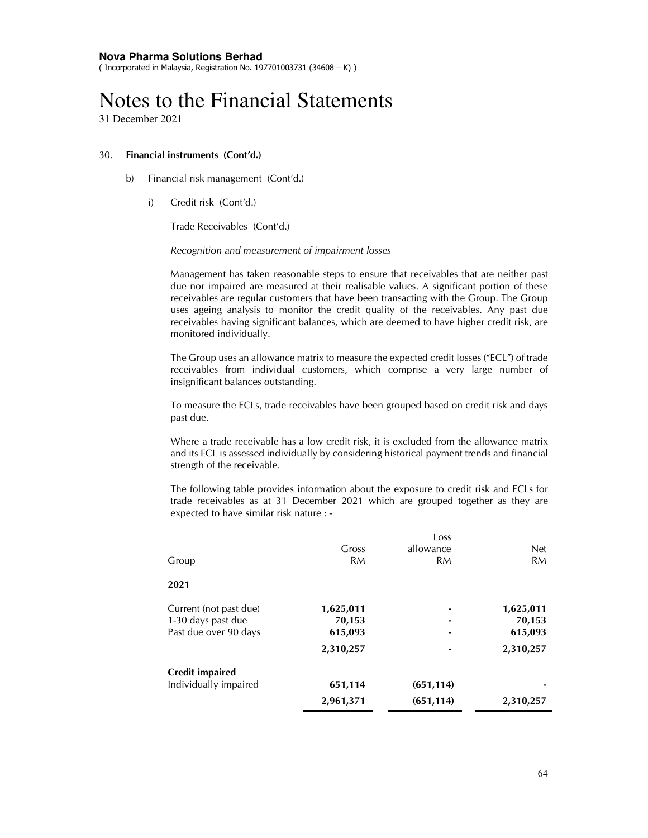# Notes to the Financial Statements

31 December 2021

#### 30. **Financial instruments (Cont'd.)**

- b) Financial risk management (Cont'd.)
	- i) Credit risk (Cont'd.)

Trade Receivables (Cont'd.)

#### *Recognition and measurement of impairment losses*

Management has taken reasonable steps to ensure that receivables that are neither past due nor impaired are measured at their realisable values. A significant portion of these receivables are regular customers that have been transacting with the Group. The Group uses ageing analysis to monitor the credit quality of the receivables. Any past due receivables having significant balances, which are deemed to have higher credit risk, are monitored individually.

The Group uses an allowance matrix to measure the expected credit losses ("ECL") of trade receivables from individual customers, which comprise a very large number of insignificant balances outstanding.

To measure the ECLs, trade receivables have been grouped based on credit risk and days past due.

Where a trade receivable has a low credit risk, it is excluded from the allowance matrix and its ECL is assessed individually by considering historical payment trends and financial strength of the receivable.

The following table provides information about the exposure to credit risk and ECLs for trade receivables as at 31 December 2021 which are grouped together as they are expected to have similar risk nature : -

|                        |           | Loss       |            |
|------------------------|-----------|------------|------------|
|                        | Gross     | allowance  | <b>Net</b> |
| Group                  | <b>RM</b> | <b>RM</b>  | <b>RM</b>  |
| 2021                   |           |            |            |
| Current (not past due) | 1,625,011 |            | 1,625,011  |
| 1-30 days past due     | 70,153    |            | 70,153     |
| Past due over 90 days  | 615,093   |            | 615,093    |
|                        | 2,310,257 |            | 2,310,257  |
| <b>Credit impaired</b> |           |            |            |
| Individually impaired  | 651,114   | (651, 114) |            |
|                        | 2,961,371 | (651, 114) | 2,310,257  |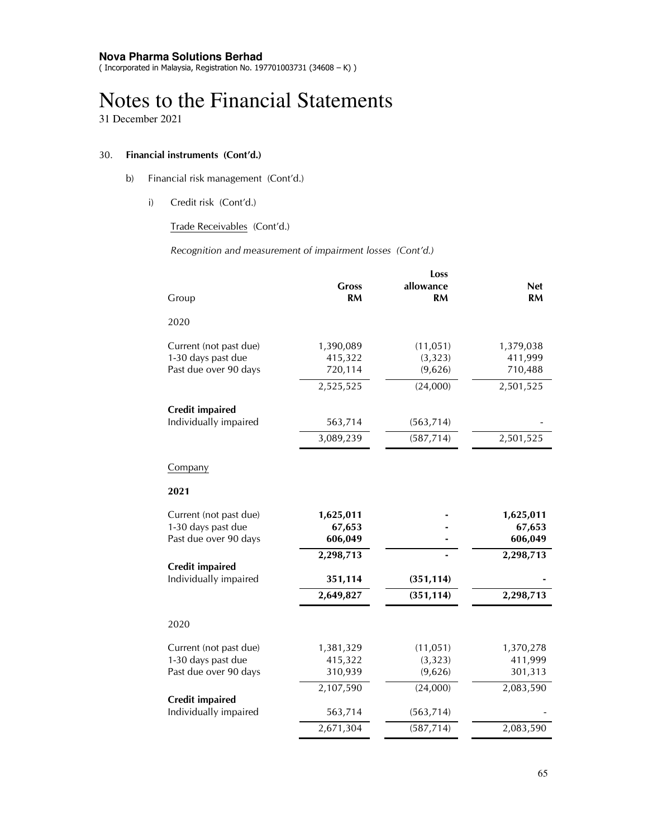# Notes to the Financial Statements

31 December 2021

## 30. **Financial instruments (Cont'd.)**

- b) Financial risk management (Cont'd.)
	- i) Credit risk (Cont'd.)

Trade Receivables (Cont'd.)

*Recognition and measurement of impairment losses (Cont'd.)* 

|                        |              | Loss       |            |
|------------------------|--------------|------------|------------|
|                        | <b>Gross</b> | allowance  | <b>Net</b> |
| Group                  | <b>RM</b>    | <b>RM</b>  | <b>RM</b>  |
| 2020                   |              |            |            |
| Current (not past due) | 1,390,089    | (11, 051)  | 1,379,038  |
| 1-30 days past due     | 415,322      | (3, 323)   | 411,999    |
| Past due over 90 days  | 720,114      | (9,626)    | 710,488    |
|                        | 2,525,525    | (24,000)   | 2,501,525  |
| <b>Credit impaired</b> |              |            |            |
| Individually impaired  | 563,714      | (563, 714) |            |
|                        | 3,089,239    | (587, 714) | 2,501,525  |
| Company                |              |            |            |
| 2021                   |              |            |            |
| Current (not past due) | 1,625,011    |            | 1,625,011  |
| 1-30 days past due     | 67,653       |            | 67,653     |
| Past due over 90 days  | 606,049      |            | 606,049    |
|                        | 2,298,713    |            | 2,298,713  |
| <b>Credit impaired</b> |              |            |            |
| Individually impaired  | 351,114      | (351, 114) |            |
|                        | 2,649,827    | (351, 114) | 2,298,713  |
| 2020                   |              |            |            |
| Current (not past due) | 1,381,329    | (11, 051)  | 1,370,278  |
| 1-30 days past due     | 415,322      | (3, 323)   | 411,999    |
| Past due over 90 days  | 310,939      | (9,626)    | 301,313    |
|                        | 2,107,590    | (24,000)   | 2,083,590  |
| <b>Credit impaired</b> |              |            |            |
| Individually impaired  | 563,714      | (563, 714) |            |
|                        | 2,671,304    | (587, 714) | 2,083,590  |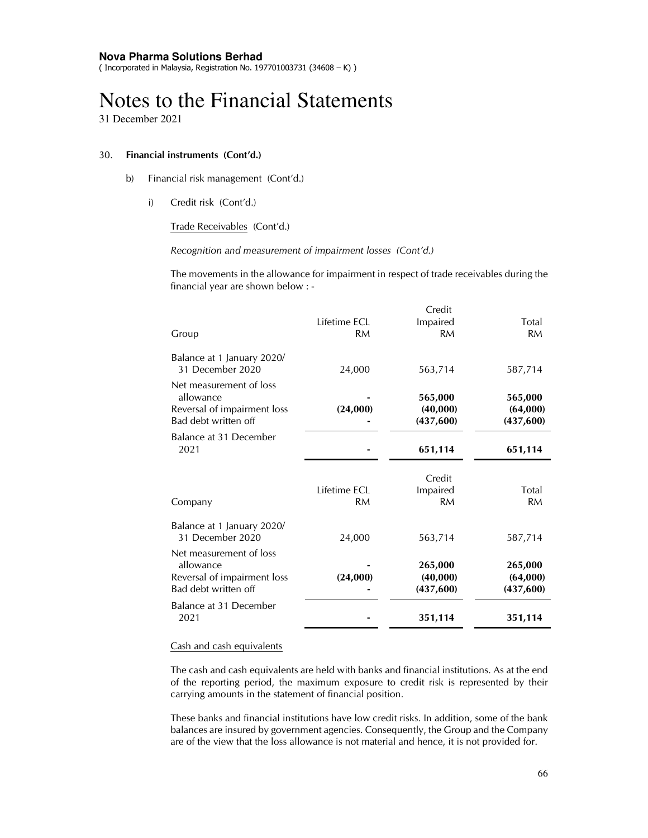# Notes to the Financial Statements

31 December 2021

### 30. **Financial instruments (Cont'd.)**

- b) Financial risk management (Cont'd.)
	- i) Credit risk (Cont'd.)

Trade Receivables (Cont'd.)

*Recognition and measurement of impairment losses (Cont'd.)* 

The movements in the allowance for impairment in respect of trade receivables during the financial year are shown below : -

| Group                                                                                       | Lifetime ECL<br><b>RM</b> | Credit<br>Impaired<br><b>RM</b>  | Total<br><b>RM</b>                |
|---------------------------------------------------------------------------------------------|---------------------------|----------------------------------|-----------------------------------|
| Balance at 1 January 2020/<br>31 December 2020                                              | 24,000                    | 563,714                          | 587,714                           |
| Net measurement of loss<br>allowance<br>Reversal of impairment loss<br>Bad debt written off | (24,000)                  | 565,000<br>(40,000)<br>(437,600) | 565,000<br>(64,000)<br>(437,600)  |
| Balance at 31 December<br>2021                                                              |                           | 651,114                          | 651,114                           |
| Company                                                                                     | Lifetime ECL<br><b>RM</b> | Credit<br>Impaired<br><b>RM</b>  | <b>Total</b><br><b>RM</b>         |
| Balance at 1 January 2020/<br>31 December 2020                                              | 24,000                    | 563,714                          | 587,714                           |
| Net measurement of loss<br>allowance<br>Reversal of impairment loss<br>Bad debt written off | (24,000)                  | 265,000<br>(40,000)<br>(437,600) | 265,000<br>(64,000)<br>(437, 600) |
| Balance at 31 December<br>2021                                                              |                           | 351,114                          | 351,114                           |

### Cash and cash equivalents

The cash and cash equivalents are held with banks and financial institutions. As at the end of the reporting period, the maximum exposure to credit risk is represented by their carrying amounts in the statement of financial position.

These banks and financial institutions have low credit risks. In addition, some of the bank balances are insured by government agencies. Consequently, the Group and the Company are of the view that the loss allowance is not material and hence, it is not provided for.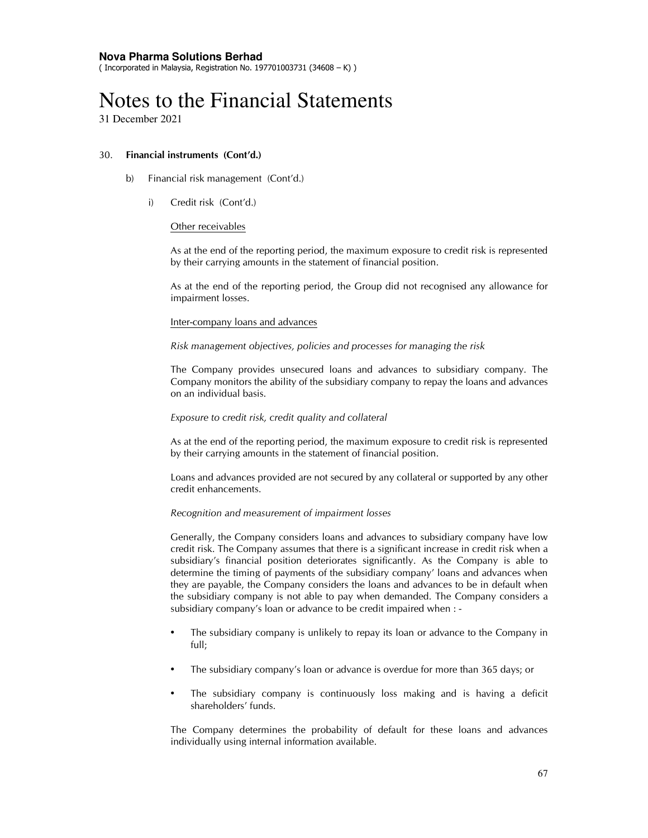# Notes to the Financial Statements

31 December 2021

#### 30. **Financial instruments (Cont'd.)**

- b) Financial risk management (Cont'd.)
	- i) Credit risk (Cont'd.)

#### Other receivables

As at the end of the reporting period, the maximum exposure to credit risk is represented by their carrying amounts in the statement of financial position.

As at the end of the reporting period, the Group did not recognised any allowance for impairment losses.

#### Inter-company loans and advances

#### *Risk management objectives, policies and processes for managing the risk*

The Company provides unsecured loans and advances to subsidiary company. The Company monitors the ability of the subsidiary company to repay the loans and advances on an individual basis.

#### *Exposure to credit risk, credit quality and collateral*

As at the end of the reporting period, the maximum exposure to credit risk is represented by their carrying amounts in the statement of financial position.

Loans and advances provided are not secured by any collateral or supported by any other credit enhancements.

#### *Recognition and measurement of impairment losses*

Generally, the Company considers loans and advances to subsidiary company have low credit risk. The Company assumes that there is a significant increase in credit risk when a subsidiary's financial position deteriorates significantly. As the Company is able to determine the timing of payments of the subsidiary company' loans and advances when they are payable, the Company considers the loans and advances to be in default when the subsidiary company is not able to pay when demanded. The Company considers a subsidiary company's loan or advance to be credit impaired when : -

- The subsidiary company is unlikely to repay its loan or advance to the Company in full;
- The subsidiary company's loan or advance is overdue for more than 365 days; or
- The subsidiary company is continuously loss making and is having a deficit shareholders' funds.

The Company determines the probability of default for these loans and advances individually using internal information available.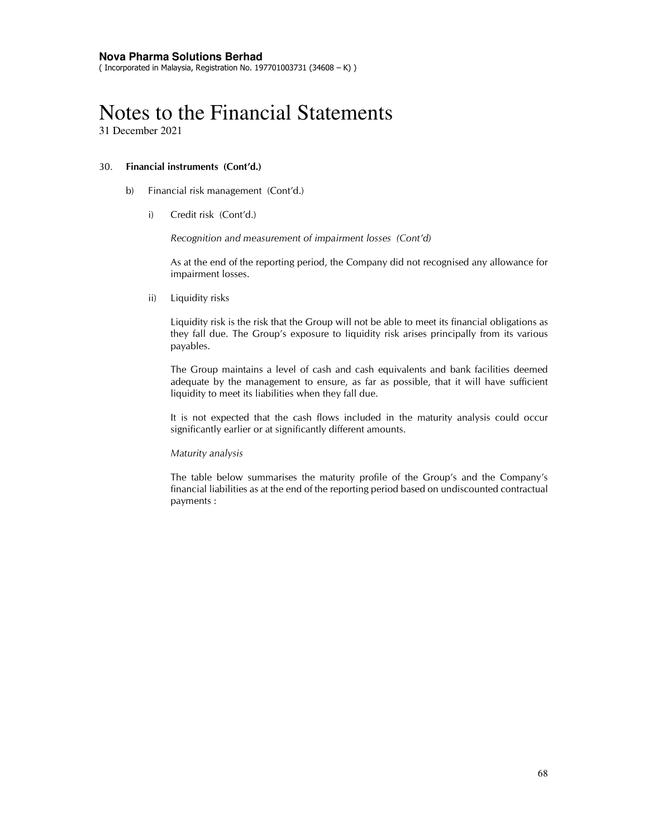# Notes to the Financial Statements

31 December 2021

## 30. **Financial instruments (Cont'd.)**

- b) Financial risk management (Cont'd.)
	- i) Credit risk (Cont'd.)

*Recognition and measurement of impairment losses (Cont'd)* 

As at the end of the reporting period, the Company did not recognised any allowance for impairment losses.

ii) Liquidity risks

Liquidity risk is the risk that the Group will not be able to meet its financial obligations as they fall due. The Group's exposure to liquidity risk arises principally from its various payables.

The Group maintains a level of cash and cash equivalents and bank facilities deemed adequate by the management to ensure, as far as possible, that it will have sufficient liquidity to meet its liabilities when they fall due.

It is not expected that the cash flows included in the maturity analysis could occur significantly earlier or at significantly different amounts.

## *Maturity analysis*

The table below summarises the maturity profile of the Group's and the Company's financial liabilities as at the end of the reporting period based on undiscounted contractual payments :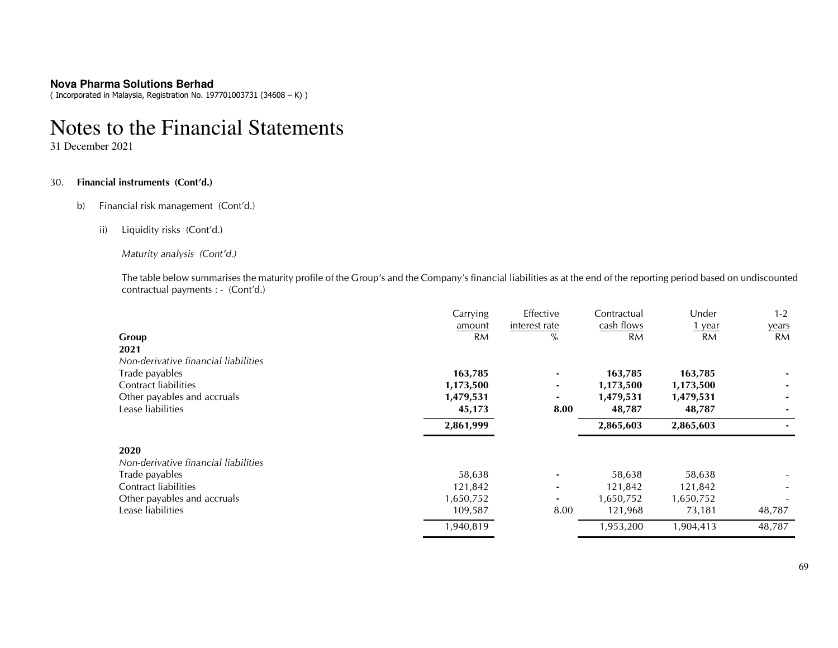( Incorporated in Malaysia, Registration No. 197701003731 (34608 – K) )

# Notes to the Financial Statements

31 December 2021

# 30. **Financial instruments (Cont'd.)**

- b) Financial risk management (Cont'd.)
	- ii) Liquidity risks (Cont'd.)

*Maturity analysis (Cont'd.)* 

The table below summarises the maturity profile of the Group's and the Company's financial liabilities as at the end of the reporting period based on undiscounted contractual payments : - (Cont'd.)

|                                      | Carrying  | Effective     | Contractual | Under     | $1 - 2$   |
|--------------------------------------|-----------|---------------|-------------|-----------|-----------|
|                                      | amount    | interest rate | cash flows  | 1 year    | years     |
| Group                                | <b>RM</b> | $\%$          | <b>RM</b>   | <b>RM</b> | <b>RM</b> |
| 2021                                 |           |               |             |           |           |
| Non-derivative financial liabilities |           |               |             |           |           |
| Trade payables                       | 163,785   |               | 163,785     | 163,785   |           |
| <b>Contract liabilities</b>          | 1,173,500 |               | 1,173,500   | 1,173,500 |           |
| Other payables and accruals          | 1,479,531 |               | 1,479,531   | 1,479,531 |           |
| Lease liabilities                    | 45,173    | 8.00          | 48,787      | 48,787    |           |
|                                      | 2,861,999 |               | 2,865,603   | 2,865,603 |           |
| 2020                                 |           |               |             |           |           |
| Non-derivative financial liabilities |           |               |             |           |           |
| Trade payables                       | 58,638    |               | 58,638      | 58,638    |           |
| Contract liabilities                 | 121,842   |               | 121,842     | 121,842   |           |
| Other payables and accruals          | 1,650,752 |               | 1,650,752   | 1,650,752 |           |
| Lease liabilities                    | 109,587   | 8.00          | 121,968     | 73,181    | 48,787    |
|                                      | 1,940,819 |               | 1,953,200   | 1,904,413 | 48,787    |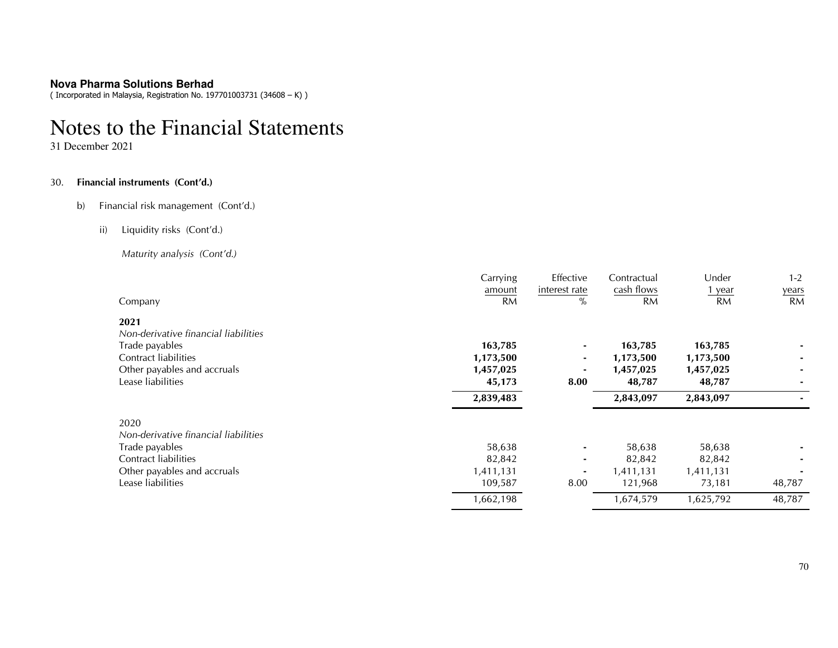( Incorporated in Malaysia, Registration No. 197701003731 (34608 – K) )

# Notes to the Financial Statements

31 December 2021

# 30. **Financial instruments (Cont'd.)**

- b) Financial risk management (Cont'd.)
	- ii) Liquidity risks (Cont'd.)

*Maturity analysis (Cont'd.)* 

|                                              | Carrying  | Effective      | Contractual | Under     | $1 - 2$ |
|----------------------------------------------|-----------|----------------|-------------|-----------|---------|
|                                              | amount    | interest rate  | cash flows  | 1 year    | years   |
| Company                                      | <b>RM</b> | $\%$           | <b>RM</b>   | <b>RM</b> | RM.     |
| 2021<br>Non-derivative financial liabilities |           |                |             |           |         |
| Trade payables                               | 163,785   | $\blacksquare$ | 163,785     | 163,785   |         |
| <b>Contract liabilities</b>                  | 1,173,500 | $\sim$         | 1,173,500   | 1,173,500 |         |
| Other payables and accruals                  | 1,457,025 | $\blacksquare$ | 1,457,025   | 1,457,025 |         |
| Lease liabilities                            | 45,173    | 8.00           | 48,787      | 48,787    |         |
|                                              | 2,839,483 |                | 2,843,097   | 2,843,097 |         |
| 2020                                         |           |                |             |           |         |
| Non-derivative financial liabilities         |           |                |             |           |         |
| Trade payables                               | 58,638    |                | 58,638      | 58,638    |         |
| Contract liabilities                         | 82,842    | $\blacksquare$ | 82,842      | 82,842    |         |
| Other payables and accruals                  | 1,411,131 |                | 1,411,131   | 1,411,131 |         |
| Lease liabilities                            | 109,587   | 8.00           | 121,968     | 73,181    | 48,787  |
|                                              | 1,662,198 |                | 1,674,579   | 1,625,792 | 48,787  |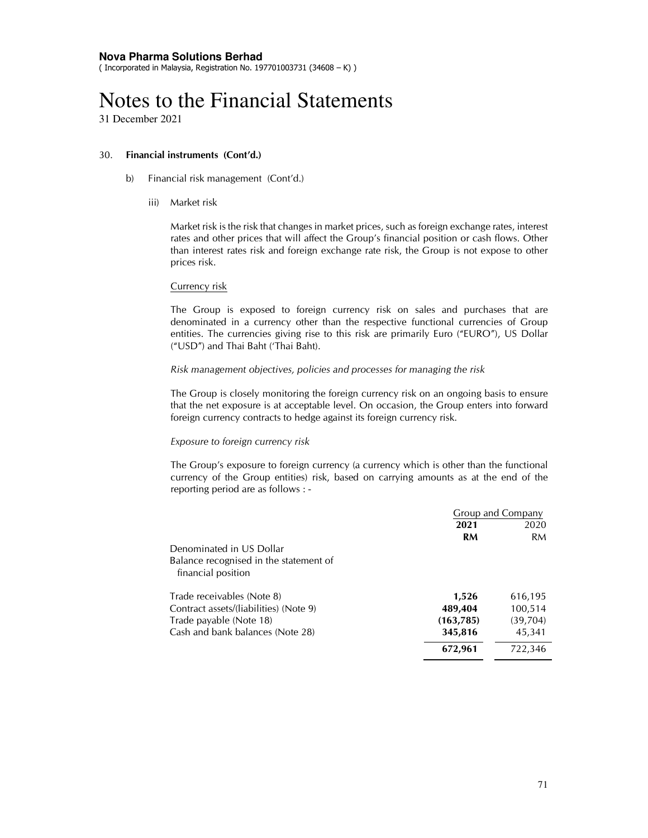# Notes to the Financial Statements

31 December 2021

#### 30. **Financial instruments (Cont'd.)**

- b) Financial risk management (Cont'd.)
	- iii) Market risk

 Market risk is the risk that changes in market prices, such as foreign exchange rates, interest rates and other prices that will affect the Group's financial position or cash flows. Other than interest rates risk and foreign exchange rate risk, the Group is not expose to other prices risk.

#### Currency risk

 The Group is exposed to foreign currency risk on sales and purchases that are denominated in a currency other than the respective functional currencies of Group entities. The currencies giving rise to this risk are primarily Euro ("EURO"), US Dollar ("USD") and Thai Baht ('Thai Baht).

#### *Risk management objectives, policies and processes for managing the risk*

The Group is closely monitoring the foreign currency risk on an ongoing basis to ensure that the net exposure is at acceptable level. On occasion, the Group enters into forward foreign currency contracts to hedge against its foreign currency risk.

#### *Exposure to foreign currency risk*

The Group's exposure to foreign currency (a currency which is other than the functional currency of the Group entities) risk, based on carrying amounts as at the end of the reporting period are as follows : -

|                                        | Group and Company |           |
|----------------------------------------|-------------------|-----------|
|                                        | 2021<br>2020      |           |
|                                        | RM                | <b>RM</b> |
| Denominated in US Dollar               |                   |           |
| Balance recognised in the statement of |                   |           |
| financial position                     |                   |           |
|                                        |                   |           |
| Trade receivables (Note 8)             | 1,526             | 616,195   |
| Contract assets/(liabilities) (Note 9) | 489,404           | 100,514   |
| Trade payable (Note 18)                | (163, 785)        | (39, 704) |
| Cash and bank balances (Note 28)       | 345,816           | 45,341    |
|                                        | 672,961           | 722,346   |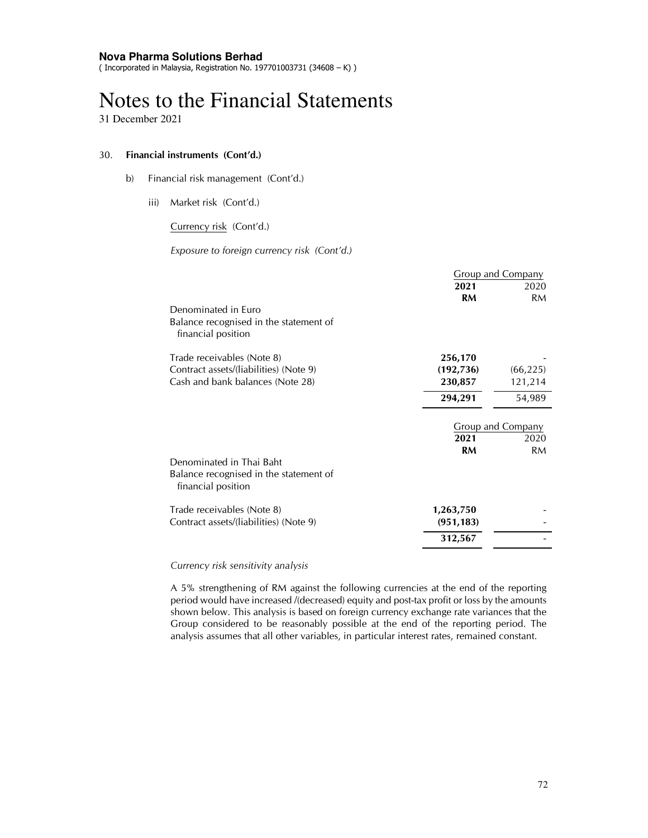# Notes to the Financial Statements

31 December 2021

# 30. **Financial instruments (Cont'd.)**

- b) Financial risk management (Cont'd.)
	- iii) Market risk (Cont'd.)

Currency risk (Cont'd.)

*Exposure to foreign currency risk (Cont'd.)* 

|                                                              | Group and Company |           |  |
|--------------------------------------------------------------|-------------------|-----------|--|
|                                                              | 2021              | 2020      |  |
|                                                              | <b>RM</b>         | <b>RM</b> |  |
| Denominated in Euro                                          |                   |           |  |
| Balance recognised in the statement of<br>financial position |                   |           |  |
| Trade receivables (Note 8)                                   | 256,170           |           |  |
| Contract assets/(liabilities) (Note 9)                       | (192, 736)        | (66, 225) |  |
| Cash and bank balances (Note 28)                             | 230,857           | 121,214   |  |
|                                                              | 294,291           | 54,989    |  |
|                                                              |                   |           |  |
|                                                              | Group and Company |           |  |
|                                                              | 2021              | 2020      |  |
|                                                              | <b>RM</b>         | <b>RM</b> |  |
| Denominated in Thai Baht                                     |                   |           |  |
| Balance recognised in the statement of<br>financial position |                   |           |  |
| Trade receivables (Note 8)                                   | 1,263,750         |           |  |
| Contract assets/(liabilities) (Note 9)                       | (951, 183)        |           |  |
|                                                              |                   |           |  |
|                                                              | 312,567           |           |  |

*Currency risk sensitivity analysis* 

A 5% strengthening of RM against the following currencies at the end of the reporting period would have increased /(decreased) equity and post-tax profit or loss by the amounts shown below. This analysis is based on foreign currency exchange rate variances that the Group considered to be reasonably possible at the end of the reporting period. The analysis assumes that all other variables, in particular interest rates, remained constant.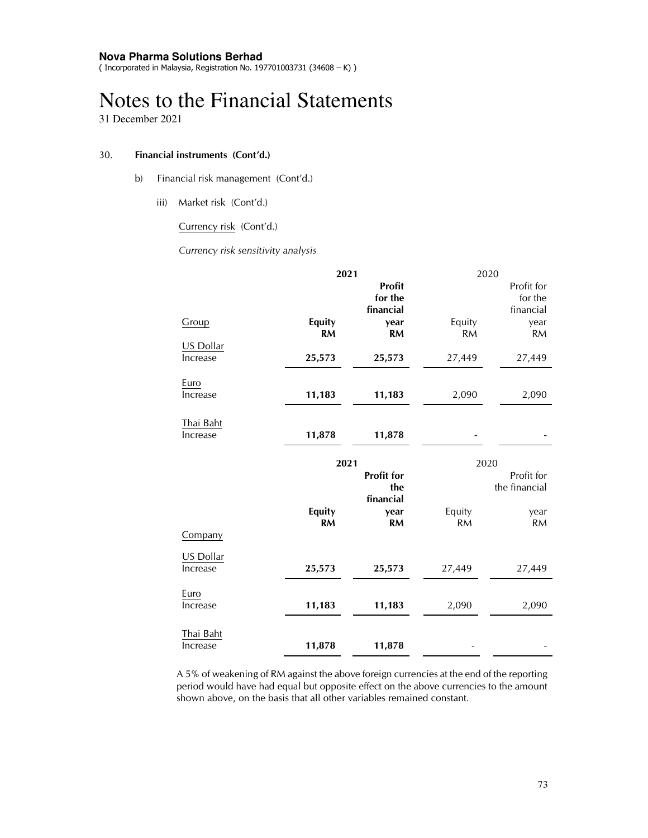# Notes to the Financial Statements

31 December 2021

# 30. **Financial instruments (Cont'd.)**

- b) Financial risk management (Cont'd.)
	- iii) Market risk (Cont'd.)

Currency risk (Cont'd.)

 *Currency risk sensitivity analysis* 

|           | 2021                             |           | 2020       |               |  |
|-----------|----------------------------------|-----------|------------|---------------|--|
|           | <b>Profit</b>                    |           |            | Profit for    |  |
|           |                                  | for the   |            | for the       |  |
|           |                                  | financial |            | financial     |  |
| Group     | <b>Equity</b>                    | year      | Equity     | year          |  |
|           | <b>RM</b>                        | <b>RM</b> | <b>RM</b>  | <b>RM</b>     |  |
| US Dollar |                                  |           |            |               |  |
| Increase  | 25,573                           | 25,573    | 27,449     | 27,449        |  |
|           |                                  |           |            |               |  |
| Euro      |                                  |           |            |               |  |
| Increase  | 11,183                           | 11,183    | 2,090      | 2,090         |  |
|           |                                  |           |            |               |  |
|           |                                  |           |            |               |  |
| Thai Baht |                                  |           |            |               |  |
| Increase  | 11,878                           | 11,878    |            |               |  |
|           |                                  |           |            |               |  |
|           | 2021<br><b>Profit for</b><br>the |           | 2020       |               |  |
|           |                                  |           | Profit for |               |  |
|           |                                  |           |            | the financial |  |
|           |                                  | financial |            |               |  |
|           | <b>Equity</b>                    | year      | Equity     | year          |  |
|           | <b>RM</b>                        | <b>RM</b> | <b>RM</b>  | <b>RM</b>     |  |
| Company   |                                  |           |            |               |  |
|           |                                  |           |            |               |  |
| US Dollar |                                  |           |            |               |  |
| Increase  | 25,573                           | 25,573    | 27,449     | 27,449        |  |
|           |                                  |           |            |               |  |
| Euro      |                                  |           |            |               |  |
| Increase  | 11,183                           | 11,183    | 2,090      | 2,090         |  |
|           |                                  |           |            |               |  |
|           |                                  |           |            |               |  |
| Thai Baht |                                  |           |            |               |  |
| Increase  | 11,878                           | 11,878    |            |               |  |

A 5% of weakening of RM against the above foreign currencies at the end of the reporting period would have had equal but opposite effect on the above currencies to the amount shown above, on the basis that all other variables remained constant.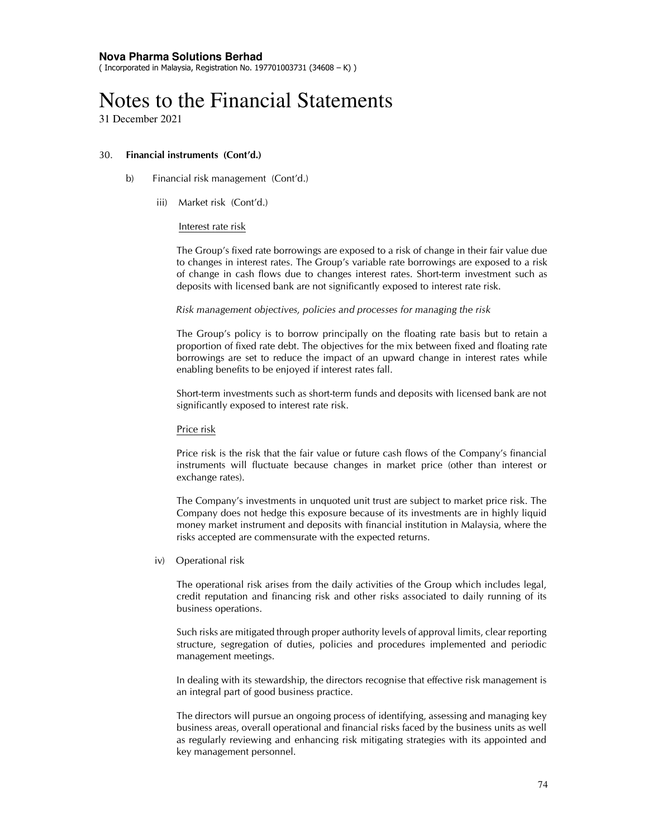# Notes to the Financial Statements

31 December 2021

### 30. **Financial instruments (Cont'd.)**

- b) Financial risk management (Cont'd.)
	- iii) Market risk (Cont'd.)

#### Interest rate risk

The Group's fixed rate borrowings are exposed to a risk of change in their fair value due to changes in interest rates. The Group's variable rate borrowings are exposed to a risk of change in cash flows due to changes interest rates. Short-term investment such as deposits with licensed bank are not significantly exposed to interest rate risk.

 *Risk management objectives, policies and processes for managing the risk*

The Group's policy is to borrow principally on the floating rate basis but to retain a proportion of fixed rate debt. The objectives for the mix between fixed and floating rate borrowings are set to reduce the impact of an upward change in interest rates while enabling benefits to be enjoyed if interest rates fall.

Short-term investments such as short-term funds and deposits with licensed bank are not significantly exposed to interest rate risk.

Price risk

Price risk is the risk that the fair value or future cash flows of the Company's financial instruments will fluctuate because changes in market price (other than interest or exchange rates).

The Company's investments in unquoted unit trust are subject to market price risk. The Company does not hedge this exposure because of its investments are in highly liquid money market instrument and deposits with financial institution in Malaysia, where the risks accepted are commensurate with the expected returns.

iv) Operational risk

The operational risk arises from the daily activities of the Group which includes legal, credit reputation and financing risk and other risks associated to daily running of its business operations.

Such risks are mitigated through proper authority levels of approval limits, clear reporting structure, segregation of duties, policies and procedures implemented and periodic management meetings.

In dealing with its stewardship, the directors recognise that effective risk management is an integral part of good business practice.

The directors will pursue an ongoing process of identifying, assessing and managing key business areas, overall operational and financial risks faced by the business units as well as regularly reviewing and enhancing risk mitigating strategies with its appointed and key management personnel.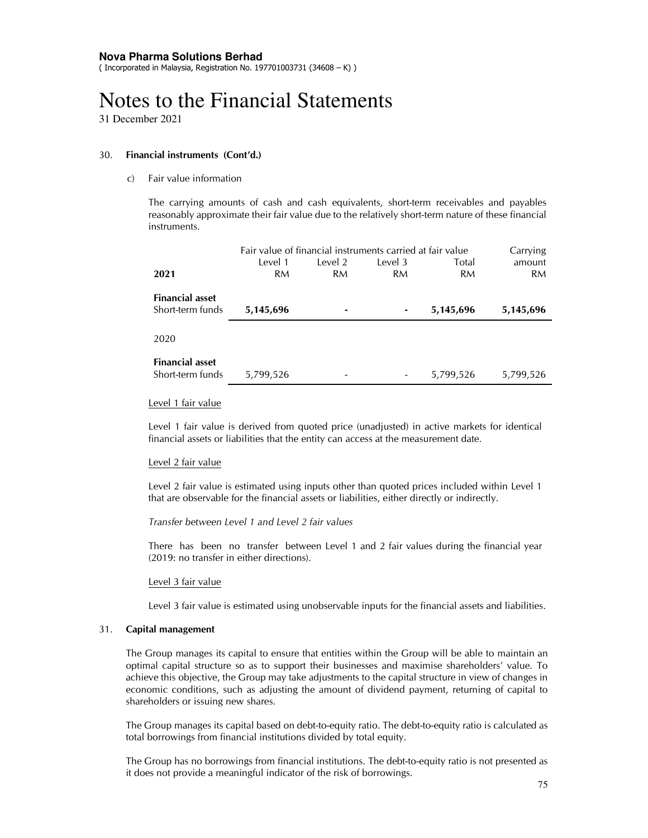# Notes to the Financial Statements

31 December 2021

#### 30. **Financial instruments (Cont'd.)**

c) Fair value information

The carrying amounts of cash and cash equivalents, short-term receivables and payables reasonably approximate their fair value due to the relatively short-term nature of these financial instruments.

|                                            | Fair value of financial instruments carried at fair value |           |           |           | Carrying  |
|--------------------------------------------|-----------------------------------------------------------|-----------|-----------|-----------|-----------|
|                                            | Level 1                                                   | Level 2   | Level 3   | Total     | amount    |
| 2021                                       | <b>RM</b>                                                 | <b>RM</b> | <b>RM</b> | <b>RM</b> | <b>RM</b> |
| <b>Financial asset</b><br>Short-term funds | 5,145,696                                                 | ۰         |           | 5,145,696 | 5,145,696 |
| 2020                                       |                                                           |           |           |           |           |
| <b>Financial asset</b><br>Short-term funds | 5,799,526                                                 |           |           | 5,799,526 | 5,799,526 |

### Level 1 fair value

Level 1 fair value is derived from quoted price (unadjusted) in active markets for identical financial assets or liabilities that the entity can access at the measurement date.

#### Level 2 fair value

Level 2 fair value is estimated using inputs other than quoted prices included within Level 1 that are observable for the financial assets or liabilities, either directly or indirectly.

*Transfer between Level 1 and Level 2 fair values* 

There has been no transfer between Level 1 and 2 fair values during the financial year (2019: no transfer in either directions).

Level 3 fair value

Level 3 fair value is estimated using unobservable inputs for the financial assets and liabilities.

### 31. **Capital management**

The Group manages its capital to ensure that entities within the Group will be able to maintain an optimal capital structure so as to support their businesses and maximise shareholders' value. To achieve this objective, the Group may take adjustments to the capital structure in view of changes in economic conditions, such as adjusting the amount of dividend payment, returning of capital to shareholders or issuing new shares.

The Group manages its capital based on debt-to-equity ratio. The debt-to-equity ratio is calculated as total borrowings from financial institutions divided by total equity.

The Group has no borrowings from financial institutions. The debt-to-equity ratio is not presented as it does not provide a meaningful indicator of the risk of borrowings.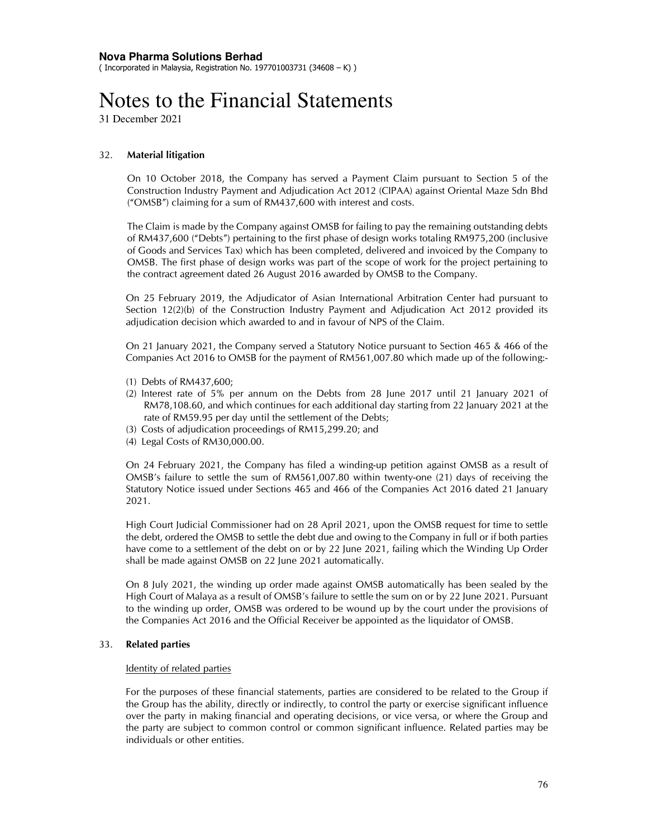# Notes to the Financial Statements

31 December 2021

# 32. **Material litigation**

On 10 October 2018, the Company has served a Payment Claim pursuant to Section 5 of the Construction Industry Payment and Adjudication Act 2012 (CIPAA) against Oriental Maze Sdn Bhd ("OMSB") claiming for a sum of RM437,600 with interest and costs.

The Claim is made by the Company against OMSB for failing to pay the remaining outstanding debts of RM437,600 ("Debts") pertaining to the first phase of design works totaling RM975,200 (inclusive of Goods and Services Tax) which has been completed, delivered and invoiced by the Company to OMSB. The first phase of design works was part of the scope of work for the project pertaining to the contract agreement dated 26 August 2016 awarded by OMSB to the Company.

On 25 February 2019, the Adjudicator of Asian International Arbitration Center had pursuant to Section 12(2)(b) of the Construction Industry Payment and Adjudication Act 2012 provided its adjudication decision which awarded to and in favour of NPS of the Claim.

On 21 January 2021, the Company served a Statutory Notice pursuant to Section 465 & 466 of the Companies Act 2016 to OMSB for the payment of RM561,007.80 which made up of the following:-

- (1) Debts of RM437,600;
- (2) Interest rate of 5% per annum on the Debts from 28 June 2017 until 21 January 2021 of RM78,108.60, and which continues for each additional day starting from 22 January 2021 at the rate of RM59.95 per day until the settlement of the Debts;
- (3) Costs of adjudication proceedings of RM15,299.20; and
- (4) Legal Costs of RM30,000.00.

On 24 February 2021, the Company has filed a winding-up petition against OMSB as a result of OMSB's failure to settle the sum of RM561,007.80 within twenty-one (21) days of receiving the Statutory Notice issued under Sections 465 and 466 of the Companies Act 2016 dated 21 January 2021.

High Court Judicial Commissioner had on 28 April 2021, upon the OMSB request for time to settle the debt, ordered the OMSB to settle the debt due and owing to the Company in full or if both parties have come to a settlement of the debt on or by 22 June 2021, failing which the Winding Up Order shall be made against OMSB on 22 June 2021 automatically.

On 8 July 2021, the winding up order made against OMSB automatically has been sealed by the High Court of Malaya as a result of OMSB's failure to settle the sum on or by 22 June 2021. Pursuant to the winding up order, OMSB was ordered to be wound up by the court under the provisions of the Companies Act 2016 and the Official Receiver be appointed as the liquidator of OMSB.

# 33. **Related parties**

### Identity of related parties

For the purposes of these financial statements, parties are considered to be related to the Group if the Group has the ability, directly or indirectly, to control the party or exercise significant influence over the party in making financial and operating decisions, or vice versa, or where the Group and the party are subject to common control or common significant influence. Related parties may be individuals or other entities.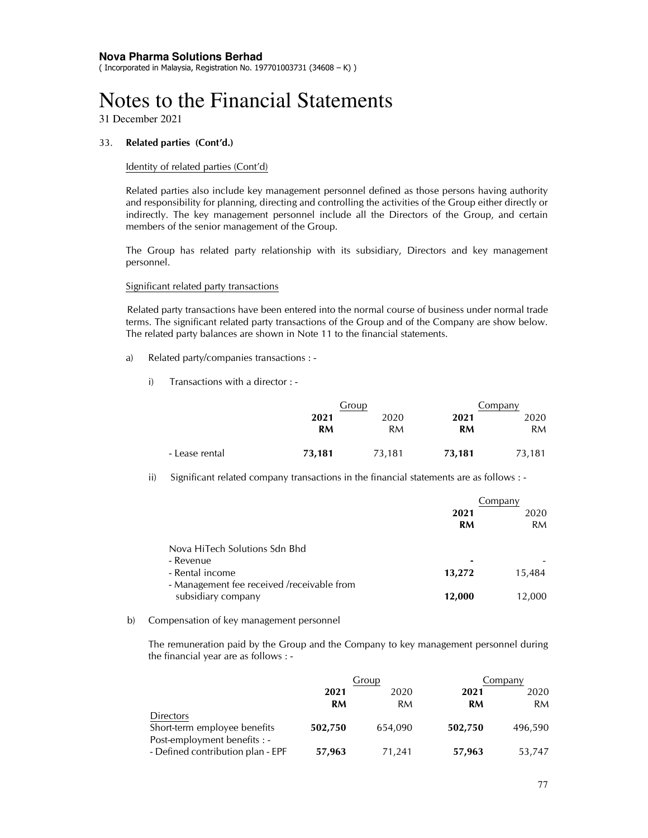# Notes to the Financial Statements

31 December 2021

#### 33. **Related parties (Cont'd.)**

#### Identity of related parties (Cont'd)

Related parties also include key management personnel defined as those persons having authority and responsibility for planning, directing and controlling the activities of the Group either directly or indirectly. The key management personnel include all the Directors of the Group, and certain members of the senior management of the Group.

The Group has related party relationship with its subsidiary, Directors and key management personnel.

#### Significant related party transactions

Related party transactions have been entered into the normal course of business under normal trade terms. The significant related party transactions of the Group and of the Company are show below. The related party balances are shown in Note 11 to the financial statements.

- a) Related party/companies transactions :
	- i) Transactions with a director : -

|                | Group     |           | Company   |           |
|----------------|-----------|-----------|-----------|-----------|
|                | 2021      | 2020      | 2021      | 2020      |
|                | <b>RM</b> | <b>RM</b> | <b>RM</b> | <b>RM</b> |
| - Lease rental | 73,181    | 73,181    | 73,181    | 73,181    |

ii) Significant related company transactions in the financial statements are as follows : -

|                                                                                                                                   |                  | Company          |  |
|-----------------------------------------------------------------------------------------------------------------------------------|------------------|------------------|--|
|                                                                                                                                   | 2021             | 2020             |  |
|                                                                                                                                   | <b>RM</b>        | <b>RM</b>        |  |
| Nova HiTech Solutions Sdn Bhd<br>- Revenue<br>- Rental income<br>- Management fee received /receivable from<br>subsidiary company | 13,272<br>12,000 | 15,484<br>12,000 |  |

### b) Compensation of key management personnel

The remuneration paid by the Group and the Company to key management personnel during the financial year are as follows : -

|                                                              | Group     |           | Company   |           |
|--------------------------------------------------------------|-----------|-----------|-----------|-----------|
|                                                              | 2021      | 2020      | 2021      | 2020      |
| <b>Directors</b>                                             | <b>RM</b> | <b>RM</b> | <b>RM</b> | <b>RM</b> |
| Short-term employee benefits<br>Post-employment benefits : - | 502,750   | 654,090   | 502,750   | 496,590   |
| - Defined contribution plan - EPF                            | 57,963    | 71.241    | 57,963    | 53,747    |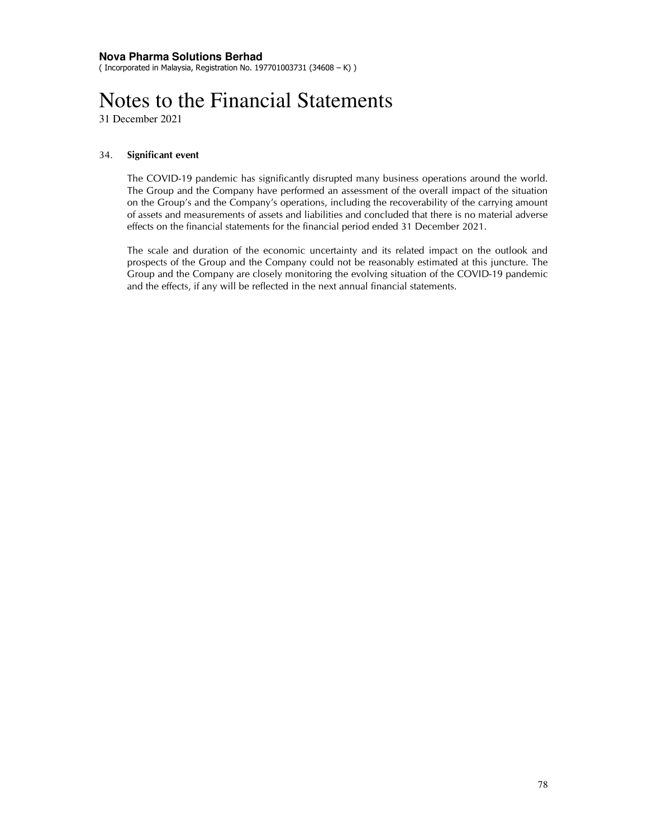# Notes to the Financial Statements

31 December 2021

## 34. **Significant event**

The COVID-19 pandemic has significantly disrupted many business operations around the world. The Group and the Company have performed an assessment of the overall impact of the situation on the Group's and the Company's operations, including the recoverability of the carrying amount of assets and measurements of assets and liabilities and concluded that there is no material adverse effects on the financial statements for the financial period ended 31 December 2021.

The scale and duration of the economic uncertainty and its related impact on the outlook and prospects of the Group and the Company could not be reasonably estimated at this juncture. The Group and the Company are closely monitoring the evolving situation of the COVID-19 pandemic and the effects, if any will be reflected in the next annual financial statements.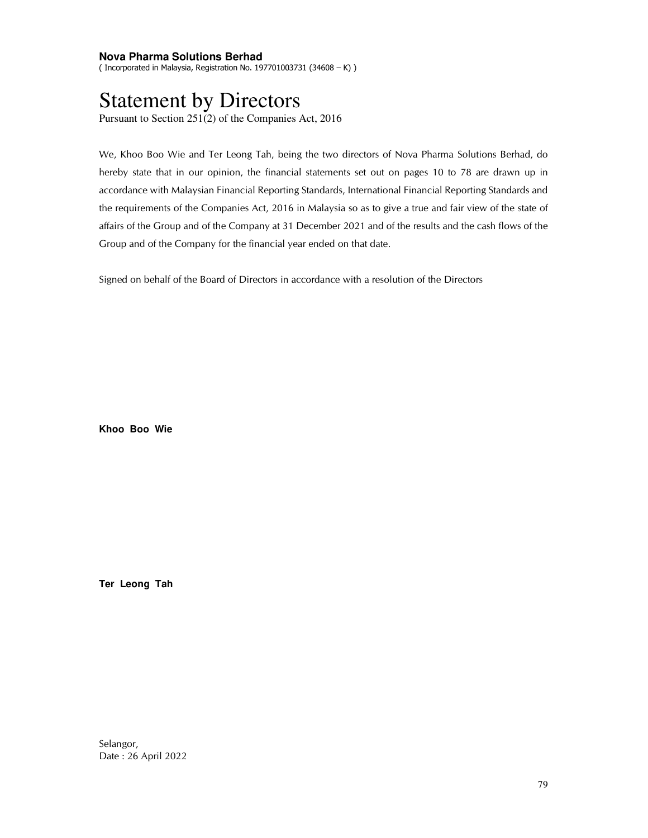### **Nova Pharma Solutions Berhad**

( Incorporated in Malaysia, Registration No. 197701003731 (34608 – K) )

# Statement by Directors

Pursuant to Section 251(2) of the Companies Act, 2016

We, Khoo Boo Wie and Ter Leong Tah, being the two directors of Nova Pharma Solutions Berhad, do hereby state that in our opinion, the financial statements set out on pages 10 to 78 are drawn up in accordance with Malaysian Financial Reporting Standards, International Financial Reporting Standards and the requirements of the Companies Act, 2016 in Malaysia so as to give a true and fair view of the state of affairs of the Group and of the Company at 31 December 2021 and of the results and the cash flows of the Group and of the Company for the financial year ended on that date.

Signed on behalf of the Board of Directors in accordance with a resolution of the Directors

**Khoo Boo Wie**

**Ter Leong Tah**

Selangor, Date : 26 April 2022